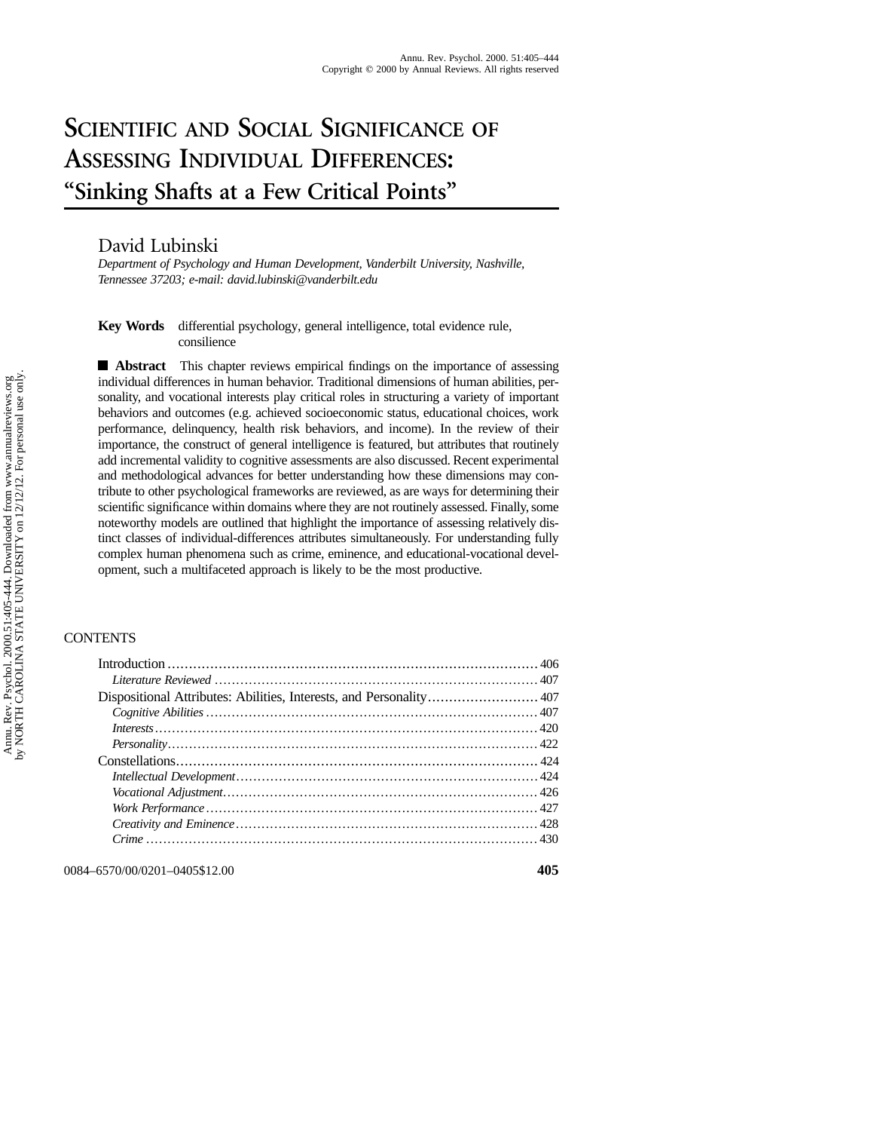# **S**CIENTIFIC AND **S**OCIAL **S**IGNIFICANCE OF **A**SSESSING **I**NDIVIDUAL **D**IFFERENCES**: ''Sinking Shafts at a Few Critical Points''**

# David Lubinski

*Department of Psychology and Human Development, Vanderbilt University, Nashville, Tennessee 37203; e-mail: david.lubinski@vanderbilt.edu*

**Key Words** differential psychology, general intelligence, total evidence rule, consilience

**Abstract** This chapter reviews empirical findings on the importance of assessing individual differences in human behavior. Traditional dimensions of human abilities, personality, and vocational interests play critical roles in structuring a variety of important behaviors and outcomes (e.g. achieved socioeconomic status, educational choices, work performance, delinquency, health risk behaviors, and income). In the review of their importance, the construct of general intelligence is featured, but attributes that routinely add incremental validity to cognitive assessments are also discussed. Recent experimental and methodological advances for better understanding how these dimensions may contribute to other psychological frameworks are reviewed, as are ways for determining their scientific significance within domains where they are not routinely assessed. Finally, some noteworthy models are outlined that highlight the importance of assessing relatively distinct classes of individual-differences attributes simultaneously. For understanding fully complex human phenomena such as crime, eminence, and educational-vocational development, such a multifaceted approach is likely to be the most productive.

#### **CONTENTS**

0084–6570/00/0201–0405\$12.00 **405**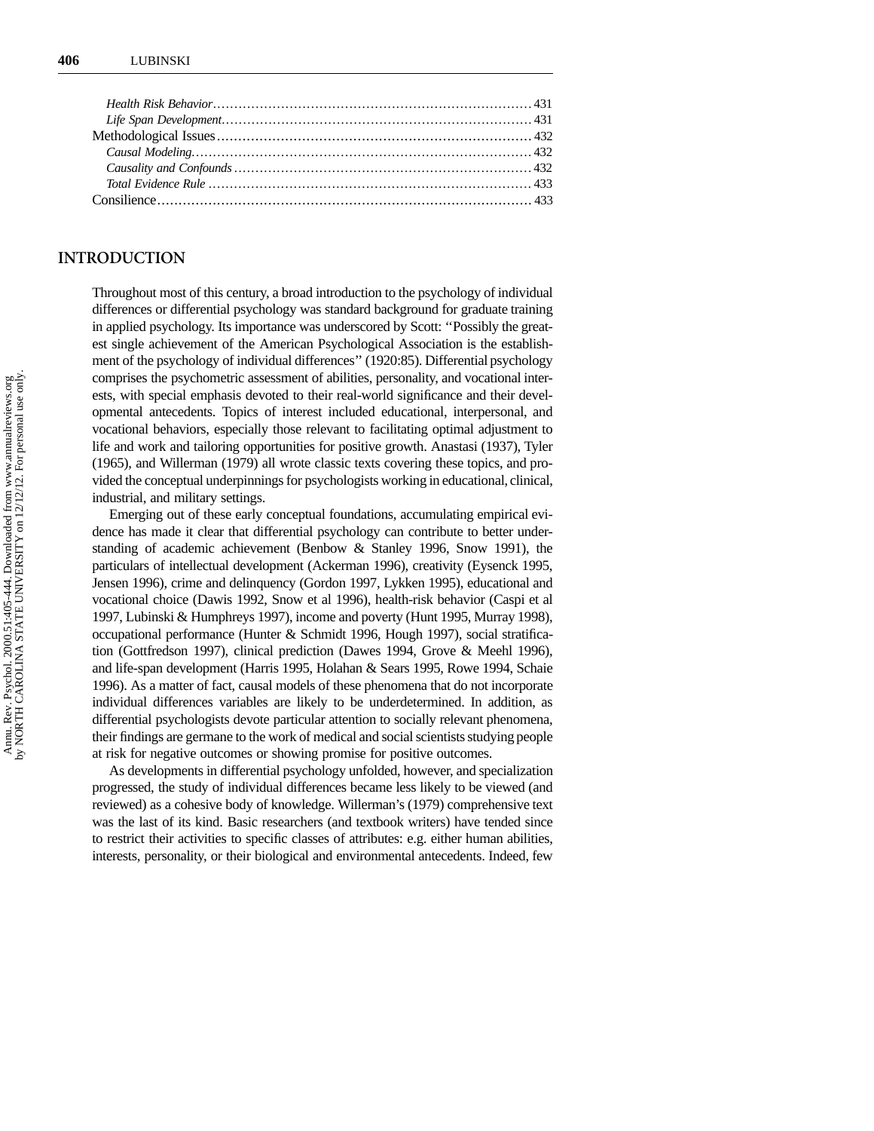# **INTRODUCTION**

Throughout most of this century, a broad introduction to the psychology of individual differences or differential psychology was standard background for graduate training in applied psychology. Its importance was underscored by Scott: ''Possibly the greatest single achievement of the American Psychological Association is the establishment of the psychology of individual differences'' (1920:85). Differential psychology comprises the psychometric assessment of abilities, personality, and vocational interests, with special emphasis devoted to their real-world significance and their developmental antecedents. Topics of interest included educational, interpersonal, and vocational behaviors, especially those relevant to facilitating optimal adjustment to life and work and tailoring opportunities for positive growth. Anastasi (1937), Tyler (1965), and Willerman (1979) all wrote classic texts covering these topics, and provided the conceptual underpinnings for psychologists working in educational, clinical, industrial, and military settings.

Emerging out of these early conceptual foundations, accumulating empirical evidence has made it clear that differential psychology can contribute to better understanding of academic achievement (Benbow & Stanley 1996, Snow 1991), the particulars of intellectual development (Ackerman 1996), creativity (Eysenck 1995, Jensen 1996), crime and delinquency (Gordon 1997, Lykken 1995), educational and vocational choice (Dawis 1992, Snow et al 1996), health-risk behavior (Caspi et al 1997, Lubinski & Humphreys 1997), income and poverty (Hunt 1995, Murray 1998), occupational performance (Hunter & Schmidt 1996, Hough 1997), social stratification (Gottfredson 1997), clinical prediction (Dawes 1994, Grove & Meehl 1996), and life-span development (Harris 1995, Holahan & Sears 1995, Rowe 1994, Schaie 1996). As a matter of fact, causal models of these phenomena that do not incorporate individual differences variables are likely to be underdetermined. In addition, as differential psychologists devote particular attention to socially relevant phenomena, their findings are germane to the work of medical and social scientists studying people at risk for negative outcomes or showing promise for positive outcomes.

As developments in differential psychology unfolded, however, and specialization progressed, the study of individual differences became less likely to be viewed (and reviewed) as a cohesive body of knowledge. Willerman's (1979) comprehensive text was the last of its kind. Basic researchers (and textbook writers) have tended since to restrict their activities to specific classes of attributes: e.g. either human abilities, interests, personality, or their biological and environmental antecedents. Indeed, few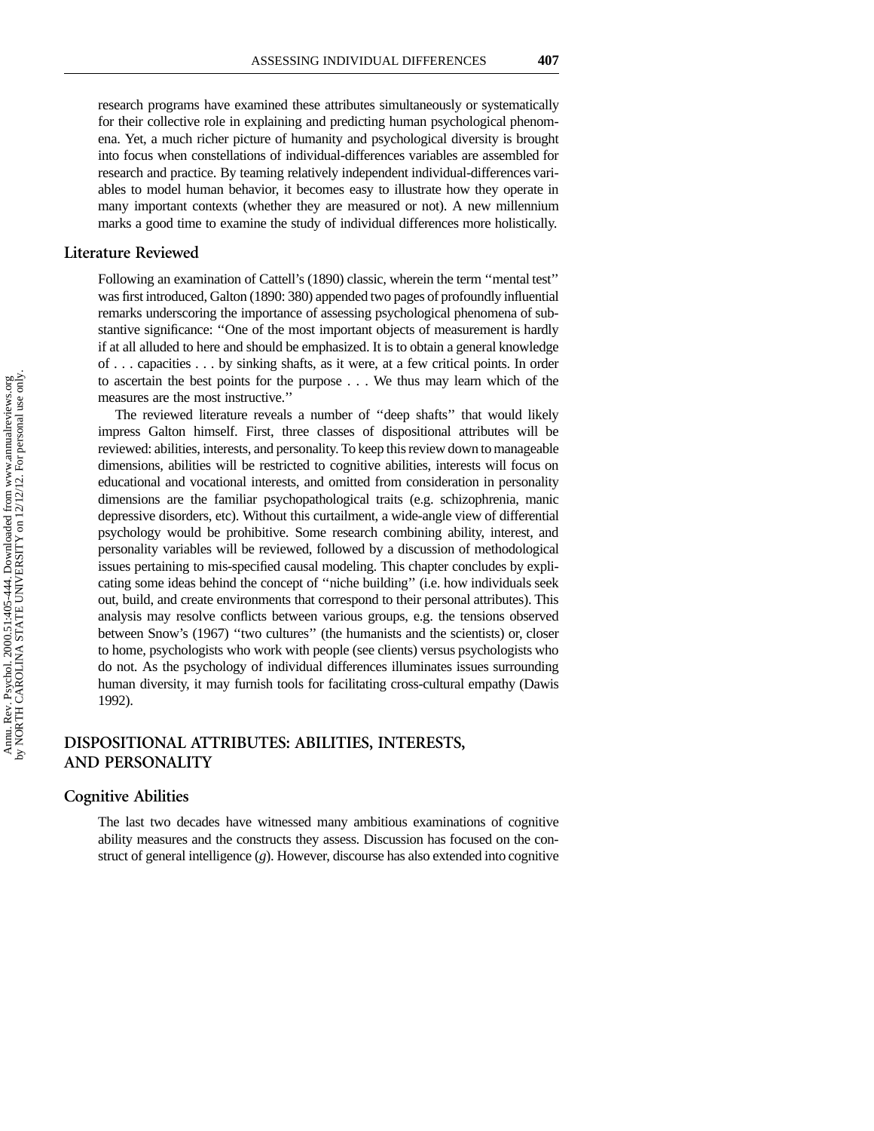research programs have examined these attributes simultaneously or systematically for their collective role in explaining and predicting human psychological phenomena. Yet, a much richer picture of humanity and psychological diversity is brought into focus when constellations of individual-differences variables are assembled for research and practice. By teaming relatively independent individual-differences variables to model human behavior, it becomes easy to illustrate how they operate in many important contexts (whether they are measured or not). A new millennium marks a good time to examine the study of individual differences more holistically.

#### **Literature Reviewed**

Following an examination of Cattell's (1890) classic, wherein the term ''mental test'' was first introduced, Galton (1890: 380) appended two pages of profoundly influential remarks underscoring the importance of assessing psychological phenomena of substantive significance: ''One of the most important objects of measurement is hardly if at all alluded to here and should be emphasized. It is to obtain a general knowledge of . . . capacities . . . by sinking shafts, as it were, at a few critical points. In order to ascertain the best points for the purpose . . . We thus may learn which of the measures are the most instructive.''

The reviewed literature reveals a number of ''deep shafts'' that would likely impress Galton himself. First, three classes of dispositional attributes will be reviewed: abilities, interests, and personality. To keep this review down to manageable dimensions, abilities will be restricted to cognitive abilities, interests will focus on educational and vocational interests, and omitted from consideration in personality dimensions are the familiar psychopathological traits (e.g. schizophrenia, manic depressive disorders, etc). Without this curtailment, a wide-angle view of differential psychology would be prohibitive. Some research combining ability, interest, and personality variables will be reviewed, followed by a discussion of methodological issues pertaining to mis-specified causal modeling. This chapter concludes by explicating some ideas behind the concept of ''niche building'' (i.e. how individuals seek out, build, and create environments that correspond to their personal attributes). This analysis may resolve conflicts between various groups, e.g. the tensions observed between Snow's (1967) ''two cultures'' (the humanists and the scientists) or, closer to home, psychologists who work with people (see clients) versus psychologists who do not. As the psychology of individual differences illuminates issues surrounding human diversity, it may furnish tools for facilitating cross-cultural empathy (Dawis 1992).

### **DISPOSITIONAL ATTRIBUTES: ABILITIES, INTERESTS, AND PERSONALITY**

#### **Cognitive Abilities**

The last two decades have witnessed many ambitious examinations of cognitive ability measures and the constructs they assess. Discussion has focused on the construct of general intelligence (*g*). However, discourse has also extended into cognitive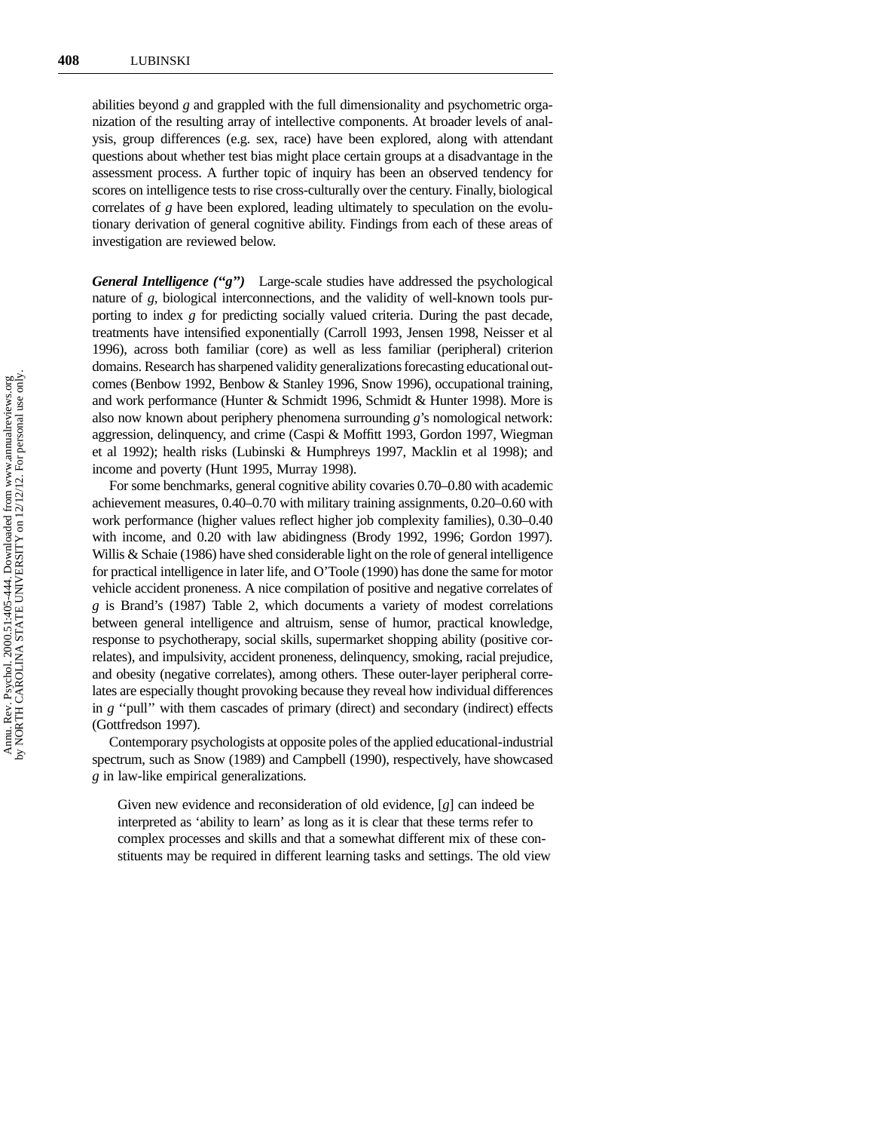abilities beyond *g* and grappled with the full dimensionality and psychometric organization of the resulting array of intellective components. At broader levels of analysis, group differences (e.g. sex, race) have been explored, along with attendant questions about whether test bias might place certain groups at a disadvantage in the assessment process. A further topic of inquiry has been an observed tendency for scores on intelligence tests to rise cross-culturally over the century. Finally, biological correlates of *g* have been explored, leading ultimately to speculation on the evolutionary derivation of general cognitive ability. Findings from each of these areas of investigation are reviewed below.

*General Intelligence (''g'')* Large-scale studies have addressed the psychological nature of *g,* biological interconnections, and the validity of well-known tools purporting to index *g* for predicting socially valued criteria. During the past decade, treatments have intensified exponentially (Carroll 1993, Jensen 1998, Neisser et al 1996), across both familiar (core) as well as less familiar (peripheral) criterion domains. Research has sharpened validity generalizations forecasting educationaloutcomes (Benbow 1992, Benbow & Stanley 1996, Snow 1996), occupational training, and work performance (Hunter & Schmidt 1996, Schmidt & Hunter 1998). More is also now known about periphery phenomena surrounding *g*'s nomological network: aggression, delinquency, and crime (Caspi & Moffitt 1993, Gordon 1997, Wiegman et al 1992); health risks (Lubinski & Humphreys 1997, Macklin et al 1998); and income and poverty (Hunt 1995, Murray 1998).

For some benchmarks, general cognitive ability covaries 0.70–0.80 with academic achievement measures, 0.40–0.70 with military training assignments, 0.20–0.60 with work performance (higher values reflect higher job complexity families), 0.30–0.40 with income, and 0.20 with law abidingness (Brody 1992, 1996; Gordon 1997). Willis & Schaie (1986) have shed considerable light on the role of general intelligence for practical intelligence in later life, and O'Toole (1990) has done the same for motor vehicle accident proneness. A nice compilation of positive and negative correlates of *g* is Brand's (1987) Table 2, which documents a variety of modest correlations between general intelligence and altruism, sense of humor, practical knowledge, response to psychotherapy, social skills, supermarket shopping ability (positive correlates), and impulsivity, accident proneness, delinquency, smoking, racial prejudice, and obesity (negative correlates), among others. These outer-layer peripheral correlates are especially thought provoking because they reveal how individual differences in  $g$  "pull" with them cascades of primary (direct) and secondary (indirect) effects (Gottfredson 1997).

Contemporary psychologists at opposite poles of the applied educational-industrial spectrum, such as Snow (1989) and Campbell (1990), respectively, have showcased *g* in law-like empirical generalizations.

Given new evidence and reconsideration of old evidence, [*g*] can indeed be interpreted as 'ability to learn' as long as it is clear that these terms refer to complex processes and skills and that a somewhat different mix of these constituents may be required in different learning tasks and settings. The old view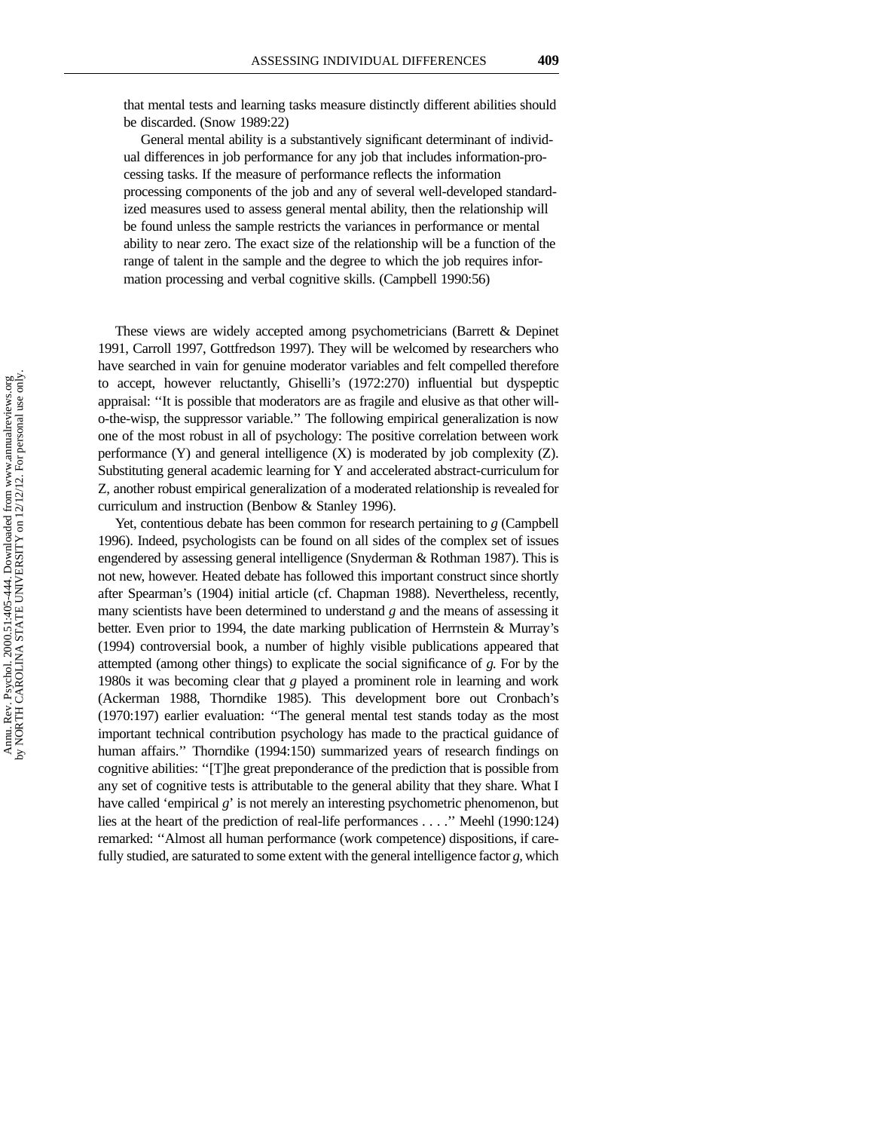that mental tests and learning tasks measure distinctly different abilities should be discarded. (Snow 1989:22)

General mental ability is a substantively significant determinant of individual differences in job performance for any job that includes information-processing tasks. If the measure of performance reflects the information processing components of the job and any of several well-developed standardized measures used to assess general mental ability, then the relationship will be found unless the sample restricts the variances in performance or mental ability to near zero. The exact size of the relationship will be a function of the range of talent in the sample and the degree to which the job requires information processing and verbal cognitive skills. (Campbell 1990:56)

These views are widely accepted among psychometricians (Barrett & Depinet 1991, Carroll 1997, Gottfredson 1997). They will be welcomed by researchers who have searched in vain for genuine moderator variables and felt compelled therefore to accept, however reluctantly, Ghiselli's (1972:270) influential but dyspeptic appraisal: ''It is possible that moderators are as fragile and elusive as that other willo-the-wisp, the suppressor variable.'' The following empirical generalization is now one of the most robust in all of psychology: The positive correlation between work performance (Y) and general intelligence (X) is moderated by job complexity (Z). Substituting general academic learning for Y and accelerated abstract-curriculum for Z, another robust empirical generalization of a moderated relationship is revealed for curriculum and instruction (Benbow & Stanley 1996).

Yet, contentious debate has been common for research pertaining to *g* (Campbell 1996). Indeed, psychologists can be found on all sides of the complex set of issues engendered by assessing general intelligence (Snyderman & Rothman 1987). This is not new, however. Heated debate has followed this important construct since shortly after Spearman's (1904) initial article (cf. Chapman 1988). Nevertheless, recently, many scientists have been determined to understand *g* and the means of assessing it better. Even prior to 1994, the date marking publication of Herrnstein & Murray's (1994) controversial book, a number of highly visible publications appeared that attempted (among other things) to explicate the social significance of *g.* For by the 1980s it was becoming clear that *g* played a prominent role in learning and work (Ackerman 1988, Thorndike 1985). This development bore out Cronbach's (1970:197) earlier evaluation: ''The general mental test stands today as the most important technical contribution psychology has made to the practical guidance of human affairs.'' Thorndike (1994:150) summarized years of research findings on cognitive abilities: ''[T]he great preponderance of the prediction that is possible from any set of cognitive tests is attributable to the general ability that they share. What I have called 'empirical *g*' is not merely an interesting psychometric phenomenon, but lies at the heart of the prediction of real-life performances . . . .'' Meehl (1990:124) remarked: ''Almost all human performance (work competence) dispositions, if carefully studied, are saturated to some extent with the general intelligence factor *g,* which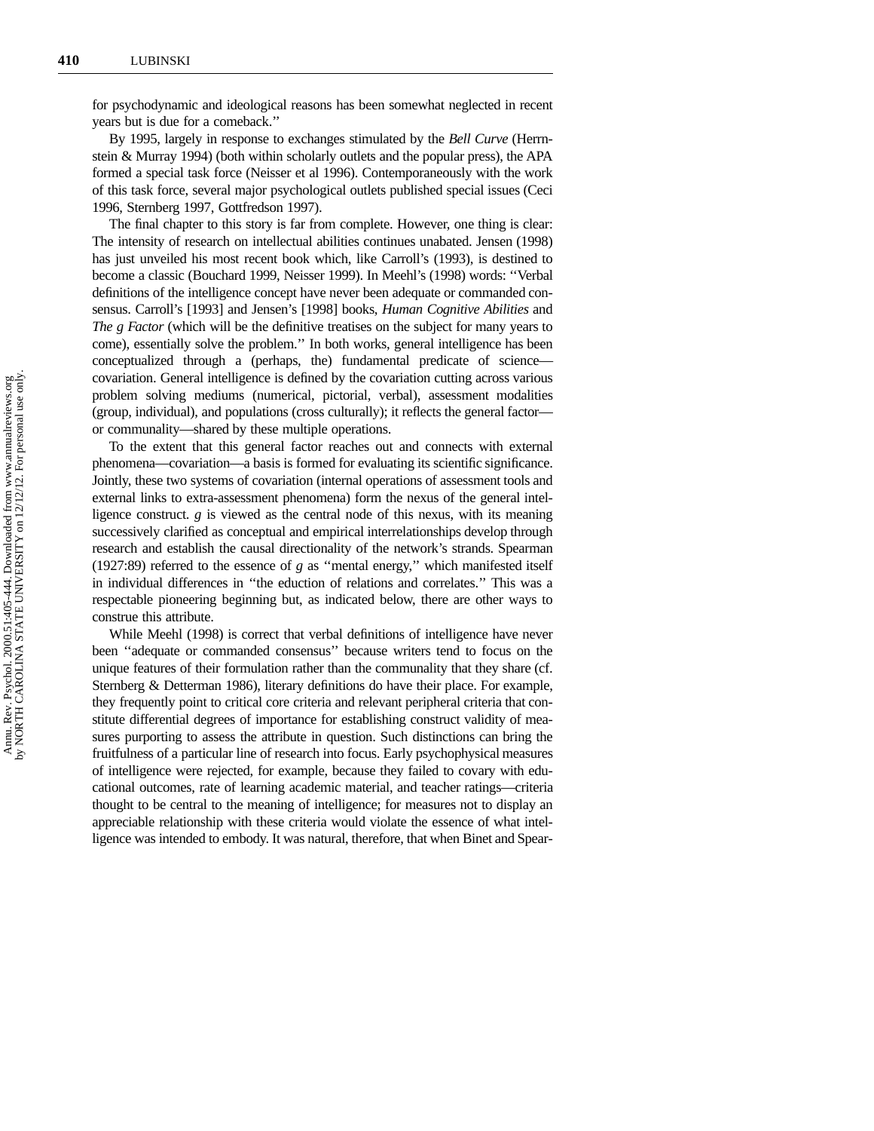for psychodynamic and ideological reasons has been somewhat neglected in recent years but is due for a comeback.''

By 1995, largely in response to exchanges stimulated by the *Bell Curve* (Herrnstein & Murray 1994) (both within scholarly outlets and the popular press), the APA formed a special task force (Neisser et al 1996). Contemporaneously with the work of this task force, several major psychological outlets published special issues (Ceci 1996, Sternberg 1997, Gottfredson 1997).

The final chapter to this story is far from complete. However, one thing is clear: The intensity of research on intellectual abilities continues unabated. Jensen (1998) has just unveiled his most recent book which, like Carroll's (1993), is destined to become a classic (Bouchard 1999, Neisser 1999). In Meehl's (1998) words: ''Verbal definitions of the intelligence concept have never been adequate or commanded consensus. Carroll's [1993] and Jensen's [1998] books, *Human Cognitive Abilities* and *The g Factor* (which will be the definitive treatises on the subject for many years to come), essentially solve the problem.'' In both works, general intelligence has been conceptualized through a (perhaps, the) fundamental predicate of science covariation. General intelligence is defined by the covariation cutting across various problem solving mediums (numerical, pictorial, verbal), assessment modalities (group, individual), and populations (cross culturally); it reflects the general factor or communality—shared by these multiple operations.

To the extent that this general factor reaches out and connects with external phenomena—covariation—a basis is formed for evaluating its scientific significance. Jointly, these two systems of covariation (internal operations of assessment tools and external links to extra-assessment phenomena) form the nexus of the general intelligence construct. *g* is viewed as the central node of this nexus, with its meaning successively clarified as conceptual and empirical interrelationships develop through research and establish the causal directionality of the network's strands. Spearman (1927:89) referred to the essence of *g* as ''mental energy,'' which manifested itself in individual differences in ''the eduction of relations and correlates.'' This was a respectable pioneering beginning but, as indicated below, there are other ways to construe this attribute.

While Meehl (1998) is correct that verbal definitions of intelligence have never been ''adequate or commanded consensus'' because writers tend to focus on the unique features of their formulation rather than the communality that they share (cf. Sternberg & Detterman 1986), literary definitions do have their place. For example, they frequently point to critical core criteria and relevant peripheral criteria that constitute differential degrees of importance for establishing construct validity of measures purporting to assess the attribute in question. Such distinctions can bring the fruitfulness of a particular line of research into focus. Early psychophysical measures of intelligence were rejected, for example, because they failed to covary with educational outcomes, rate of learning academic material, and teacher ratings—criteria thought to be central to the meaning of intelligence; for measures not to display an appreciable relationship with these criteria would violate the essence of what intelligence was intended to embody. It was natural, therefore, that when Binet and Spear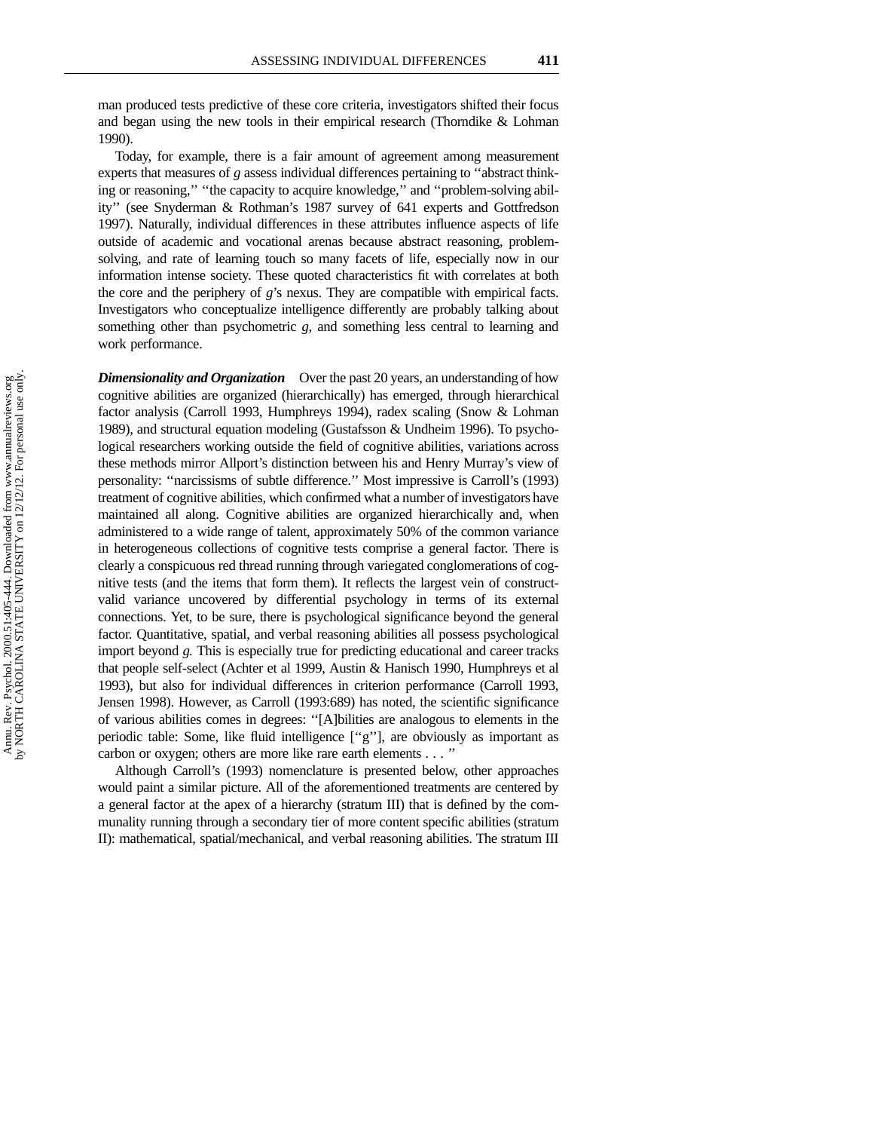man produced tests predictive of these core criteria, investigators shifted their focus and began using the new tools in their empirical research (Thorndike & Lohman 1990).

Today, for example, there is a fair amount of agreement among measurement experts that measures of *g* assess individual differences pertaining to ''abstract thinking or reasoning,'' ''the capacity to acquire knowledge,'' and ''problem-solving ability'' (see Snyderman & Rothman's 1987 survey of 641 experts and Gottfredson 1997). Naturally, individual differences in these attributes influence aspects of life outside of academic and vocational arenas because abstract reasoning, problemsolving, and rate of learning touch so many facets of life, especially now in our information intense society. These quoted characteristics fit with correlates at both the core and the periphery of *g*'s nexus. They are compatible with empirical facts. Investigators who conceptualize intelligence differently are probably talking about something other than psychometric *g,* and something less central to learning and work performance.

*Dimensionality and Organization* Over the past 20 years, an understanding of how cognitive abilities are organized (hierarchically) has emerged, through hierarchical factor analysis (Carroll 1993, Humphreys 1994), radex scaling (Snow & Lohman 1989), and structural equation modeling (Gustafsson & Undheim 1996). To psychological researchers working outside the field of cognitive abilities, variations across these methods mirror Allport's distinction between his and Henry Murray's view of personality: ''narcissisms of subtle difference.'' Most impressive is Carroll's (1993) treatment of cognitive abilities, which confirmed what a number of investigators have maintained all along. Cognitive abilities are organized hierarchically and, when administered to a wide range of talent, approximately 50% of the common variance in heterogeneous collections of cognitive tests comprise a general factor. There is clearly a conspicuous red thread running through variegated conglomerations of cognitive tests (and the items that form them). It reflects the largest vein of constructvalid variance uncovered by differential psychology in terms of its external connections. Yet, to be sure, there is psychological significance beyond the general factor. Quantitative, spatial, and verbal reasoning abilities all possess psychological import beyond *g.* This is especially true for predicting educational and career tracks that people self-select (Achter et al 1999, Austin & Hanisch 1990, Humphreys et al 1993), but also for individual differences in criterion performance (Carroll 1993, Jensen 1998). However, as Carroll (1993:689) has noted, the scientific significance of various abilities comes in degrees: ''[A]bilities are analogous to elements in the periodic table: Some, like fluid intelligence [''g''], are obviously as important as carbon or oxygen; others are more like rare earth elements . . . ''

Although Carroll's (1993) nomenclature is presented below, other approaches would paint a similar picture. All of the aforementioned treatments are centered by a general factor at the apex of a hierarchy (stratum III) that is defined by the communality running through a secondary tier of more content specific abilities (stratum II): mathematical, spatial/mechanical, and verbal reasoning abilities. The stratum III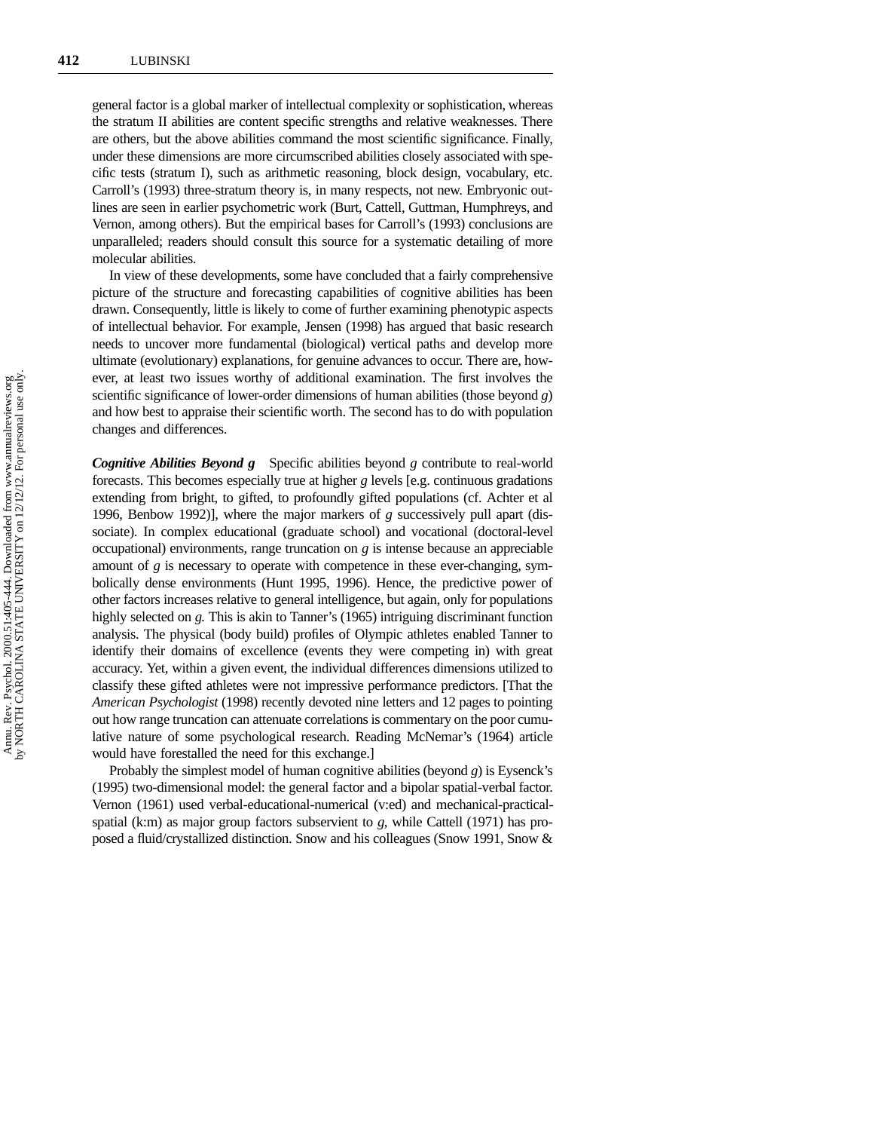general factor is a global marker of intellectual complexity or sophistication, whereas the stratum II abilities are content specific strengths and relative weaknesses. There are others, but the above abilities command the most scientific significance. Finally, under these dimensions are more circumscribed abilities closely associated with specific tests (stratum I), such as arithmetic reasoning, block design, vocabulary, etc. Carroll's (1993) three-stratum theory is, in many respects, not new. Embryonic outlines are seen in earlier psychometric work (Burt, Cattell, Guttman, Humphreys, and Vernon, among others). But the empirical bases for Carroll's (1993) conclusions are unparalleled; readers should consult this source for a systematic detailing of more molecular abilities.

In view of these developments, some have concluded that a fairly comprehensive picture of the structure and forecasting capabilities of cognitive abilities has been drawn. Consequently, little is likely to come of further examining phenotypic aspects of intellectual behavior. For example, Jensen (1998) has argued that basic research needs to uncover more fundamental (biological) vertical paths and develop more ultimate (evolutionary) explanations, for genuine advances to occur. There are, however, at least two issues worthy of additional examination. The first involves the scientific significance of lower-order dimensions of human abilities (those beyond *g*) and how best to appraise their scientific worth. The second has to do with population changes and differences.

*Cognitive Abilities Beyond g* Specific abilities beyond *g* contribute to real-world forecasts. This becomes especially true at higher *g* levels [e.g. continuous gradations extending from bright, to gifted, to profoundly gifted populations (cf. Achter et al 1996, Benbow 1992)], where the major markers of *g* successively pull apart (dissociate). In complex educational (graduate school) and vocational (doctoral-level occupational) environments, range truncation on *g* is intense because an appreciable amount of *g* is necessary to operate with competence in these ever-changing, symbolically dense environments (Hunt 1995, 1996). Hence, the predictive power of other factors increases relative to general intelligence, but again, only for populations highly selected on *g.* This is akin to Tanner's (1965) intriguing discriminant function analysis. The physical (body build) profiles of Olympic athletes enabled Tanner to identify their domains of excellence (events they were competing in) with great accuracy. Yet, within a given event, the individual differences dimensions utilized to classify these gifted athletes were not impressive performance predictors. [That the *American Psychologist* (1998) recently devoted nine letters and 12 pages to pointing out how range truncation can attenuate correlations is commentary on the poor cumulative nature of some psychological research. Reading McNemar's (1964) article would have forestalled the need for this exchange.]

Probably the simplest model of human cognitive abilities (beyond *g*) is Eysenck's (1995) two-dimensional model: the general factor and a bipolar spatial-verbal factor. Vernon (1961) used verbal-educational-numerical (v:ed) and mechanical-practicalspatial (k:m) as major group factors subservient to *g,* while Cattell (1971) has proposed a fluid/crystallized distinction. Snow and his colleagues (Snow 1991, Snow &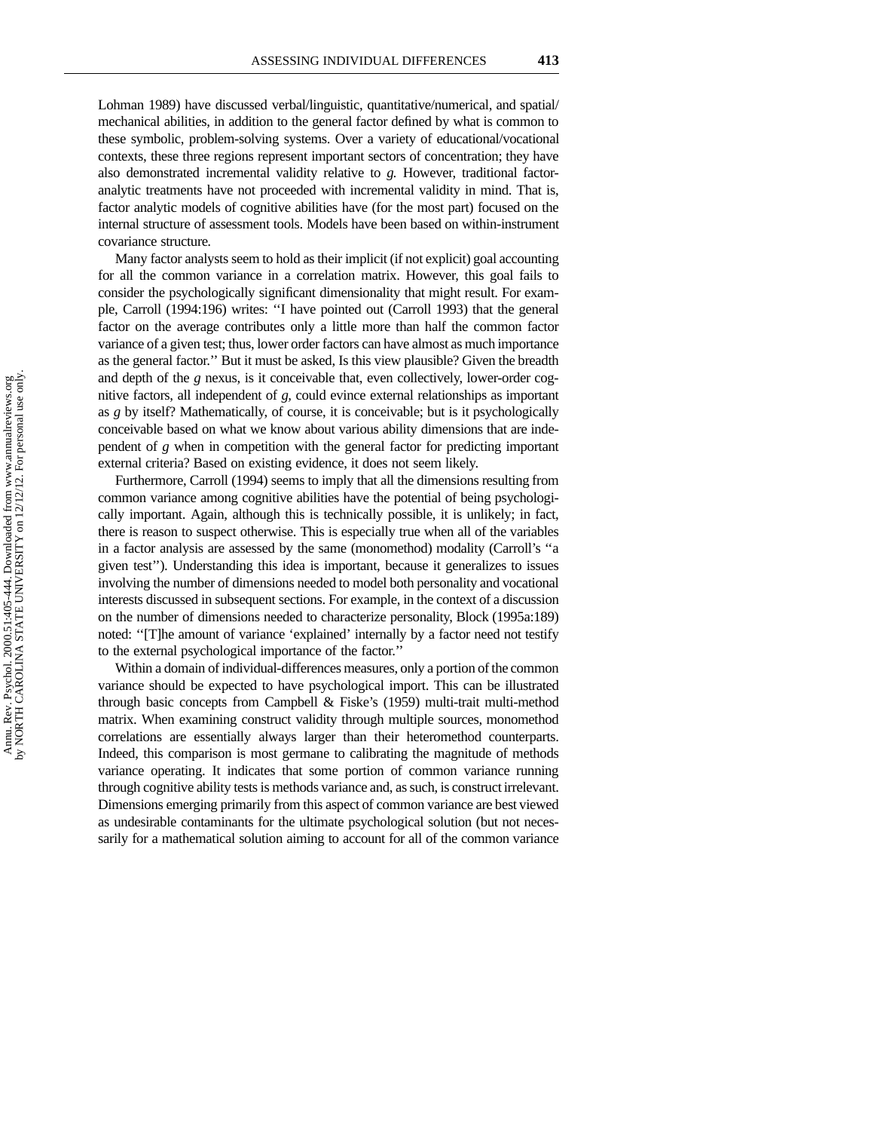Lohman 1989) have discussed verbal/linguistic, quantitative/numerical, and spatial/ mechanical abilities, in addition to the general factor defined by what is common to these symbolic, problem-solving systems. Over a variety of educational/vocational contexts, these three regions represent important sectors of concentration; they have also demonstrated incremental validity relative to *g.* However, traditional factoranalytic treatments have not proceeded with incremental validity in mind. That is, factor analytic models of cognitive abilities have (for the most part) focused on the internal structure of assessment tools. Models have been based on within-instrument covariance structure*.*

Many factor analysts seem to hold as their implicit (if not explicit) goal accounting for all the common variance in a correlation matrix. However, this goal fails to consider the psychologically significant dimensionality that might result. For example, Carroll (1994:196) writes: ''I have pointed out (Carroll 1993) that the general factor on the average contributes only a little more than half the common factor variance of a given test; thus, lower order factors can have almost as much importance as the general factor.'' But it must be asked, Is this view plausible? Given the breadth and depth of the *g* nexus, is it conceivable that, even collectively, lower-order cognitive factors, all independent of *g,* could evince external relationships as important as *g* by itself? Mathematically, of course, it is conceivable; but is it psychologically conceivable based on what we know about various ability dimensions that are independent of *g* when in competition with the general factor for predicting important external criteria? Based on existing evidence, it does not seem likely.

Furthermore, Carroll (1994) seems to imply that all the dimensions resulting from common variance among cognitive abilities have the potential of being psychologically important. Again, although this is technically possible, it is unlikely; in fact, there is reason to suspect otherwise. This is especially true when all of the variables in a factor analysis are assessed by the same (monomethod) modality (Carroll's ''a given test''). Understanding this idea is important, because it generalizes to issues involving the number of dimensions needed to model both personality and vocational interests discussed in subsequent sections. For example, in the context of a discussion on the number of dimensions needed to characterize personality, Block (1995a:189) noted: ''[T]he amount of variance 'explained' internally by a factor need not testify to the external psychological importance of the factor.''

Within a domain of individual-differences measures, only a portion of the common variance should be expected to have psychological import. This can be illustrated through basic concepts from Campbell & Fiske's (1959) multi-trait multi-method matrix. When examining construct validity through multiple sources, monomethod correlations are essentially always larger than their heteromethod counterparts. Indeed, this comparison is most germane to calibrating the magnitude of methods variance operating. It indicates that some portion of common variance running through cognitive ability tests is methods variance and, as such, is construct irrelevant. Dimensions emerging primarily from this aspect of common variance are best viewed as undesirable contaminants for the ultimate psychological solution (but not necessarily for a mathematical solution aiming to account for all of the common variance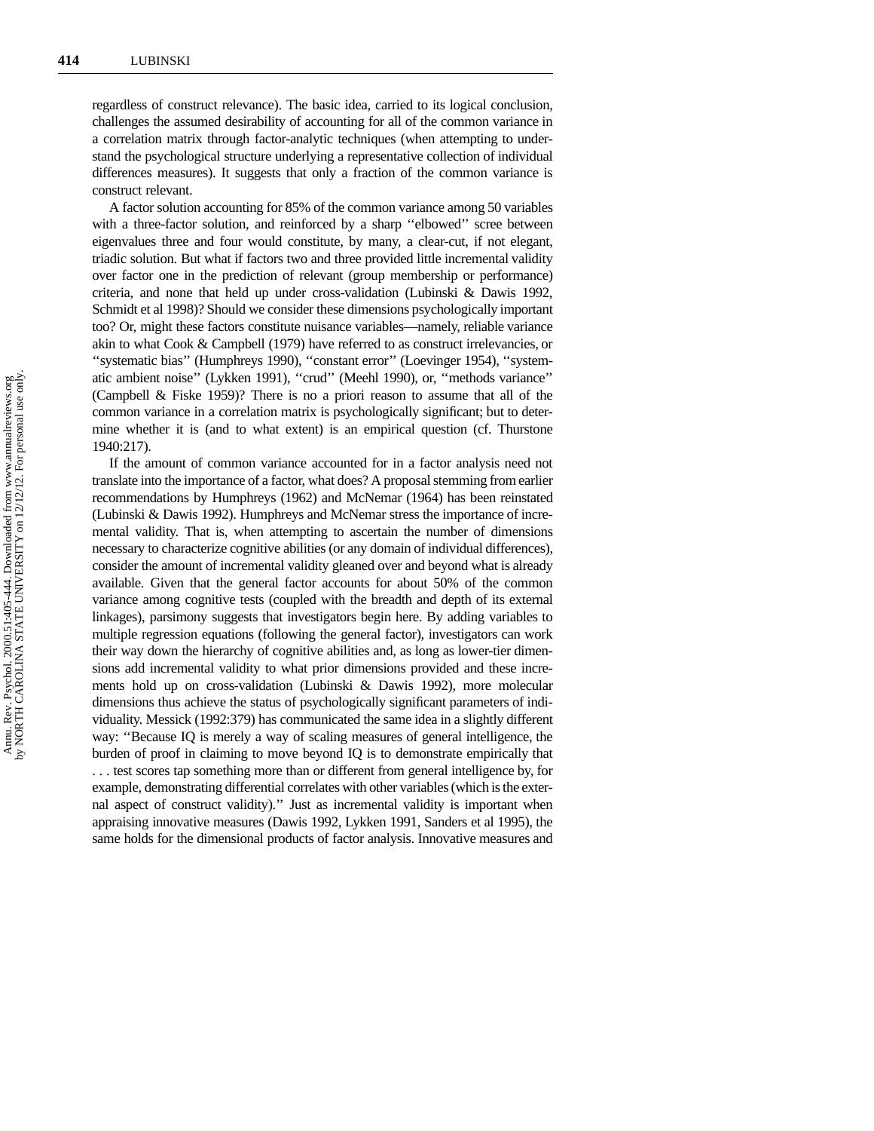regardless of construct relevance). The basic idea, carried to its logical conclusion, challenges the assumed desirability of accounting for all of the common variance in a correlation matrix through factor-analytic techniques (when attempting to understand the psychological structure underlying a representative collection of individual differences measures). It suggests that only a fraction of the common variance is construct relevant.

A factor solution accounting for 85% of the common variance among 50 variables with a three-factor solution, and reinforced by a sharp ''elbowed'' scree between eigenvalues three and four would constitute, by many, a clear-cut, if not elegant, triadic solution. But what if factors two and three provided little incremental validity over factor one in the prediction of relevant (group membership or performance) criteria, and none that held up under cross-validation (Lubinski & Dawis 1992, Schmidt et al 1998)? Should we consider these dimensions psychologically important too? Or, might these factors constitute nuisance variables—namely, reliable variance akin to what Cook & Campbell (1979) have referred to as construct irrelevancies, or ''systematic bias'' (Humphreys 1990), ''constant error'' (Loevinger 1954), ''systematic ambient noise'' (Lykken 1991), ''crud'' (Meehl 1990), or, ''methods variance'' (Campbell & Fiske 1959)? There is no a priori reason to assume that all of the common variance in a correlation matrix is psychologically significant; but to determine whether it is (and to what extent) is an empirical question (cf. Thurstone 1940:217).

If the amount of common variance accounted for in a factor analysis need not translate into the importance of a factor, what does? A proposal stemming from earlier recommendations by Humphreys (1962) and McNemar (1964) has been reinstated (Lubinski & Dawis 1992). Humphreys and McNemar stress the importance of incremental validity. That is, when attempting to ascertain the number of dimensions necessary to characterize cognitive abilities (or any domain of individual differences), consider the amount of incremental validity gleaned over and beyond what is already available. Given that the general factor accounts for about 50% of the common variance among cognitive tests (coupled with the breadth and depth of its external linkages), parsimony suggests that investigators begin here. By adding variables to multiple regression equations (following the general factor), investigators can work their way down the hierarchy of cognitive abilities and, as long as lower-tier dimensions add incremental validity to what prior dimensions provided and these increments hold up on cross-validation (Lubinski & Dawis 1992), more molecular dimensions thus achieve the status of psychologically significant parameters of individuality. Messick (1992:379) has communicated the same idea in a slightly different way: ''Because IQ is merely a way of scaling measures of general intelligence, the burden of proof in claiming to move beyond IQ is to demonstrate empirically that . . . test scores tap something more than or different from general intelligence by, for example, demonstrating differential correlates with other variables (which is the external aspect of construct validity).'' Just as incremental validity is important when appraising innovative measures (Dawis 1992, Lykken 1991, Sanders et al 1995), the same holds for the dimensional products of factor analysis. Innovative measures and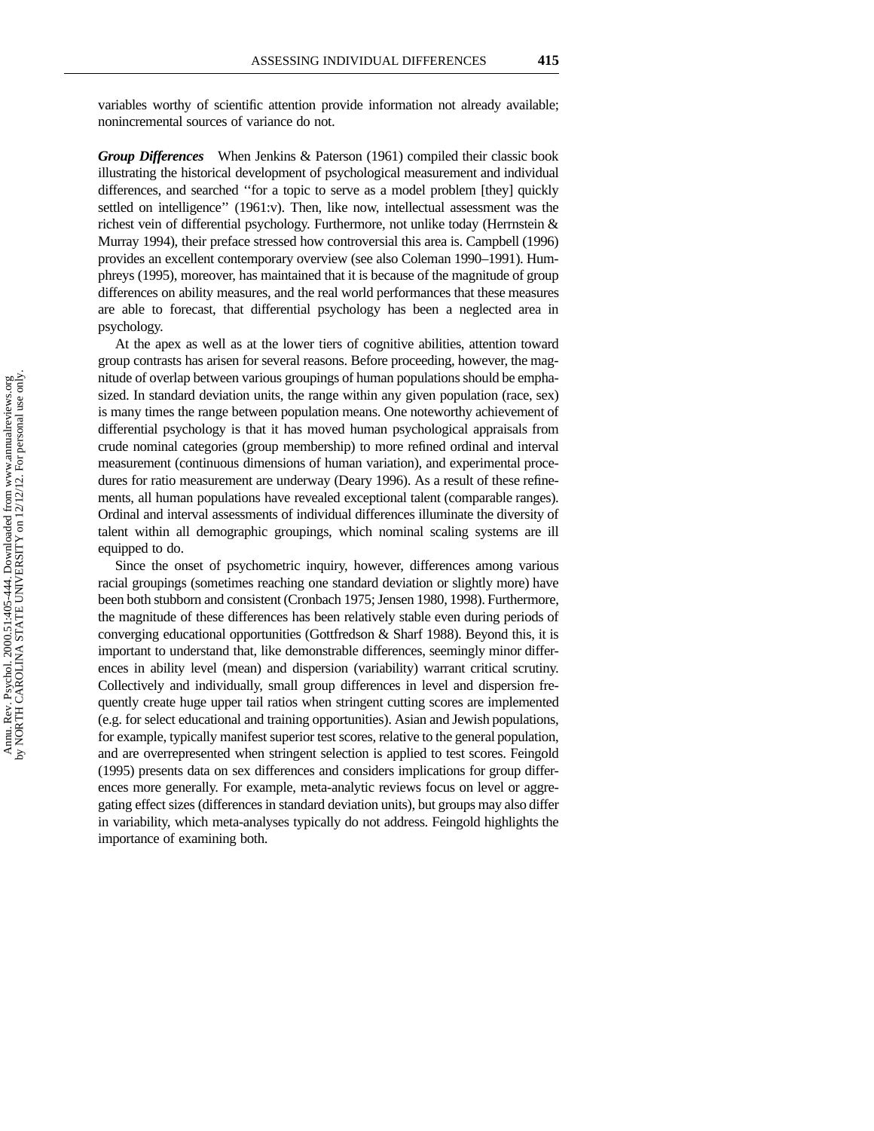variables worthy of scientific attention provide information not already available; nonincremental sources of variance do not.

*Group Differences* When Jenkins & Paterson (1961) compiled their classic book illustrating the historical development of psychological measurement and individual differences, and searched ''for a topic to serve as a model problem [they] quickly settled on intelligence'' (1961:v). Then, like now, intellectual assessment was the richest vein of differential psychology. Furthermore, not unlike today (Herrnstein & Murray 1994), their preface stressed how controversial this area is. Campbell (1996) provides an excellent contemporary overview (see also Coleman 1990–1991). Humphreys (1995), moreover, has maintained that it is because of the magnitude of group differences on ability measures, and the real world performances that these measures are able to forecast, that differential psychology has been a neglected area in psychology.

At the apex as well as at the lower tiers of cognitive abilities, attention toward group contrasts has arisen for several reasons. Before proceeding, however, the magnitude of overlap between various groupings of human populations should be emphasized. In standard deviation units, the range within any given population (race, sex) is many times the range between population means. One noteworthy achievement of differential psychology is that it has moved human psychological appraisals from crude nominal categories (group membership) to more refined ordinal and interval measurement (continuous dimensions of human variation), and experimental procedures for ratio measurement are underway (Deary 1996). As a result of these refinements, all human populations have revealed exceptional talent (comparable ranges). Ordinal and interval assessments of individual differences illuminate the diversity of talent within all demographic groupings, which nominal scaling systems are ill equipped to do.

Since the onset of psychometric inquiry, however, differences among various racial groupings (sometimes reaching one standard deviation or slightly more) have been both stubborn and consistent (Cronbach 1975; Jensen 1980, 1998). Furthermore, the magnitude of these differences has been relatively stable even during periods of converging educational opportunities (Gottfredson & Sharf 1988). Beyond this, it is important to understand that, like demonstrable differences, seemingly minor differences in ability level (mean) and dispersion (variability) warrant critical scrutiny. Collectively and individually, small group differences in level and dispersion frequently create huge upper tail ratios when stringent cutting scores are implemented (e.g. for select educational and training opportunities). Asian and Jewish populations, for example, typically manifest superior test scores, relative to the general population, and are overrepresented when stringent selection is applied to test scores. Feingold (1995) presents data on sex differences and considers implications for group differences more generally. For example, meta-analytic reviews focus on level or aggregating effect sizes (differences in standard deviation units), but groups may also differ in variability, which meta-analyses typically do not address. Feingold highlights the importance of examining both.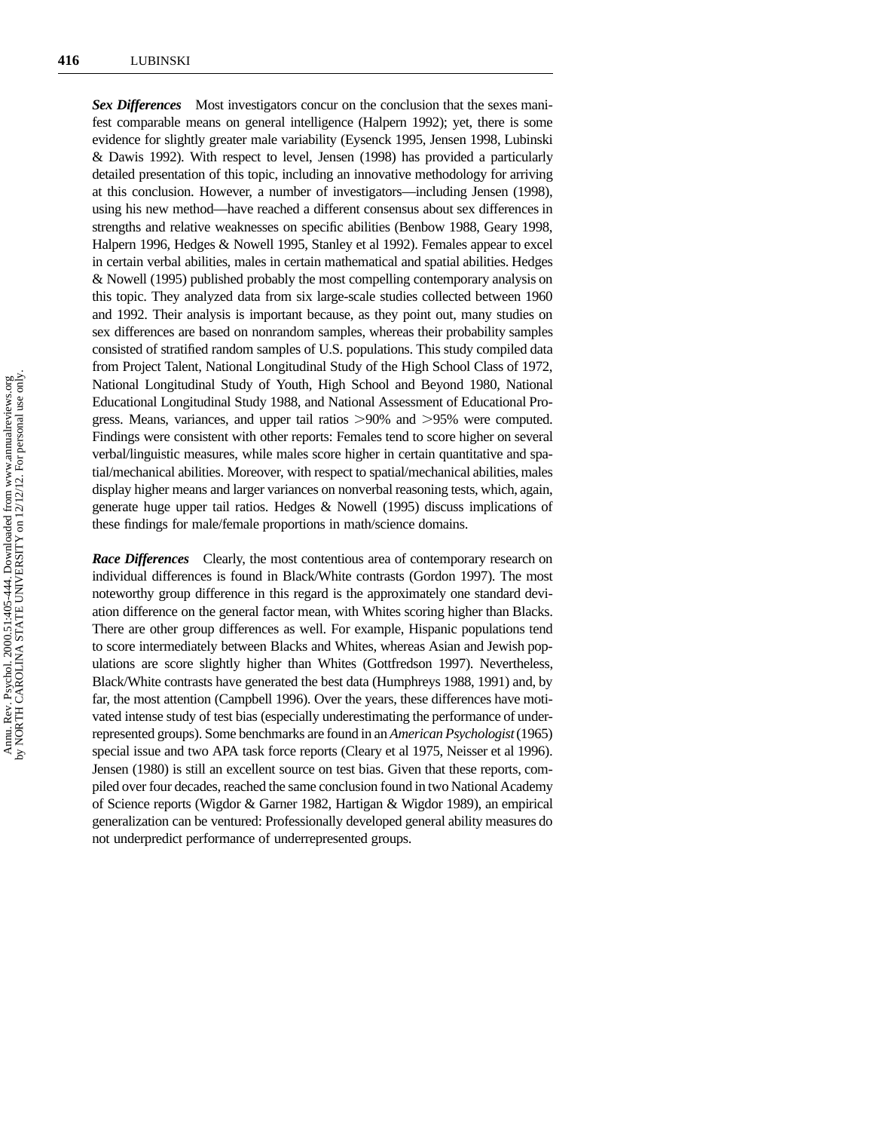*Sex Differences* Most investigators concur on the conclusion that the sexes manifest comparable means on general intelligence (Halpern 1992); yet, there is some evidence for slightly greater male variability (Eysenck 1995, Jensen 1998, Lubinski & Dawis 1992). With respect to level, Jensen (1998) has provided a particularly detailed presentation of this topic, including an innovative methodology for arriving at this conclusion. However, a number of investigators—including Jensen (1998), using his new method—have reached a different consensus about sex differences in strengths and relative weaknesses on specific abilities (Benbow 1988, Geary 1998, Halpern 1996, Hedges & Nowell 1995, Stanley et al 1992). Females appear to excel in certain verbal abilities, males in certain mathematical and spatial abilities. Hedges & Nowell (1995) published probably the most compelling contemporary analysis on this topic. They analyzed data from six large-scale studies collected between 1960 and 1992. Their analysis is important because, as they point out, many studies on sex differences are based on nonrandom samples, whereas their probability samples consisted of stratified random samples of U.S. populations. This study compiled data from Project Talent, National Longitudinal Study of the High School Class of 1972, National Longitudinal Study of Youth, High School and Beyond 1980, National Educational Longitudinal Study 1988, and National Assessment of Educational Progress. Means, variances, and upper tail ratios  $>90\%$  and  $>95\%$  were computed. Findings were consistent with other reports: Females tend to score higher on several verbal/linguistic measures, while males score higher in certain quantitative and spatial/mechanical abilities. Moreover, with respect to spatial/mechanical abilities, males display higher means and larger variances on nonverbal reasoning tests, which, again, generate huge upper tail ratios. Hedges & Nowell (1995) discuss implications of these findings for male/female proportions in math/science domains.

*Race Differences* Clearly, the most contentious area of contemporary research on individual differences is found in Black/White contrasts (Gordon 1997). The most noteworthy group difference in this regard is the approximately one standard deviation difference on the general factor mean, with Whites scoring higher than Blacks. There are other group differences as well. For example, Hispanic populations tend to score intermediately between Blacks and Whites, whereas Asian and Jewish populations are score slightly higher than Whites (Gottfredson 1997). Nevertheless, Black/White contrasts have generated the best data (Humphreys 1988, 1991) and, by far, the most attention (Campbell 1996). Over the years, these differences have motivated intense study of test bias (especially underestimating the performance of underrepresented groups). Some benchmarks are found in an *American Psychologist*(1965) special issue and two APA task force reports (Cleary et al 1975, Neisser et al 1996). Jensen (1980) is still an excellent source on test bias. Given that these reports, compiled over four decades, reached the same conclusion found in two National Academy of Science reports (Wigdor & Garner 1982, Hartigan & Wigdor 1989), an empirical generalization can be ventured: Professionally developed general ability measures do not underpredict performance of underrepresented groups.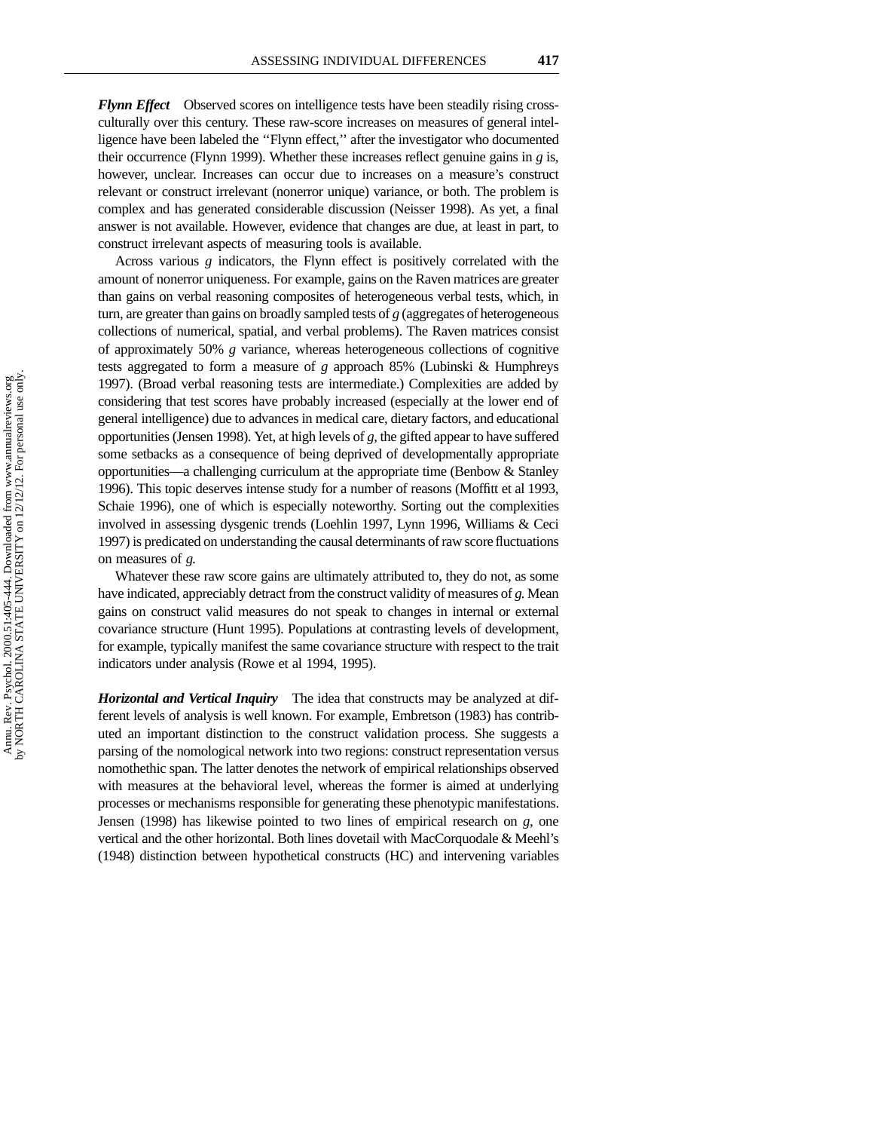*Flynn Effect* Observed scores on intelligence tests have been steadily rising crossculturally over this century. These raw-score increases on measures of general intelligence have been labeled the ''Flynn effect,'' after the investigator who documented their occurrence (Flynn 1999). Whether these increases reflect genuine gains in *g* is, however, unclear. Increases can occur due to increases on a measure's construct relevant or construct irrelevant (nonerror unique) variance, or both. The problem is complex and has generated considerable discussion (Neisser 1998). As yet, a final answer is not available. However, evidence that changes are due, at least in part, to construct irrelevant aspects of measuring tools is available.

Across various *g* indicators, the Flynn effect is positively correlated with the amount of nonerror uniqueness. For example, gains on the Raven matrices are greater than gains on verbal reasoning composites of heterogeneous verbal tests, which, in turn, are greater than gains on broadly sampled tests of *g* (aggregates of heterogeneous collections of numerical, spatial, and verbal problems). The Raven matrices consist of approximately 50% *g* variance, whereas heterogeneous collections of cognitive tests aggregated to form a measure of *g* approach 85% (Lubinski & Humphreys 1997). (Broad verbal reasoning tests are intermediate.) Complexities are added by considering that test scores have probably increased (especially at the lower end of general intelligence) due to advances in medical care, dietary factors, and educational opportunities (Jensen 1998). Yet, at high levels of *g,* the gifted appear to have suffered some setbacks as a consequence of being deprived of developmentally appropriate opportunities—a challenging curriculum at the appropriate time (Benbow & Stanley 1996). This topic deserves intense study for a number of reasons (Moffitt et al 1993, Schaie 1996), one of which is especially noteworthy. Sorting out the complexities involved in assessing dysgenic trends (Loehlin 1997, Lynn 1996, Williams & Ceci 1997) is predicated on understanding the causal determinants of raw score fluctuations on measures of *g.*

Whatever these raw score gains are ultimately attributed to, they do not, as some have indicated, appreciably detract from the construct validity of measures of *g.* Mean gains on construct valid measures do not speak to changes in internal or external covariance structure (Hunt 1995). Populations at contrasting levels of development, for example, typically manifest the same covariance structure with respect to the trait indicators under analysis (Rowe et al 1994, 1995).

*Horizontal and Vertical Inquiry* The idea that constructs may be analyzed at different levels of analysis is well known. For example, Embretson (1983) has contributed an important distinction to the construct validation process. She suggests a parsing of the nomological network into two regions: construct representation versus nomothethic span. The latter denotes the network of empirical relationships observed with measures at the behavioral level, whereas the former is aimed at underlying processes or mechanisms responsible for generating these phenotypic manifestations. Jensen (1998) has likewise pointed to two lines of empirical research on *g,* one vertical and the other horizontal. Both lines dovetail with MacCorquodale & Meehl's (1948) distinction between hypothetical constructs (HC) and intervening variables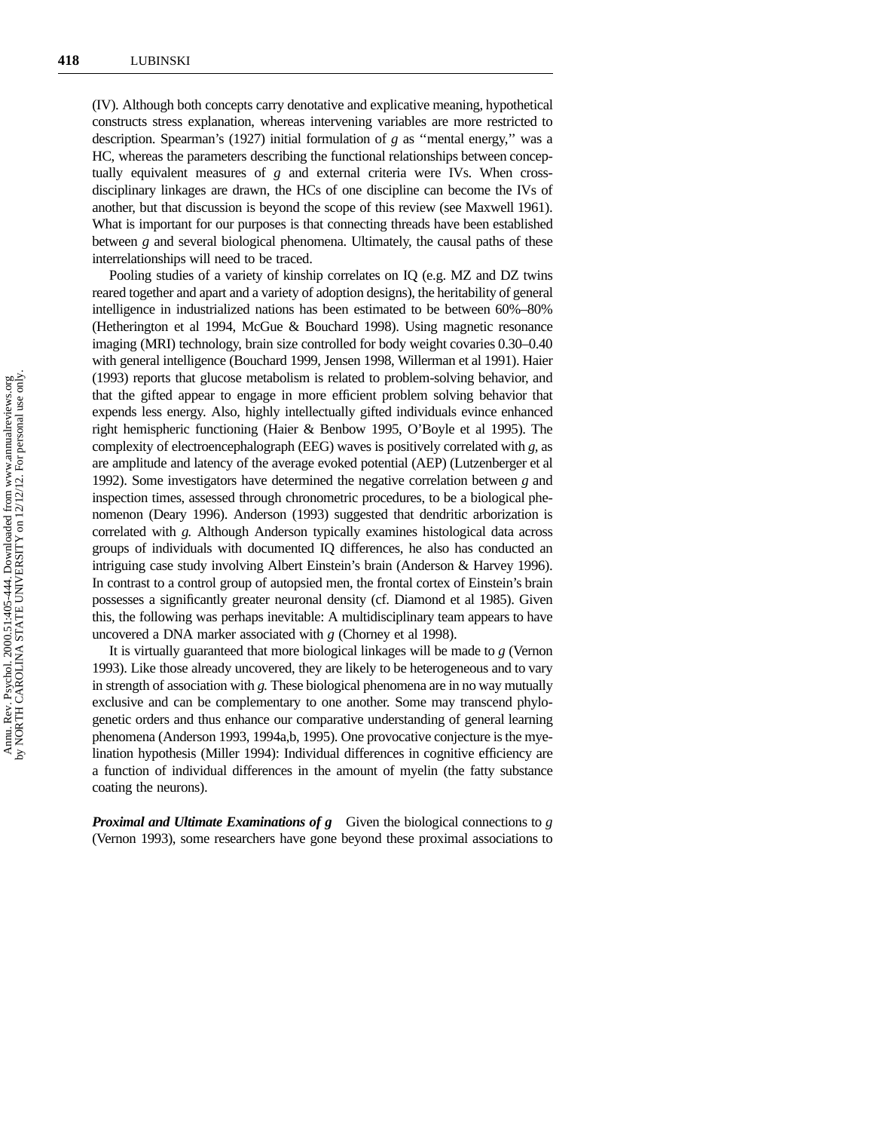(IV). Although both concepts carry denotative and explicative meaning, hypothetical constructs stress explanation, whereas intervening variables are more restricted to description. Spearman's (1927) initial formulation of *g* as ''mental energy,'' was a HC, whereas the parameters describing the functional relationships between conceptually equivalent measures of *g* and external criteria were IVs. When crossdisciplinary linkages are drawn, the HCs of one discipline can become the IVs of another, but that discussion is beyond the scope of this review (see Maxwell 1961). What is important for our purposes is that connecting threads have been established between *g* and several biological phenomena. Ultimately, the causal paths of these interrelationships will need to be traced.

Pooling studies of a variety of kinship correlates on IQ (e.g. MZ and DZ twins reared together and apart and a variety of adoption designs), the heritability of general intelligence in industrialized nations has been estimated to be between 60%–80% (Hetherington et al 1994, McGue & Bouchard 1998). Using magnetic resonance imaging (MRI) technology, brain size controlled for body weight covaries 0.30–0.40 with general intelligence (Bouchard 1999, Jensen 1998, Willerman et al 1991). Haier (1993) reports that glucose metabolism is related to problem-solving behavior, and that the gifted appear to engage in more efficient problem solving behavior that expends less energy. Also, highly intellectually gifted individuals evince enhanced right hemispheric functioning (Haier & Benbow 1995, O'Boyle et al 1995). The complexity of electroencephalograph (EEG) waves is positively correlated with *g,* as are amplitude and latency of the average evoked potential (AEP) (Lutzenberger et al 1992). Some investigators have determined the negative correlation between *g* and inspection times, assessed through chronometric procedures, to be a biological phenomenon (Deary 1996). Anderson (1993) suggested that dendritic arborization is correlated with *g.* Although Anderson typically examines histological data across groups of individuals with documented IQ differences, he also has conducted an intriguing case study involving Albert Einstein's brain (Anderson & Harvey 1996). In contrast to a control group of autopsied men, the frontal cortex of Einstein's brain possesses a significantly greater neuronal density (cf. Diamond et al 1985). Given this, the following was perhaps inevitable: A multidisciplinary team appears to have uncovered a DNA marker associated with *g* (Chorney et al 1998).

It is virtually guaranteed that more biological linkages will be made to *g* (Vernon 1993). Like those already uncovered, they are likely to be heterogeneous and to vary in strength of association with *g.* These biological phenomena are in no way mutually exclusive and can be complementary to one another. Some may transcend phylogenetic orders and thus enhance our comparative understanding of general learning phenomena (Anderson 1993, 1994a,b, 1995). One provocative conjecture is the myelination hypothesis (Miller 1994): Individual differences in cognitive efficiency are a function of individual differences in the amount of myelin (the fatty substance coating the neurons).

*Proximal and Ultimate Examinations of g* Given the biological connections to *g* (Vernon 1993), some researchers have gone beyond these proximal associations to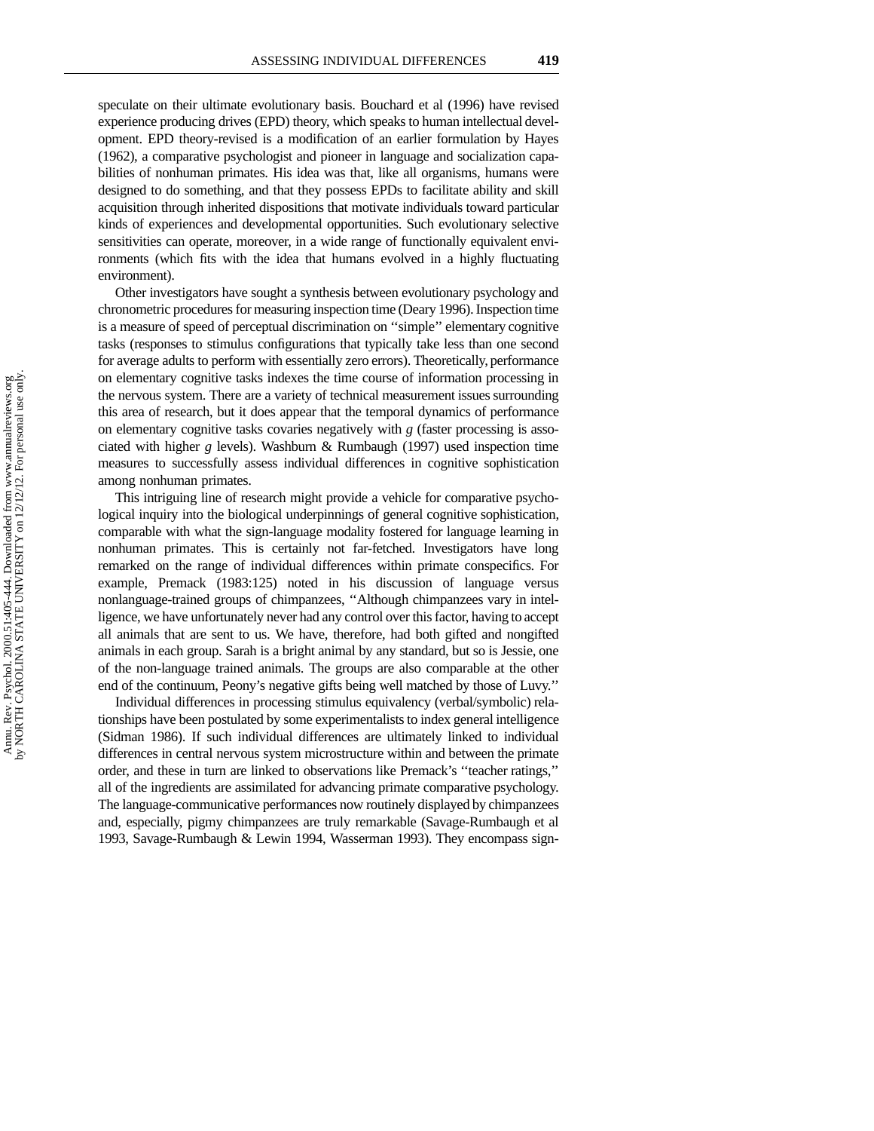speculate on their ultimate evolutionary basis. Bouchard et al (1996) have revised experience producing drives (EPD) theory, which speaks to human intellectual development. EPD theory-revised is a modification of an earlier formulation by Hayes

(1962), a comparative psychologist and pioneer in language and socialization capabilities of nonhuman primates. His idea was that, like all organisms, humans were designed to do something, and that they possess EPDs to facilitate ability and skill acquisition through inherited dispositions that motivate individuals toward particular kinds of experiences and developmental opportunities. Such evolutionary selective sensitivities can operate, moreover, in a wide range of functionally equivalent environments (which fits with the idea that humans evolved in a highly fluctuating environment).

Other investigators have sought a synthesis between evolutionary psychology and chronometric procedures for measuring inspection time (Deary 1996). Inspection time is a measure of speed of perceptual discrimination on ''simple'' elementary cognitive tasks (responses to stimulus configurations that typically take less than one second for average adults to perform with essentially zero errors). Theoretically, performance on elementary cognitive tasks indexes the time course of information processing in the nervous system. There are a variety of technical measurement issues surrounding this area of research, but it does appear that the temporal dynamics of performance on elementary cognitive tasks covaries negatively with *g* (faster processing is associated with higher *g* levels). Washburn & Rumbaugh (1997) used inspection time measures to successfully assess individual differences in cognitive sophistication among nonhuman primates.

This intriguing line of research might provide a vehicle for comparative psychological inquiry into the biological underpinnings of general cognitive sophistication, comparable with what the sign-language modality fostered for language learning in nonhuman primates. This is certainly not far-fetched. Investigators have long remarked on the range of individual differences within primate conspecifics. For example, Premack (1983:125) noted in his discussion of language versus nonlanguage-trained groups of chimpanzees, ''Although chimpanzees vary in intelligence, we have unfortunately never had any control over this factor, having to accept all animals that are sent to us. We have, therefore, had both gifted and nongifted animals in each group. Sarah is a bright animal by any standard, but so is Jessie, one of the non-language trained animals. The groups are also comparable at the other end of the continuum, Peony's negative gifts being well matched by those of Luvy.''

Individual differences in processing stimulus equivalency (verbal/symbolic) relationships have been postulated by some experimentalists to index general intelligence (Sidman 1986). If such individual differences are ultimately linked to individual differences in central nervous system microstructure within and between the primate order, and these in turn are linked to observations like Premack's ''teacher ratings,'' all of the ingredients are assimilated for advancing primate comparative psychology. The language-communicative performances now routinely displayed by chimpanzees and, especially, pigmy chimpanzees are truly remarkable (Savage-Rumbaugh et al 1993, Savage-Rumbaugh & Lewin 1994, Wasserman 1993). They encompass sign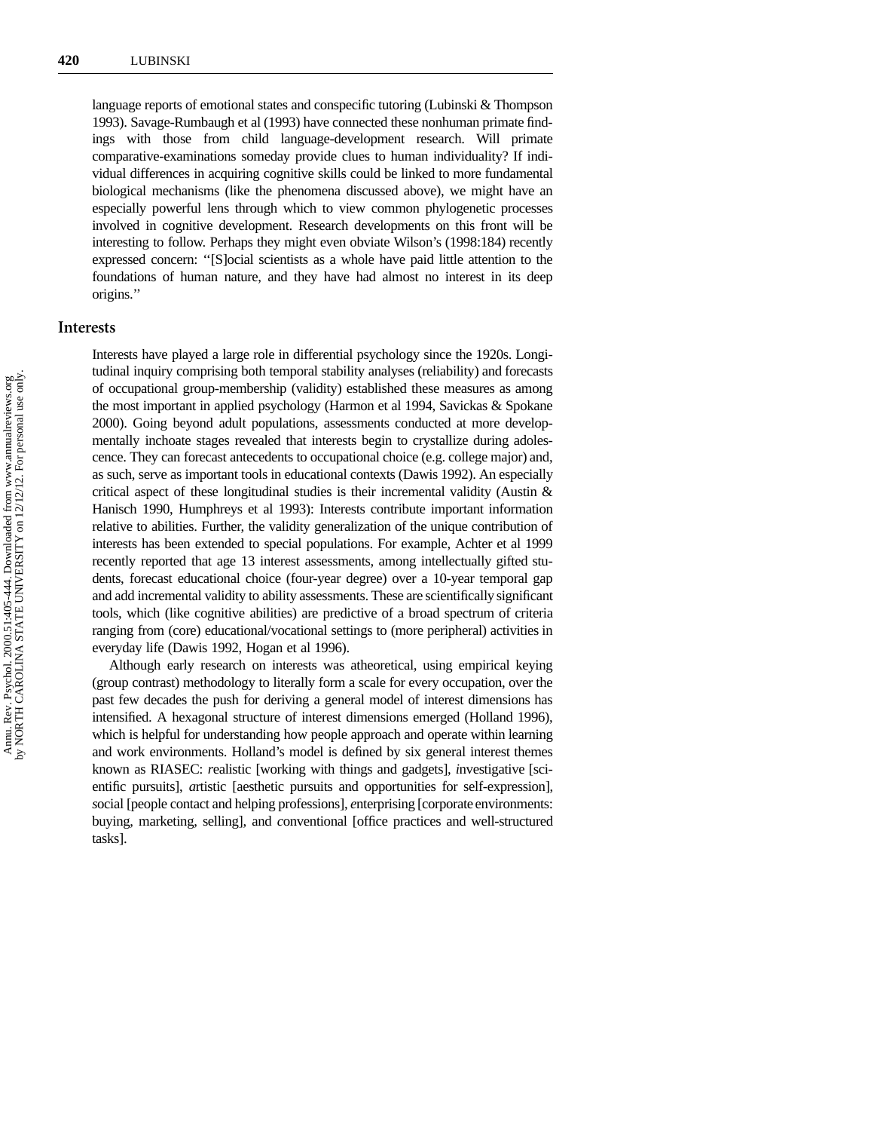language reports of emotional states and conspecific tutoring (Lubinski & Thompson 1993). Savage-Rumbaugh et al (1993) have connected these nonhuman primate findings with those from child language-development research. Will primate comparative-examinations someday provide clues to human individuality? If individual differences in acquiring cognitive skills could be linked to more fundamental biological mechanisms (like the phenomena discussed above), we might have an especially powerful lens through which to view common phylogenetic processes involved in cognitive development. Research developments on this front will be interesting to follow. Perhaps they might even obviate Wilson's (1998:184) recently expressed concern: ''[S]ocial scientists as a whole have paid little attention to the foundations of human nature, and they have had almost no interest in its deep origins.''

#### **Interests**

Interests have played a large role in differential psychology since the 1920s. Longitudinal inquiry comprising both temporal stability analyses (reliability) and forecasts of occupational group-membership (validity) established these measures as among the most important in applied psychology (Harmon et al 1994, Savickas & Spokane 2000). Going beyond adult populations, assessments conducted at more developmentally inchoate stages revealed that interests begin to crystallize during adolescence. They can forecast antecedents to occupational choice (e.g. college major) and, as such, serve as important tools in educational contexts (Dawis 1992). An especially critical aspect of these longitudinal studies is their incremental validity (Austin & Hanisch 1990, Humphreys et al 1993): Interests contribute important information relative to abilities. Further, the validity generalization of the unique contribution of interests has been extended to special populations. For example, Achter et al 1999 recently reported that age 13 interest assessments, among intellectually gifted students, forecast educational choice (four-year degree) over a 10-year temporal gap and add incremental validity to ability assessments. These are scientifically significant tools, which (like cognitive abilities) are predictive of a broad spectrum of criteria ranging from (core) educational/vocational settings to (more peripheral) activities in everyday life (Dawis 1992, Hogan et al 1996).

Although early research on interests was atheoretical, using empirical keying (group contrast) methodology to literally form a scale for every occupation, over the past few decades the push for deriving a general model of interest dimensions has intensified. A hexagonal structure of interest dimensions emerged (Holland 1996), which is helpful for understanding how people approach and operate within learning and work environments. Holland's model is defined by six general interest themes known as RIASEC: *r*ealistic [working with things and gadgets], *i*nvestigative [scientific pursuits], *a*rtistic [aesthetic pursuits and opportunities for self-expression], *s*ocial [people contact and helping professions], *e*nterprising [corporate environments: buying, marketing, selling], and *c*onventional [office practices and well-structured tasks].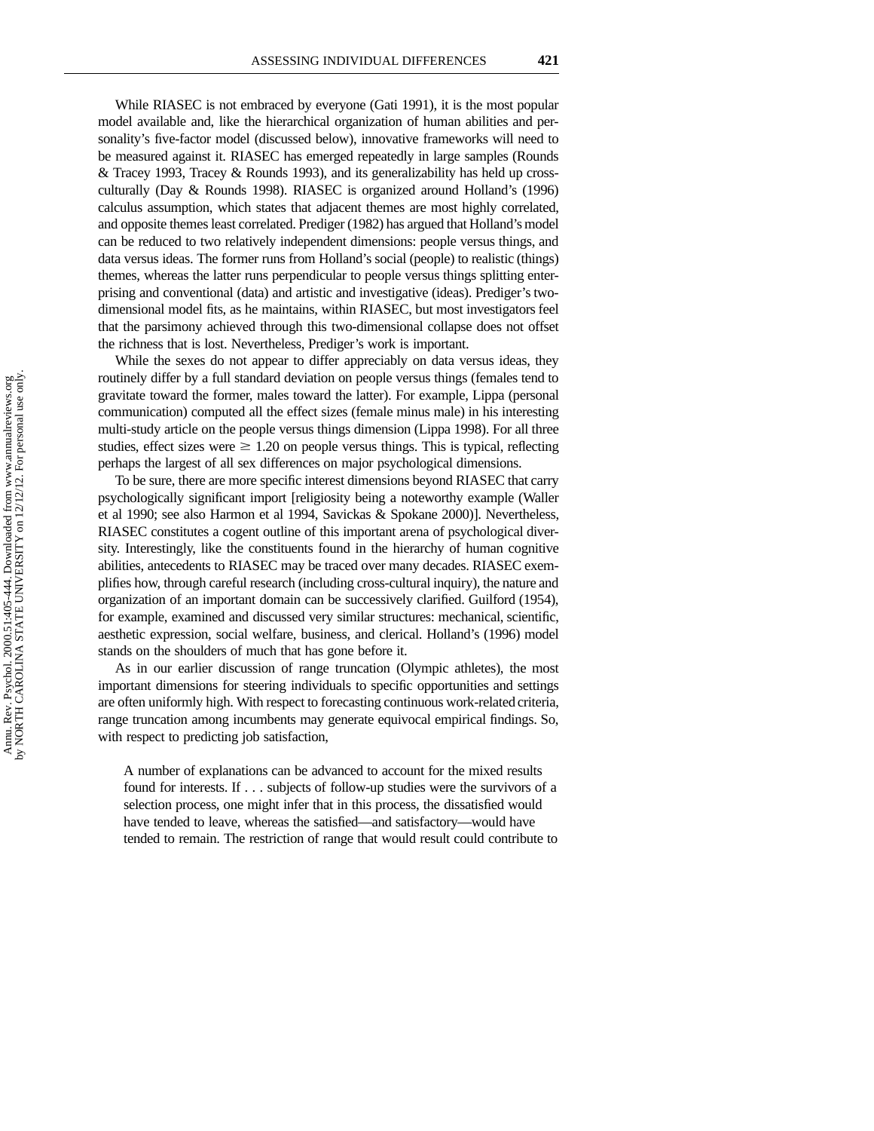While RIASEC is not embraced by everyone (Gati 1991), it is the most popular model available and, like the hierarchical organization of human abilities and personality's five-factor model (discussed below), innovative frameworks will need to be measured against it. RIASEC has emerged repeatedly in large samples (Rounds & Tracey 1993, Tracey & Rounds 1993), and its generalizability has held up crossculturally (Day & Rounds 1998). RIASEC is organized around Holland's (1996) calculus assumption, which states that adjacent themes are most highly correlated, and opposite themes least correlated. Prediger (1982) has argued that Holland's model can be reduced to two relatively independent dimensions: people versus things, and data versus ideas. The former runs from Holland's social (people) to realistic (things) themes, whereas the latter runs perpendicular to people versus things splitting enterprising and conventional (data) and artistic and investigative (ideas). Prediger's twodimensional model fits, as he maintains, within RIASEC, but most investigators feel that the parsimony achieved through this two-dimensional collapse does not offset the richness that is lost. Nevertheless, Prediger's work is important.

While the sexes do not appear to differ appreciably on data versus ideas, they routinely differ by a full standard deviation on people versus things (females tend to gravitate toward the former, males toward the latter). For example, Lippa (personal communication) computed all the effect sizes (female minus male) in his interesting multi-study article on the people versus things dimension (Lippa 1998). For all three studies, effect sizes were  $\geq 1.20$  on people versus things. This is typical, reflecting perhaps the largest of all sex differences on major psychological dimensions.

To be sure, there are more specific interest dimensions beyond RIASEC that carry psychologically significant import [religiosity being a noteworthy example (Waller et al 1990; see also Harmon et al 1994, Savickas & Spokane 2000)]. Nevertheless, RIASEC constitutes a cogent outline of this important arena of psychological diversity. Interestingly, like the constituents found in the hierarchy of human cognitive abilities, antecedents to RIASEC may be traced over many decades. RIASEC exemplifies how, through careful research (including cross-cultural inquiry), the nature and organization of an important domain can be successively clarified. Guilford (1954), for example, examined and discussed very similar structures: mechanical, scientific, aesthetic expression, social welfare, business, and clerical. Holland's (1996) model stands on the shoulders of much that has gone before it.

As in our earlier discussion of range truncation (Olympic athletes), the most important dimensions for steering individuals to specific opportunities and settings are often uniformly high. With respect to forecasting continuous work-related criteria, range truncation among incumbents may generate equivocal empirical findings. So, with respect to predicting job satisfaction,

A number of explanations can be advanced to account for the mixed results found for interests. If . . . subjects of follow-up studies were the survivors of a selection process, one might infer that in this process, the dissatisfied would have tended to leave, whereas the satisfied—and satisfactory—would have tended to remain. The restriction of range that would result could contribute to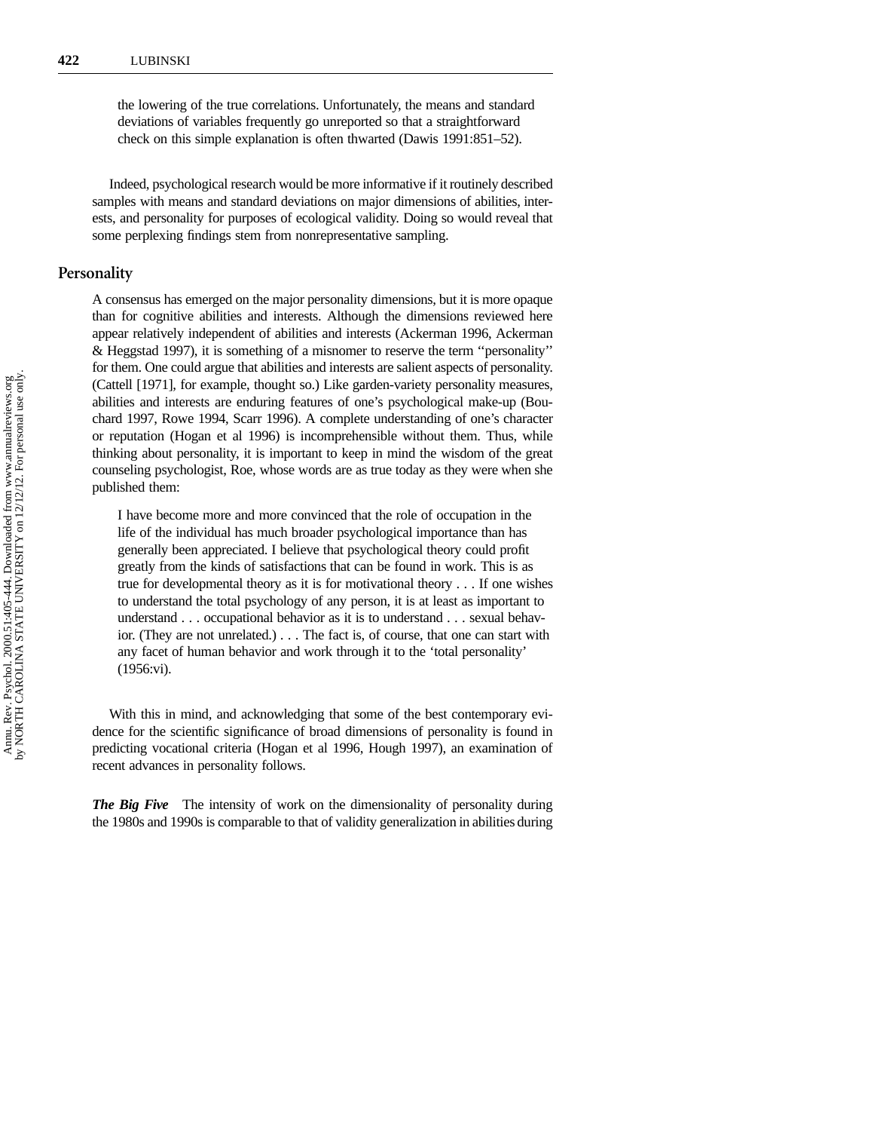the lowering of the true correlations. Unfortunately, the means and standard deviations of variables frequently go unreported so that a straightforward check on this simple explanation is often thwarted (Dawis 1991:851–52).

Indeed, psychological research would be more informative if it routinely described samples with means and standard deviations on major dimensions of abilities, interests, and personality for purposes of ecological validity. Doing so would reveal that some perplexing findings stem from nonrepresentative sampling.

#### **Personality**

A consensus has emerged on the major personality dimensions, but it is more opaque than for cognitive abilities and interests. Although the dimensions reviewed here appear relatively independent of abilities and interests (Ackerman 1996, Ackerman & Heggstad 1997), it is something of a misnomer to reserve the term ''personality'' for them. One could argue that abilities and interests are salient aspects of personality. (Cattell [1971], for example, thought so.) Like garden-variety personality measures, abilities and interests are enduring features of one's psychological make-up (Bouchard 1997, Rowe 1994, Scarr 1996). A complete understanding of one's character or reputation (Hogan et al 1996) is incomprehensible without them. Thus, while thinking about personality, it is important to keep in mind the wisdom of the great counseling psychologist, Roe, whose words are as true today as they were when she published them:

I have become more and more convinced that the role of occupation in the life of the individual has much broader psychological importance than has generally been appreciated. I believe that psychological theory could profit greatly from the kinds of satisfactions that can be found in work. This is as true for developmental theory as it is for motivational theory . . . If one wishes to understand the total psychology of any person, it is at least as important to understand . . . occupational behavior as it is to understand . . . sexual behavior. (They are not unrelated.) . . . The fact is, of course, that one can start with any facet of human behavior and work through it to the 'total personality' (1956:vi).

With this in mind, and acknowledging that some of the best contemporary evidence for the scientific significance of broad dimensions of personality is found in predicting vocational criteria (Hogan et al 1996, Hough 1997), an examination of recent advances in personality follows.

*The Big Five* The intensity of work on the dimensionality of personality during the 1980s and 1990s is comparable to that of validity generalization in abilities during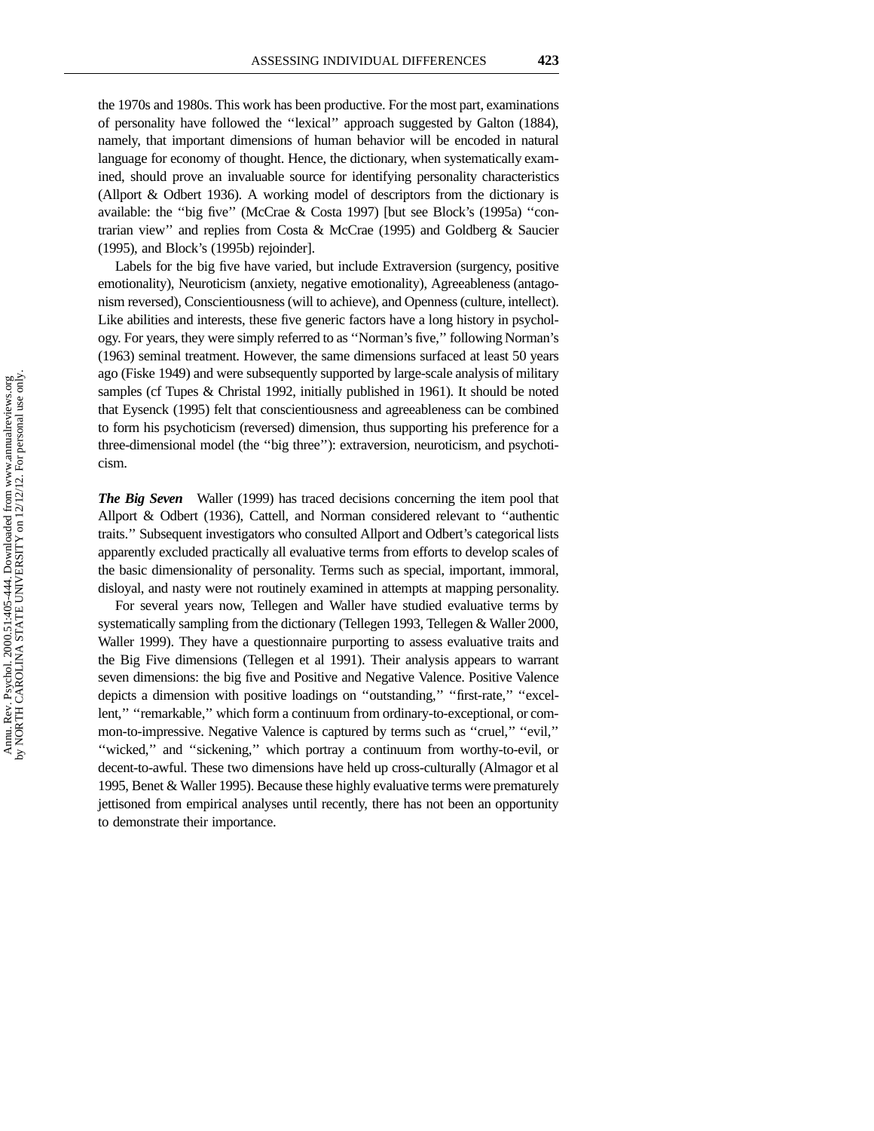the 1970s and 1980s. This work has been productive. For the most part, examinations of personality have followed the ''lexical'' approach suggested by Galton (1884), namely, that important dimensions of human behavior will be encoded in natural language for economy of thought. Hence, the dictionary, when systematically examined, should prove an invaluable source for identifying personality characteristics (Allport & Odbert 1936). A working model of descriptors from the dictionary is available: the ''big five'' (McCrae & Costa 1997) [but see Block's (1995a) ''contrarian view'' and replies from Costa & McCrae (1995) and Goldberg & Saucier (1995), and Block's (1995b) rejoinder].

Labels for the big five have varied, but include Extraversion (surgency, positive emotionality), Neuroticism (anxiety, negative emotionality), Agreeableness (antagonism reversed), Conscientiousness (will to achieve), and Openness (culture, intellect). Like abilities and interests, these five generic factors have a long history in psychology. For years, they were simply referred to as ''Norman's five,'' following Norman's (1963) seminal treatment. However, the same dimensions surfaced at least 50 years ago (Fiske 1949) and were subsequently supported by large-scale analysis of military samples (cf Tupes & Christal 1992, initially published in 1961). It should be noted that Eysenck (1995) felt that conscientiousness and agreeableness can be combined to form his psychoticism (reversed) dimension, thus supporting his preference for a three-dimensional model (the ''big three''): extraversion, neuroticism, and psychoticism.

*The Big Seven* Waller (1999) has traced decisions concerning the item pool that Allport & Odbert (1936), Cattell, and Norman considered relevant to ''authentic traits.'' Subsequent investigators who consulted Allport and Odbert's categorical lists apparently excluded practically all evaluative terms from efforts to develop scales of the basic dimensionality of personality. Terms such as special, important, immoral, disloyal, and nasty were not routinely examined in attempts at mapping personality.

For several years now, Tellegen and Waller have studied evaluative terms by systematically sampling from the dictionary (Tellegen 1993, Tellegen & Waller 2000, Waller 1999). They have a questionnaire purporting to assess evaluative traits and the Big Five dimensions (Tellegen et al 1991). Their analysis appears to warrant seven dimensions: the big five and Positive and Negative Valence. Positive Valence depicts a dimension with positive loadings on ''outstanding,'' ''first-rate,'' ''excellent," "remarkable," which form a continuum from ordinary-to-exceptional, or common-to-impressive. Negative Valence is captured by terms such as ''cruel,'' ''evil,'' ''wicked,'' and ''sickening,'' which portray a continuum from worthy-to-evil, or decent-to-awful. These two dimensions have held up cross-culturally (Almagor et al 1995, Benet & Waller 1995). Because these highly evaluative terms were prematurely jettisoned from empirical analyses until recently, there has not been an opportunity to demonstrate their importance.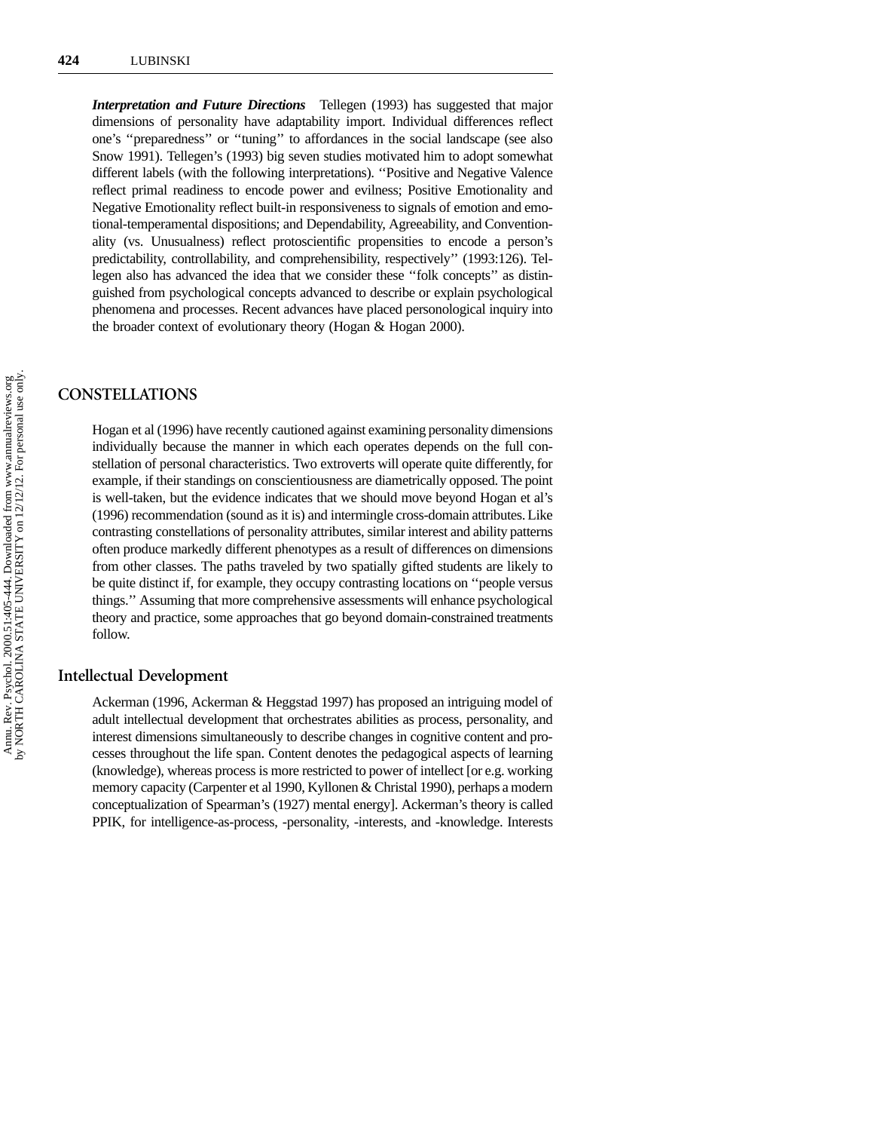*Interpretation and Future Directions* Tellegen (1993) has suggested that major dimensions of personality have adaptability import. Individual differences reflect one's ''preparedness'' or ''tuning'' to affordances in the social landscape (see also Snow 1991). Tellegen's (1993) big seven studies motivated him to adopt somewhat different labels (with the following interpretations). ''Positive and Negative Valence reflect primal readiness to encode power and evilness; Positive Emotionality and Negative Emotionality reflect built-in responsiveness to signals of emotion and emotional-temperamental dispositions; and Dependability, Agreeability, and Conventionality (vs. Unusualness) reflect protoscientific propensities to encode a person's predictability, controllability, and comprehensibility, respectively'' (1993:126). Tellegen also has advanced the idea that we consider these ''folk concepts'' as distinguished from psychological concepts advanced to describe or explain psychological phenomena and processes. Recent advances have placed personological inquiry into the broader context of evolutionary theory (Hogan & Hogan 2000).

# **CONSTELLATIONS**

Hogan et al (1996) have recently cautioned against examining personality dimensions individually because the manner in which each operates depends on the full constellation of personal characteristics. Two extroverts will operate quite differently, for example, if their standings on conscientiousness are diametrically opposed. The point is well-taken, but the evidence indicates that we should move beyond Hogan et al's (1996) recommendation (sound as it is) and intermingle cross-domain attributes. Like contrasting constellations of personality attributes, similar interest and ability patterns often produce markedly different phenotypes as a result of differences on dimensions from other classes. The paths traveled by two spatially gifted students are likely to be quite distinct if, for example, they occupy contrasting locations on ''people versus things.'' Assuming that more comprehensive assessments will enhance psychological theory and practice, some approaches that go beyond domain-constrained treatments follow.

#### **Intellectual Development**

Ackerman (1996, Ackerman & Heggstad 1997) has proposed an intriguing model of adult intellectual development that orchestrates abilities as process, personality, and interest dimensions simultaneously to describe changes in cognitive content and processes throughout the life span. Content denotes the pedagogical aspects of learning (knowledge), whereas process is more restricted to power of intellect [or e.g. working memory capacity (Carpenter et al 1990, Kyllonen & Christal 1990), perhaps a modern conceptualization of Spearman's (1927) mental energy]. Ackerman's theory is called PPIK, for intelligence-as-process, -personality, -interests, and -knowledge. Interests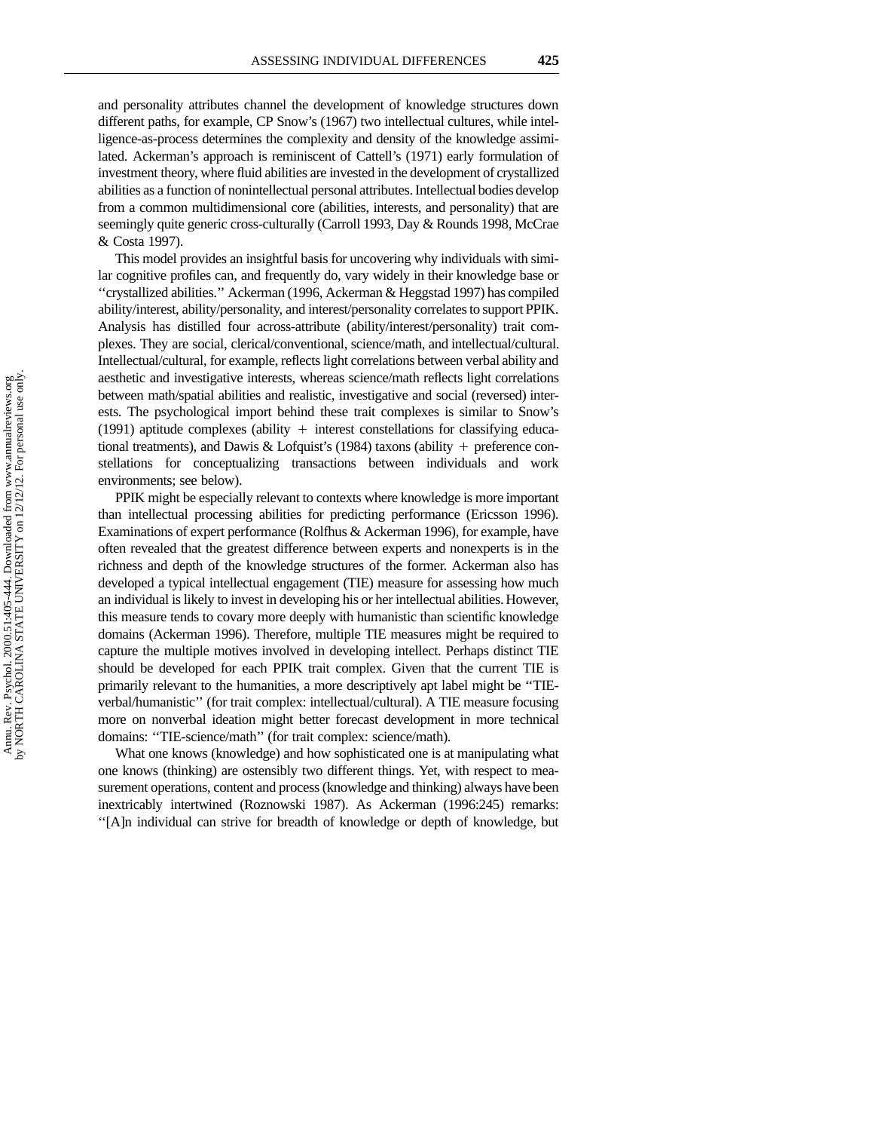and personality attributes channel the development of knowledge structures down different paths, for example, CP Snow's (1967) two intellectual cultures, while intelligence-as-process determines the complexity and density of the knowledge assimilated. Ackerman's approach is reminiscent of Cattell's (1971) early formulation of investment theory, where fluid abilities are invested in the development of crystallized abilities as a function of nonintellectual personal attributes. Intellectual bodies develop from a common multidimensional core (abilities, interests, and personality) that are seemingly quite generic cross-culturally (Carroll 1993, Day & Rounds 1998, McCrae & Costa 1997).

This model provides an insightful basis for uncovering why individuals with similar cognitive profiles can, and frequently do, vary widely in their knowledge base or ''crystallized abilities.'' Ackerman (1996, Ackerman & Heggstad 1997) has compiled ability/interest, ability/personality, and interest/personality correlates to support PPIK. Analysis has distilled four across-attribute (ability/interest/personality) trait complexes. They are social, clerical/conventional, science/math, and intellectual/cultural. Intellectual/cultural, for example, reflects light correlations between verbal ability and aesthetic and investigative interests, whereas science/math reflects light correlations between math/spatial abilities and realistic, investigative and social (reversed) interests. The psychological import behind these trait complexes is similar to Snow's  $(1991)$  aptitude complexes (ability  $+$  interest constellations for classifying educational treatments), and Dawis & Lofquist's (1984) taxons (ability  $+$  preference constellations for conceptualizing transactions between individuals and work environments; see below).

PPIK might be especially relevant to contexts where knowledge is more important than intellectual processing abilities for predicting performance (Ericsson 1996). Examinations of expert performance (Rolfhus & Ackerman 1996), for example, have often revealed that the greatest difference between experts and nonexperts is in the richness and depth of the knowledge structures of the former. Ackerman also has developed a typical intellectual engagement (TIE) measure for assessing how much an individual is likely to invest in developing his or her intellectual abilities. However, this measure tends to covary more deeply with humanistic than scientific knowledge domains (Ackerman 1996). Therefore, multiple TIE measures might be required to capture the multiple motives involved in developing intellect. Perhaps distinct TIE should be developed for each PPIK trait complex. Given that the current TIE is primarily relevant to the humanities, a more descriptively apt label might be ''TIEverbal/humanistic'' (for trait complex: intellectual/cultural). A TIE measure focusing more on nonverbal ideation might better forecast development in more technical domains: ''TIE-science/math'' (for trait complex: science/math).

What one knows (knowledge) and how sophisticated one is at manipulating what one knows (thinking) are ostensibly two different things. Yet, with respect to measurement operations, content and process (knowledge and thinking) always have been inextricably intertwined (Roznowski 1987). As Ackerman (1996:245) remarks: ''[A]n individual can strive for breadth of knowledge or depth of knowledge, but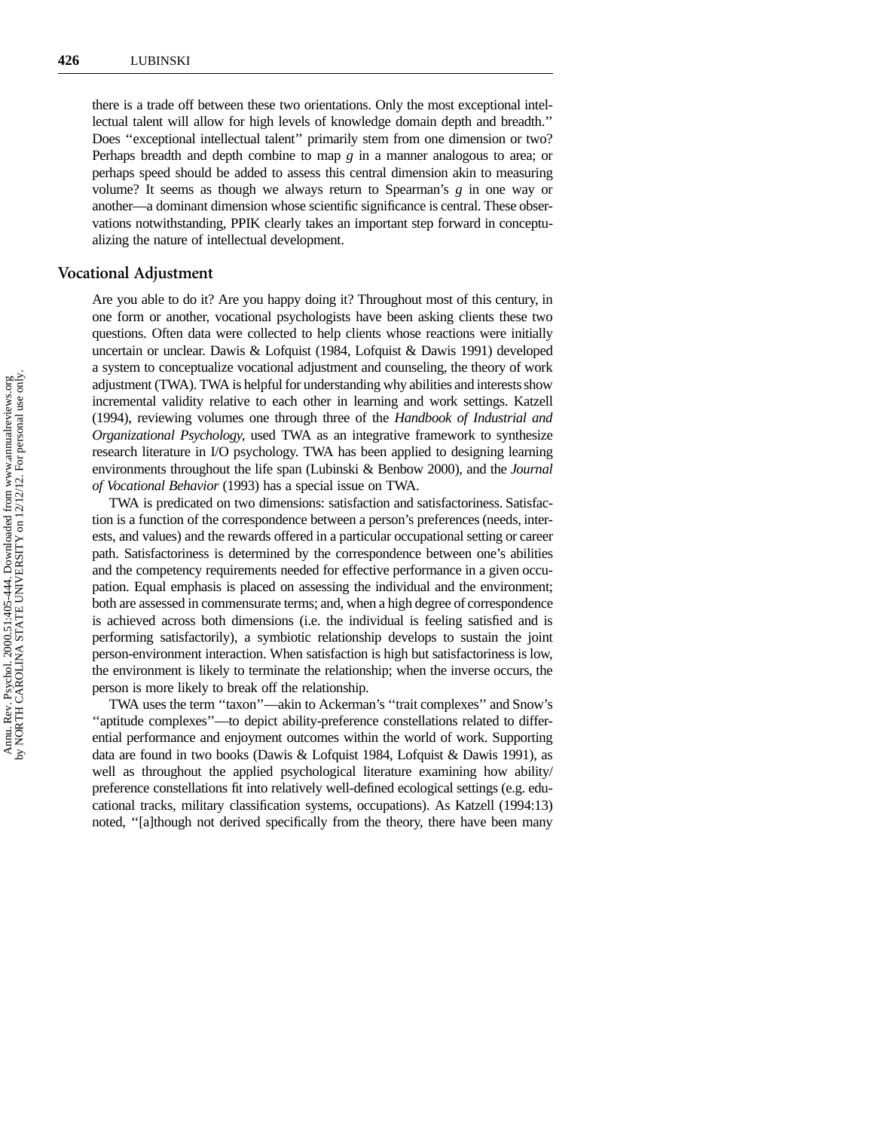there is a trade off between these two orientations. Only the most exceptional intellectual talent will allow for high levels of knowledge domain depth and breadth.'' Does ''exceptional intellectual talent'' primarily stem from one dimension or two? Perhaps breadth and depth combine to map *g* in a manner analogous to area; or perhaps speed should be added to assess this central dimension akin to measuring volume? It seems as though we always return to Spearman's *g* in one way or another—a dominant dimension whose scientific significance is central. These observations notwithstanding, PPIK clearly takes an important step forward in conceptualizing the nature of intellectual development.

#### **Vocational Adjustment**

Are you able to do it? Are you happy doing it? Throughout most of this century, in one form or another, vocational psychologists have been asking clients these two questions. Often data were collected to help clients whose reactions were initially uncertain or unclear. Dawis & Lofquist (1984, Lofquist & Dawis 1991) developed a system to conceptualize vocational adjustment and counseling, the theory of work adjustment (TWA). TWA is helpful for understanding why abilities and interests show incremental validity relative to each other in learning and work settings. Katzell (1994), reviewing volumes one through three of the *Handbook of Industrial and Organizational Psychology,* used TWA as an integrative framework to synthesize research literature in I/O psychology. TWA has been applied to designing learning environments throughout the life span (Lubinski & Benbow 2000), and the *Journal of Vocational Behavior* (1993) has a special issue on TWA.

TWA is predicated on two dimensions: satisfaction and satisfactoriness. Satisfaction is a function of the correspondence between a person's preferences (needs, interests, and values) and the rewards offered in a particular occupational setting or career path. Satisfactoriness is determined by the correspondence between one's abilities and the competency requirements needed for effective performance in a given occupation. Equal emphasis is placed on assessing the individual and the environment; both are assessed in commensurate terms; and, when a high degree of correspondence is achieved across both dimensions (i.e. the individual is feeling satisfied and is performing satisfactorily), a symbiotic relationship develops to sustain the joint person-environment interaction. When satisfaction is high but satisfactoriness is low, the environment is likely to terminate the relationship; when the inverse occurs, the person is more likely to break off the relationship.

TWA uses the term ''taxon''—akin to Ackerman's ''trait complexes'' and Snow's ''aptitude complexes''—to depict ability-preference constellations related to differential performance and enjoyment outcomes within the world of work. Supporting data are found in two books (Dawis & Lofquist 1984, Lofquist & Dawis 1991), as well as throughout the applied psychological literature examining how ability/ preference constellations fit into relatively well-defined ecological settings (e.g. educational tracks, military classification systems, occupations). As Katzell (1994:13) noted, ''[a]though not derived specifically from the theory, there have been many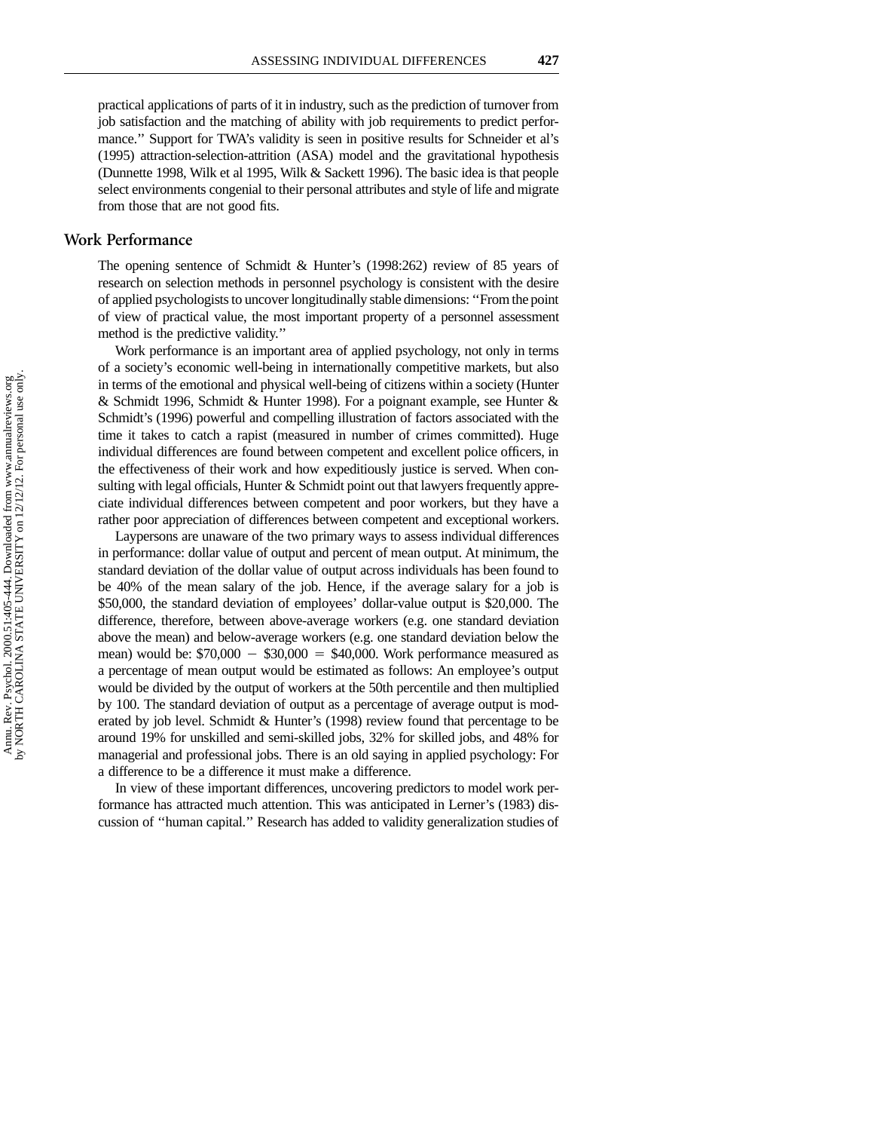practical applications of parts of it in industry, such as the prediction of turnover from job satisfaction and the matching of ability with job requirements to predict performance.'' Support for TWA's validity is seen in positive results for Schneider et al's (1995) attraction-selection-attrition (ASA) model and the gravitational hypothesis (Dunnette 1998, Wilk et al 1995, Wilk & Sackett 1996). The basic idea is that people select environments congenial to their personal attributes and style of life and migrate from those that are not good fits.

#### **Work Performance**

The opening sentence of Schmidt & Hunter's (1998:262) review of 85 years of research on selection methods in personnel psychology is consistent with the desire of applied psychologists to uncover longitudinally stable dimensions: ''From the point of view of practical value, the most important property of a personnel assessment method is the predictive validity.''

Work performance is an important area of applied psychology, not only in terms of a society's economic well-being in internationally competitive markets, but also in terms of the emotional and physical well-being of citizens within a society (Hunter & Schmidt 1996, Schmidt & Hunter 1998). For a poignant example, see Hunter & Schmidt's (1996) powerful and compelling illustration of factors associated with the time it takes to catch a rapist (measured in number of crimes committed). Huge individual differences are found between competent and excellent police officers, in the effectiveness of their work and how expeditiously justice is served. When consulting with legal officials, Hunter & Schmidt point out that lawyers frequently appreciate individual differences between competent and poor workers, but they have a rather poor appreciation of differences between competent and exceptional workers.

Laypersons are unaware of the two primary ways to assess individual differences in performance: dollar value of output and percent of mean output. At minimum, the standard deviation of the dollar value of output across individuals has been found to be 40% of the mean salary of the job. Hence, if the average salary for a job is \$50,000, the standard deviation of employees' dollar-value output is \$20,000. The difference, therefore, between above*-*average workers (e.g. one standard deviation above the mean) and below-average workers (e.g. one standard deviation below the mean) would be:  $$70,000 - $30,000 = $40,000$ . Work performance measured as a percentage of mean output would be estimated as follows: An employee's output would be divided by the output of workers at the 50th percentile and then multiplied by 100. The standard deviation of output as a percentage of average output is moderated by job level. Schmidt & Hunter's (1998) review found that percentage to be around 19% for unskilled and semi-skilled jobs, 32% for skilled jobs, and 48% for managerial and professional jobs. There is an old saying in applied psychology: For a difference to be a difference it must make a difference.

In view of these important differences, uncovering predictors to model work performance has attracted much attention. This was anticipated in Lerner's (1983) discussion of ''human capital.'' Research has added to validity generalization studies of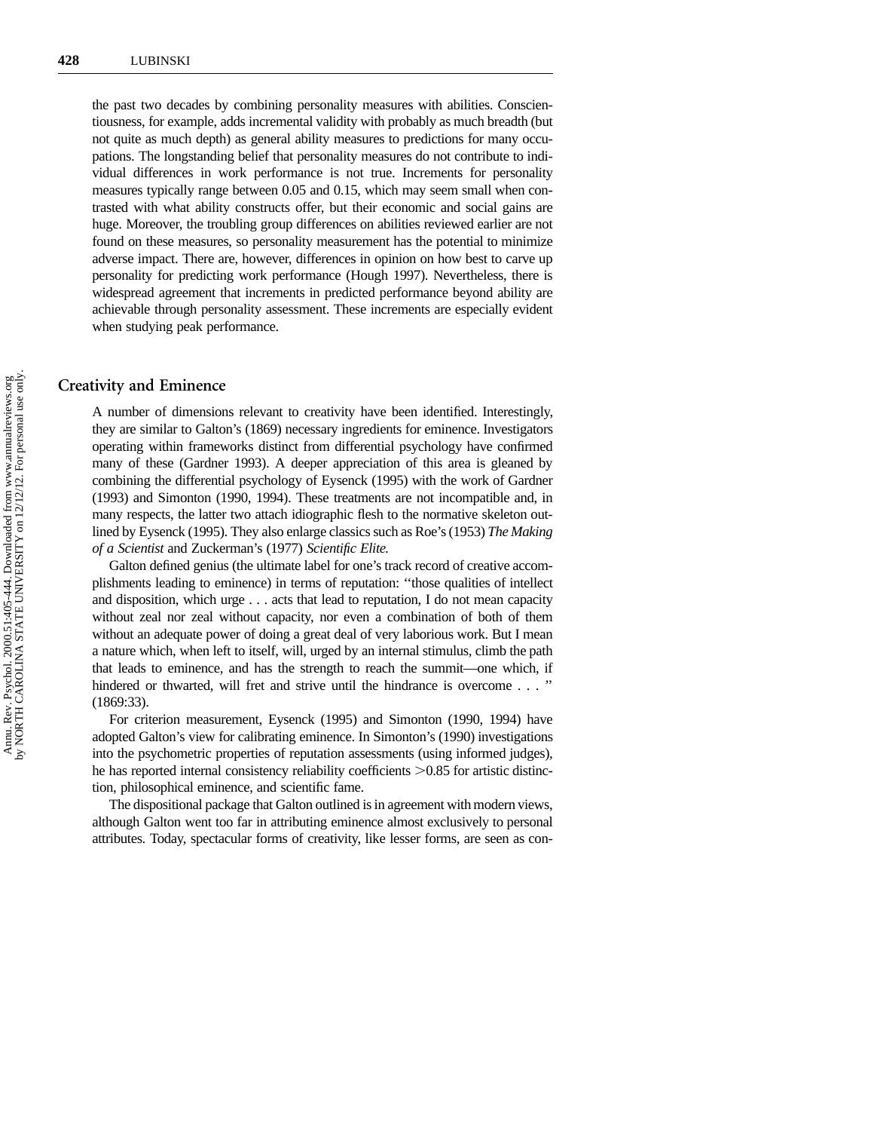the past two decades by combining personality measures with abilities. Conscientiousness, for example, adds incremental validity with probably as much breadth (but not quite as much depth) as general ability measures to predictions for many occupations. The longstanding belief that personality measures do not contribute to individual differences in work performance is not true. Increments for personality measures typically range between 0.05 and 0.15, which may seem small when contrasted with what ability constructs offer, but their economic and social gains are huge. Moreover, the troubling group differences on abilities reviewed earlier are not found on these measures, so personality measurement has the potential to minimize adverse impact. There are, however, differences in opinion on how best to carve up personality for predicting work performance (Hough 1997). Nevertheless, there is widespread agreement that increments in predicted performance beyond ability are achievable through personality assessment. These increments are especially evident when studying peak performance.

#### **Creativity and Eminence**

A number of dimensions relevant to creativity have been identified. Interestingly, they are similar to Galton's (1869) necessary ingredients for eminence. Investigators operating within frameworks distinct from differential psychology have confirmed many of these (Gardner 1993). A deeper appreciation of this area is gleaned by combining the differential psychology of Eysenck (1995) with the work of Gardner (1993) and Simonton (1990, 1994). These treatments are not incompatible and, in many respects, the latter two attach idiographic flesh to the normative skeleton outlined by Eysenck (1995). They also enlarge classics such as Roe's (1953) *The Making of a Scientist* and Zuckerman's (1977) *Scientific Elite.*

Galton defined genius (the ultimate label for one's track record of creative accomplishments leading to eminence) in terms of reputation: ''those qualities of intellect and disposition, which urge . . . acts that lead to reputation, I do not mean capacity without zeal nor zeal without capacity, nor even a combination of both of them without an adequate power of doing a great deal of very laborious work. But I mean a nature which, when left to itself, will, urged by an internal stimulus, climb the path that leads to eminence, and has the strength to reach the summit—one which, if hindered or thwarted, will fret and strive until the hindrance is overcome . . . " (1869:33).

For criterion measurement, Eysenck (1995) and Simonton (1990, 1994) have adopted Galton's view for calibrating eminence. In Simonton's (1990) investigations into the psychometric properties of reputation assessments (using informed judges), he has reported internal consistency reliability coefficients  $>0.85$  for artistic distinction, philosophical eminence, and scientific fame.

The dispositional package that Galton outlined is in agreement with modern views, although Galton went too far in attributing eminence almost exclusively to personal attributes. Today, spectacular forms of creativity, like lesser forms, are seen as con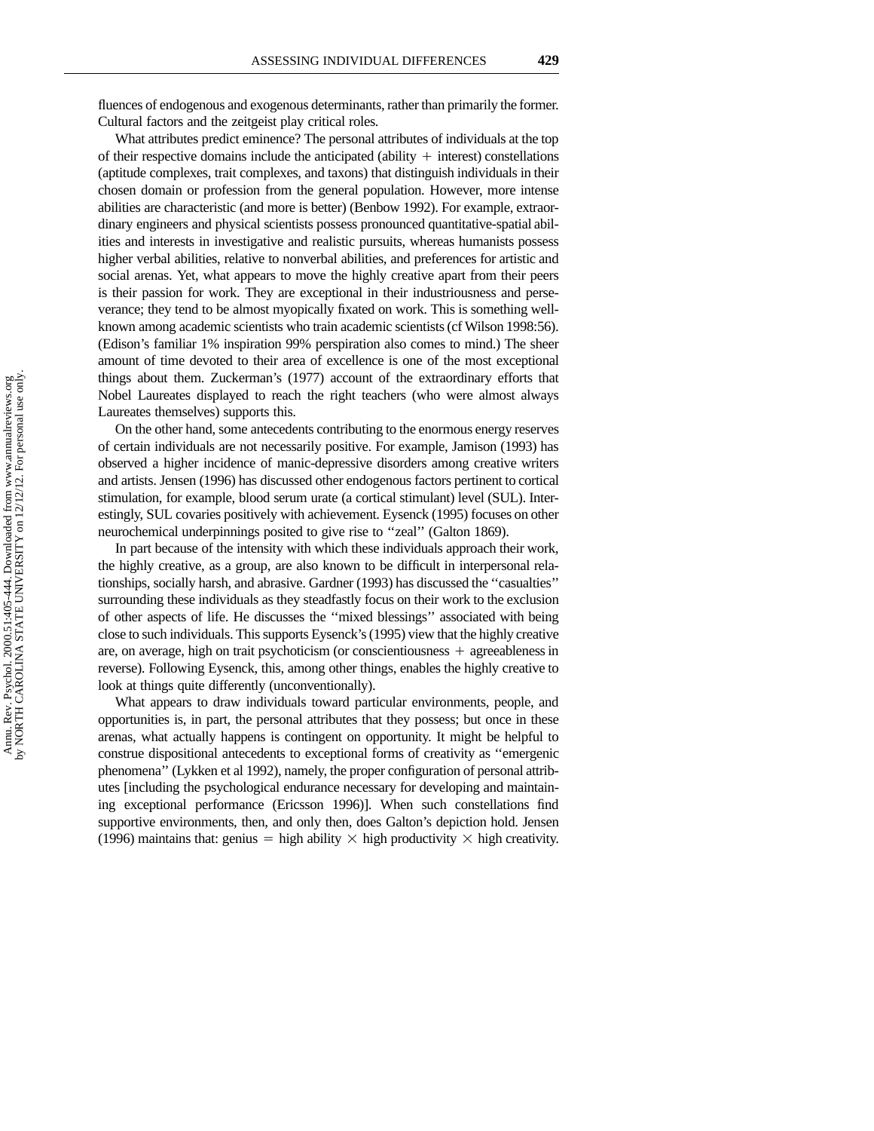fluences of endogenous and exogenous determinants, rather than primarily the former. Cultural factors and the zeitgeist play critical roles.

What attributes predict eminence? The personal attributes of individuals at the top of their respective domains include the anticipated (ability  $+$  interest) constellations (aptitude complexes, trait complexes, and taxons) that distinguish individuals in their chosen domain or profession from the general population. However, more intense abilities are characteristic (and more is better) (Benbow 1992). For example, extraordinary engineers and physical scientists possess pronounced quantitative-spatial abilities and interests in investigative and realistic pursuits, whereas humanists possess higher verbal abilities, relative to nonverbal abilities, and preferences for artistic and social arenas. Yet, what appears to move the highly creative apart from their peers is their passion for work. They are exceptional in their industriousness and perseverance; they tend to be almost myopically fixated on work. This is something wellknown among academic scientists who train academic scientists (cf Wilson 1998:56). (Edison's familiar 1% inspiration 99% perspiration also comes to mind.) The sheer amount of time devoted to their area of excellence is one of the most exceptional things about them. Zuckerman's (1977) account of the extraordinary efforts that Nobel Laureates displayed to reach the right teachers (who were almost always Laureates themselves) supports this.

On the other hand, some antecedents contributing to the enormous energy reserves of certain individuals are not necessarily positive. For example, Jamison (1993) has observed a higher incidence of manic-depressive disorders among creative writers and artists. Jensen (1996) has discussed other endogenous factors pertinent to cortical stimulation, for example, blood serum urate (a cortical stimulant) level (SUL). Interestingly, SUL covaries positively with achievement. Eysenck (1995) focuses on other neurochemical underpinnings posited to give rise to ''zeal'' (Galton 1869).

In part because of the intensity with which these individuals approach their work, the highly creative, as a group, are also known to be difficult in interpersonal relationships, socially harsh, and abrasive. Gardner (1993) has discussed the ''casualties'' surrounding these individuals as they steadfastly focus on their work to the exclusion of other aspects of life. He discusses the ''mixed blessings'' associated with being close to such individuals. This supports Eysenck's (1995) view that the highly creative are, on average, high on trait psychoticism (or conscientiousness  $+$  agreeableness in reverse). Following Eysenck, this, among other things, enables the highly creative to look at things quite differently (unconventionally).

What appears to draw individuals toward particular environments, people, and opportunities is, in part, the personal attributes that they possess; but once in these arenas, what actually happens is contingent on opportunity. It might be helpful to construe dispositional antecedents to exceptional forms of creativity as ''emergenic phenomena'' (Lykken et al 1992), namely, the proper configuration of personal attributes [including the psychological endurance necessary for developing and maintaining exceptional performance (Ericsson 1996)]. When such constellations find supportive environments, then, and only then, does Galton's depiction hold. Jensen (1996) maintains that: genius = high ability  $\times$  high productivity  $\times$  high creativity.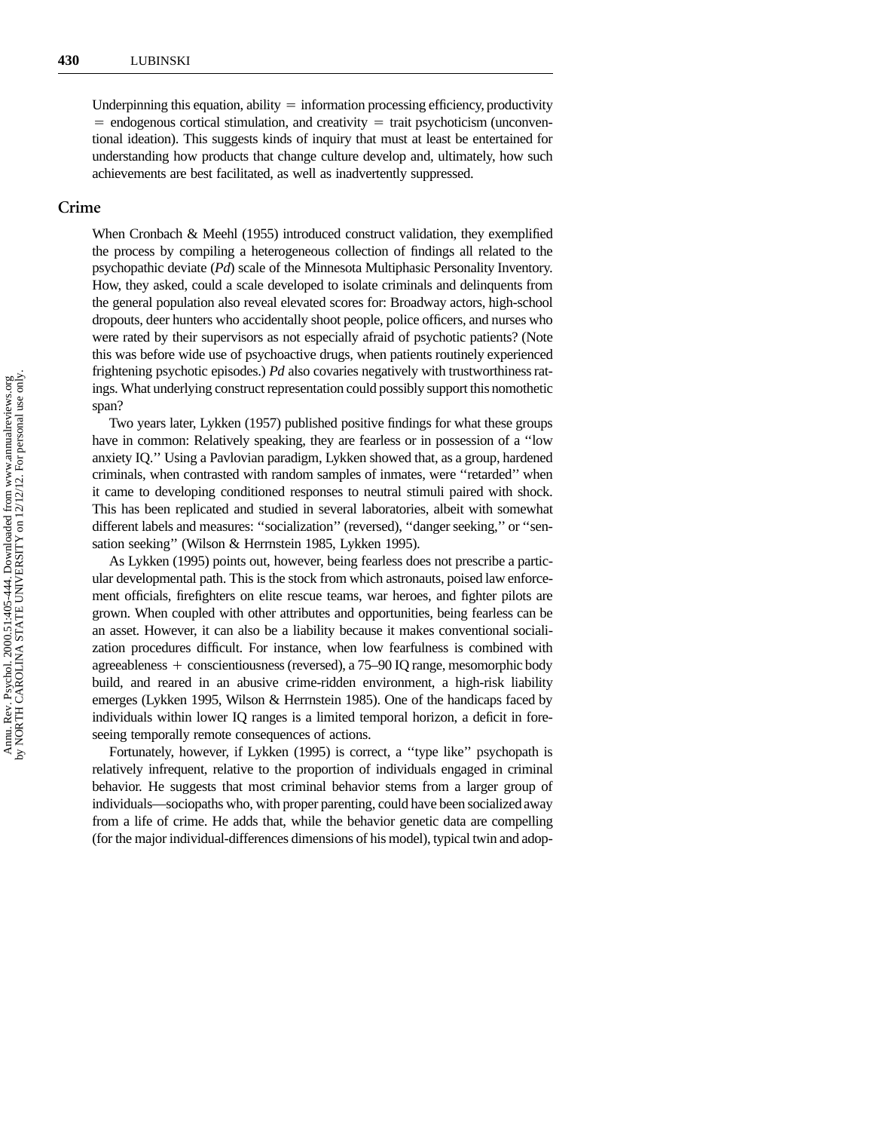Underpinning this equation, ability  $=$  information processing efficiency, productivity  $=$  endogenous cortical stimulation, and creativity  $=$  trait psychoticism (unconventional ideation). This suggests kinds of inquiry that must at least be entertained for understanding how products that change culture develop and, ultimately, how such achievements are best facilitated, as well as inadvertently suppressed.

#### **Crime**

When Cronbach & Meehl (1955) introduced construct validation, they exemplified the process by compiling a heterogeneous collection of findings all related to the psychopathic deviate (*Pd*) scale of the Minnesota Multiphasic Personality Inventory. How, they asked, could a scale developed to isolate criminals and delinquents from the general population also reveal elevated scores for: Broadway actors, high-school dropouts, deer hunters who accidentally shoot people, police officers, and nurses who were rated by their supervisors as not especially afraid of psychotic patients? (Note this was before wide use of psychoactive drugs, when patients routinely experienced frightening psychotic episodes.) *Pd* also covaries negatively with trustworthiness ratings. What underlying construct representation could possibly support this nomothetic span?

Two years later, Lykken (1957) published positive findings for what these groups have in common: Relatively speaking, they are fearless or in possession of a ''low anxiety IQ.'' Using a Pavlovian paradigm, Lykken showed that, as a group, hardened criminals, when contrasted with random samples of inmates, were ''retarded'' when it came to developing conditioned responses to neutral stimuli paired with shock. This has been replicated and studied in several laboratories, albeit with somewhat different labels and measures: ''socialization'' (reversed), ''danger seeking,'' or ''sensation seeking'' (Wilson & Herrnstein 1985, Lykken 1995).

As Lykken (1995) points out, however, being fearless does not prescribe a particular developmental path. This is the stock from which astronauts, poised law enforcement officials, firefighters on elite rescue teams, war heroes, and fighter pilots are grown. When coupled with other attributes and opportunities, being fearless can be an asset. However, it can also be a liability because it makes conventional socialization procedures difficult. For instance, when low fearfulness is combined with agreeableness  $+$  conscientiousness (reversed), a 75–90 IQ range, mesomorphic body build, and reared in an abusive crime-ridden environment, a high-risk liability emerges (Lykken 1995, Wilson & Herrnstein 1985). One of the handicaps faced by individuals within lower IQ ranges is a limited temporal horizon, a deficit in foreseeing temporally remote consequences of actions.

Fortunately, however, if Lykken (1995) is correct, a ''type like'' psychopath is relatively infrequent, relative to the proportion of individuals engaged in criminal behavior. He suggests that most criminal behavior stems from a larger group of individuals—sociopaths who, with proper parenting, could have been socialized away from a life of crime. He adds that, while the behavior genetic data are compelling (for the major individual-differences dimensions of his model), typical twin and adop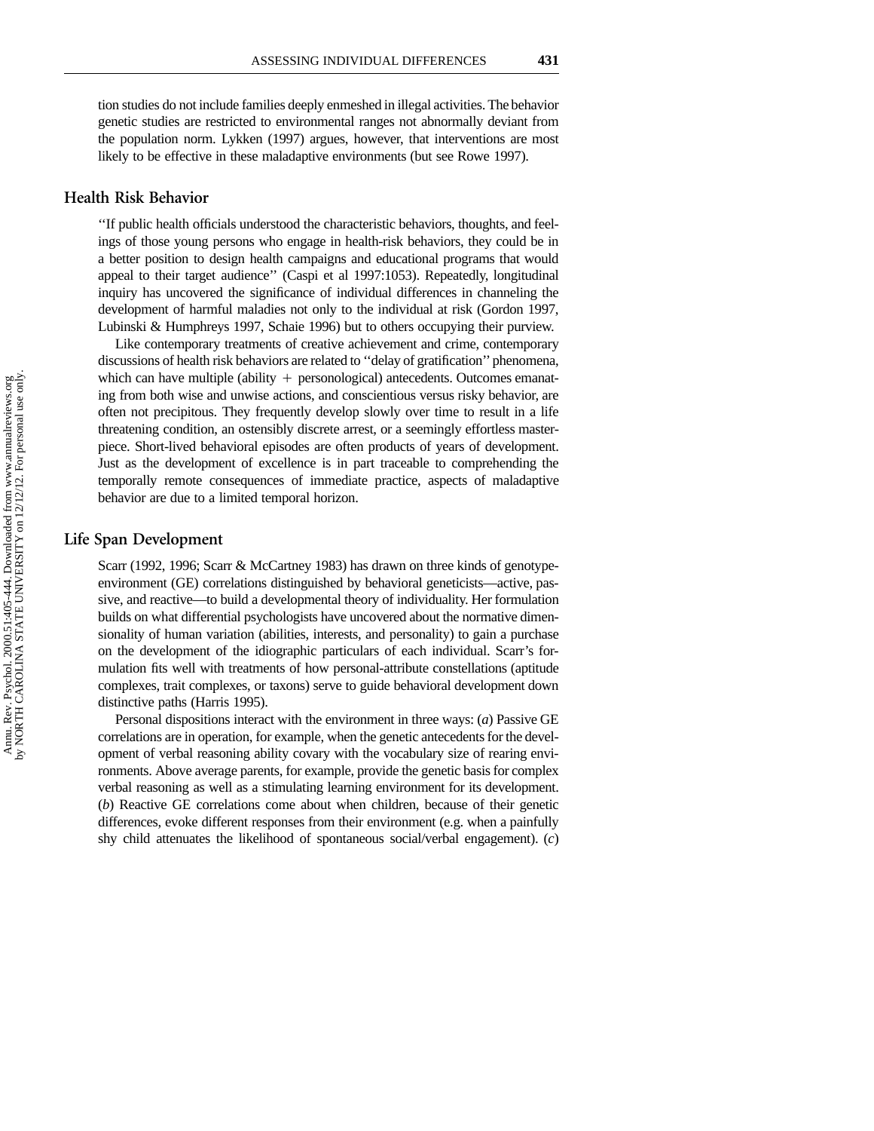tion studies do not include families deeply enmeshed in illegal activities. The behavior genetic studies are restricted to environmental ranges not abnormally deviant from the population norm. Lykken (1997) argues, however, that interventions are most likely to be effective in these maladaptive environments (but see Rowe 1997).

#### **Health Risk Behavior**

''If public health officials understood the characteristic behaviors, thoughts, and feelings of those young persons who engage in health-risk behaviors, they could be in a better position to design health campaigns and educational programs that would appeal to their target audience'' (Caspi et al 1997:1053). Repeatedly, longitudinal inquiry has uncovered the significance of individual differences in channeling the development of harmful maladies not only to the individual at risk (Gordon 1997, Lubinski & Humphreys 1997, Schaie 1996) but to others occupying their purview.

Like contemporary treatments of creative achievement and crime, contemporary discussions of health risk behaviors are related to ''delay of gratification'' phenomena, which can have multiple (ability  $+$  personological) antecedents. Outcomes emanating from both wise and unwise actions, and conscientious versus risky behavior, are often not precipitous. They frequently develop slowly over time to result in a life threatening condition, an ostensibly discrete arrest, or a seemingly effortless masterpiece. Short-lived behavioral episodes are often products of years of development. Just as the development of excellence is in part traceable to comprehending the temporally remote consequences of immediate practice, aspects of maladaptive behavior are due to a limited temporal horizon.

#### **Life Span Development**

Scarr (1992, 1996; Scarr & McCartney 1983) has drawn on three kinds of genotypeenvironment (GE) correlations distinguished by behavioral geneticists—active, passive, and reactive—to build a developmental theory of individuality. Her formulation builds on what differential psychologists have uncovered about the normative dimensionality of human variation (abilities, interests, and personality) to gain a purchase on the development of the idiographic particulars of each individual. Scarr's formulation fits well with treatments of how personal-attribute constellations (aptitude complexes, trait complexes, or taxons) serve to guide behavioral development down distinctive paths (Harris 1995).

Personal dispositions interact with the environment in three ways: (*a*) Passive GE correlations are in operation, for example, when the genetic antecedents for the development of verbal reasoning ability covary with the vocabulary size of rearing environments. Above average parents, for example, provide the genetic basis for complex verbal reasoning as well as a stimulating learning environment for its development. (*b*) Reactive GE correlations come about when children, because of their genetic differences, evoke different responses from their environment (e.g. when a painfully shy child attenuates the likelihood of spontaneous social/verbal engagement). (*c*)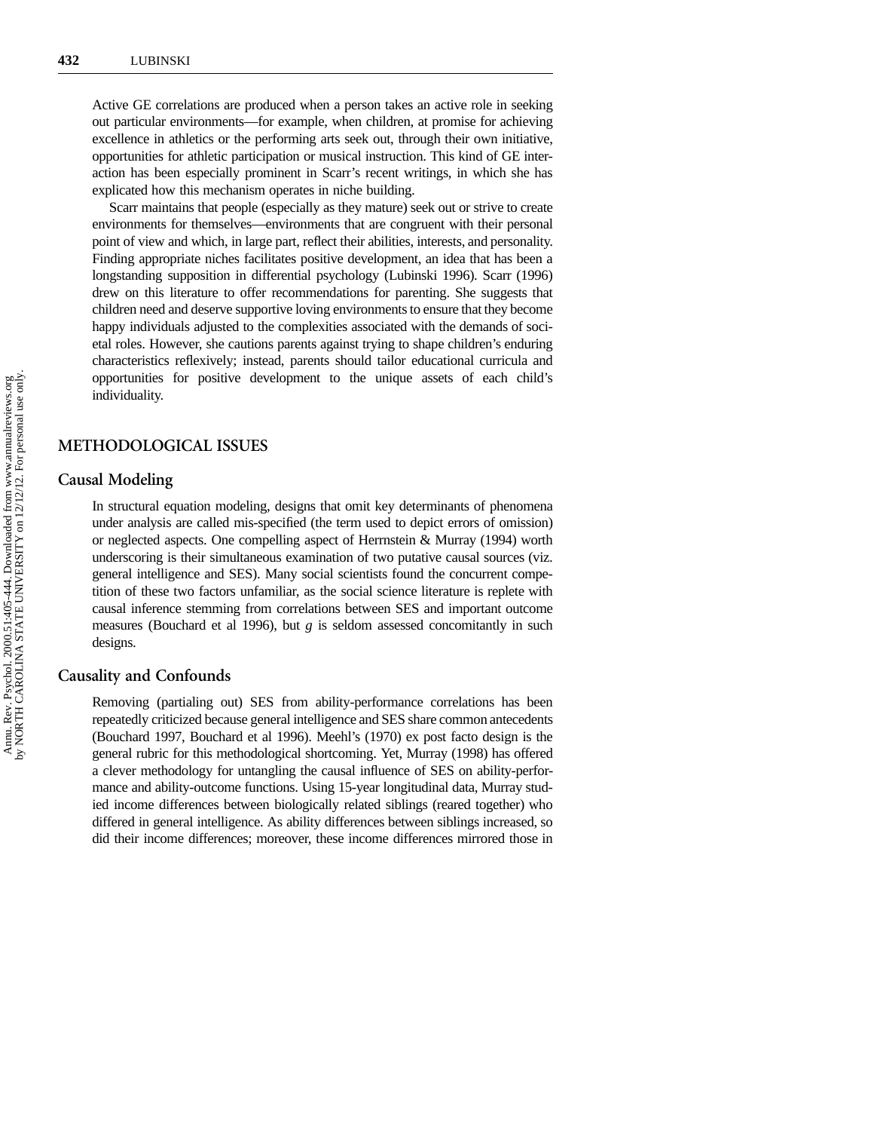Active GE correlations are produced when a person takes an active role in seeking out particular environments—for example, when children, at promise for achieving excellence in athletics or the performing arts seek out, through their own initiative, opportunities for athletic participation or musical instruction. This kind of GE interaction has been especially prominent in Scarr's recent writings, in which she has explicated how this mechanism operates in niche building.

Scarr maintains that people (especially as they mature) seek out or strive to create environments for themselves—environments that are congruent with their personal point of view and which, in large part, reflect their abilities, interests, and personality. Finding appropriate niches facilitates positive development, an idea that has been a longstanding supposition in differential psychology (Lubinski 1996). Scarr (1996) drew on this literature to offer recommendations for parenting. She suggests that children need and deserve supportive loving environments to ensure that they become happy individuals adjusted to the complexities associated with the demands of societal roles. However, she cautions parents against trying to shape children's enduring characteristics reflexively; instead, parents should tailor educational curricula and opportunities for positive development to the unique assets of each child's individuality.

#### **METHODOLOGICAL ISSUES**

#### **Causal Modeling**

In structural equation modeling, designs that omit key determinants of phenomena under analysis are called mis-specified (the term used to depict errors of omission) or neglected aspects. One compelling aspect of Herrnstein & Murray (1994) worth underscoring is their simultaneous examination of two putative causal sources (viz. general intelligence and SES). Many social scientists found the concurrent competition of these two factors unfamiliar, as the social science literature is replete with causal inference stemming from correlations between SES and important outcome measures (Bouchard et al 1996), but  $g$  is seldom assessed concomitantly in such designs.

#### **Causality and Confounds**

Removing (partialing out) SES from ability-performance correlations has been repeatedly criticized because general intelligence and SES share common antecedents (Bouchard 1997, Bouchard et al 1996). Meehl's (1970) ex post facto design is the general rubric for this methodological shortcoming. Yet, Murray (1998) has offered a clever methodology for untangling the causal influence of SES on ability-performance and ability-outcome functions. Using 15-year longitudinal data, Murray studied income differences between biologically related siblings (reared together) who differed in general intelligence. As ability differences between siblings increased, so did their income differences; moreover, these income differences mirrored those in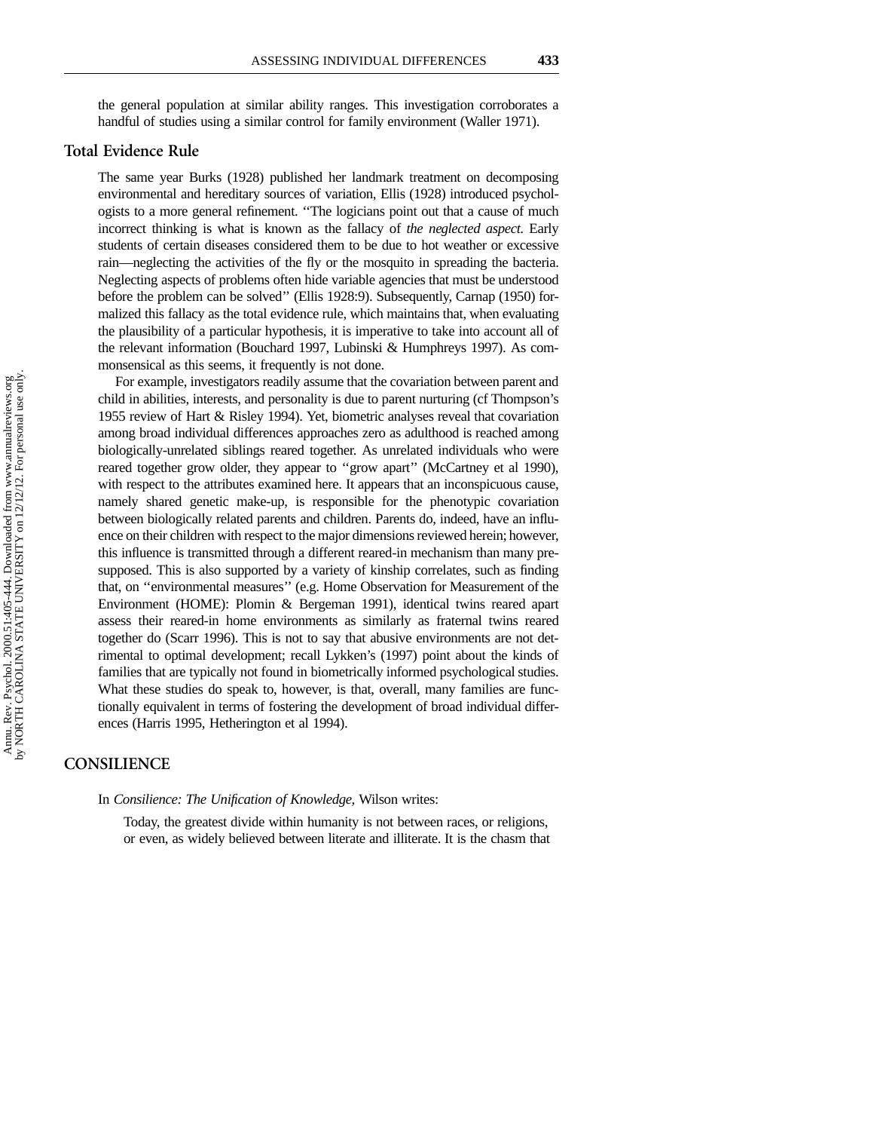the general population at similar ability ranges. This investigation corroborates a handful of studies using a similar control for family environment (Waller 1971).

#### **Total Evidence Rule**

The same year Burks (1928) published her landmark treatment on decomposing environmental and hereditary sources of variation, Ellis (1928) introduced psychologists to a more general refinement. ''The logicians point out that a cause of much incorrect thinking is what is known as the fallacy of *the neglected aspect.* Early students of certain diseases considered them to be due to hot weather or excessive rain—neglecting the activities of the fly or the mosquito in spreading the bacteria. Neglecting aspects of problems often hide variable agencies that must be understood before the problem can be solved'' (Ellis 1928:9). Subsequently, Carnap (1950) formalized this fallacy as the total evidence rule, which maintains that, when evaluating the plausibility of a particular hypothesis, it is imperative to take into account all of the relevant information (Bouchard 1997, Lubinski & Humphreys 1997). As commonsensical as this seems, it frequently is not done.

For example, investigators readily assume that the covariation between parent and child in abilities, interests, and personality is due to parent nurturing (cf Thompson's 1955 review of Hart & Risley 1994). Yet, biometric analyses reveal that covariation among broad individual differences approaches zero as adulthood is reached among biologically-unrelated siblings reared together. As unrelated individuals who were reared together grow older, they appear to ''grow apart'' (McCartney et al 1990), with respect to the attributes examined here. It appears that an inconspicuous cause, namely shared genetic make-up, is responsible for the phenotypic covariation between biologically related parents and children. Parents do, indeed, have an influence on their children with respect to the major dimensions reviewed herein; however, this influence is transmitted through a different reared-in mechanism than many presupposed. This is also supported by a variety of kinship correlates, such as finding that, on ''environmental measures'' (e.g. Home Observation for Measurement of the Environment (HOME): Plomin & Bergeman 1991), identical twins reared apart assess their reared-in home environments as similarly as fraternal twins reared together do (Scarr 1996). This is not to say that abusive environments are not detrimental to optimal development; recall Lykken's (1997) point about the kinds of families that are typically not found in biometrically informed psychological studies. What these studies do speak to, however, is that, overall, many families are functionally equivalent in terms of fostering the development of broad individual differences (Harris 1995, Hetherington et al 1994).

#### **CONSILIENCE**

In *Consilience: The Unification of Knowledge,* Wilson writes:

Today, the greatest divide within humanity is not between races, or religions, or even, as widely believed between literate and illiterate. It is the chasm that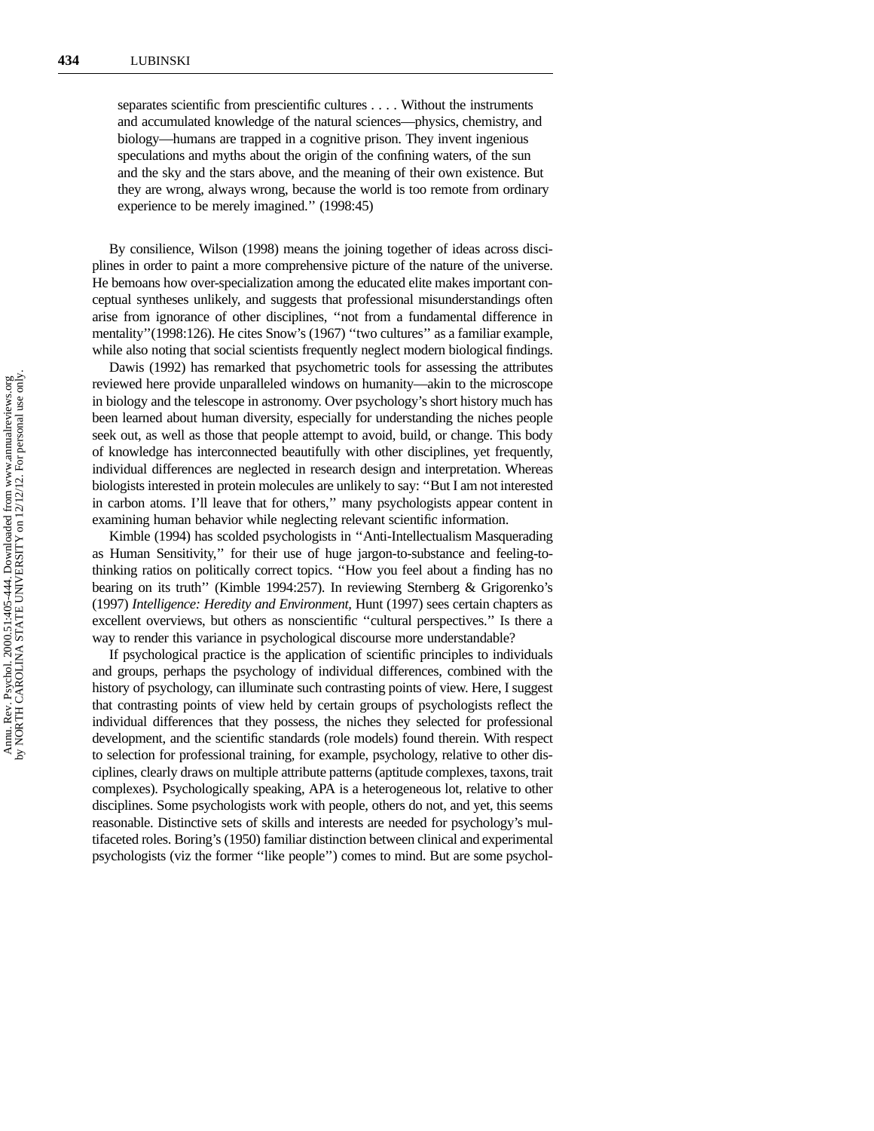separates scientific from prescientific cultures .... Without the instruments and accumulated knowledge of the natural sciences—physics, chemistry, and biology—humans are trapped in a cognitive prison. They invent ingenious speculations and myths about the origin of the confining waters, of the sun and the sky and the stars above, and the meaning of their own existence. But they are wrong, always wrong, because the world is too remote from ordinary experience to be merely imagined.'' (1998:45)

By consilience, Wilson (1998) means the joining together of ideas across disciplines in order to paint a more comprehensive picture of the nature of the universe. He bemoans how over-specialization among the educated elite makes important conceptual syntheses unlikely, and suggests that professional misunderstandings often arise from ignorance of other disciplines, ''not from a fundamental difference in mentality"(1998:126). He cites Snow's (1967) "two cultures" as a familiar example, while also noting that social scientists frequently neglect modern biological findings.

Dawis (1992) has remarked that psychometric tools for assessing the attributes reviewed here provide unparalleled windows on humanity—akin to the microscope in biology and the telescope in astronomy. Over psychology's short history much has been learned about human diversity, especially for understanding the niches people seek out, as well as those that people attempt to avoid, build, or change. This body of knowledge has interconnected beautifully with other disciplines, yet frequently, individual differences are neglected in research design and interpretation. Whereas biologists interested in protein molecules are unlikely to say: ''But I am not interested in carbon atoms. I'll leave that for others,'' many psychologists appear content in examining human behavior while neglecting relevant scientific information.

Kimble (1994) has scolded psychologists in ''Anti-Intellectualism Masquerading as Human Sensitivity,'' for their use of huge jargon-to-substance and feeling-tothinking ratios on politically correct topics. ''How you feel about a finding has no bearing on its truth'' (Kimble 1994:257). In reviewing Sternberg & Grigorenko's (1997) *Intelligence: Heredity and Environment,* Hunt (1997) sees certain chapters as excellent overviews, but others as nonscientific ''cultural perspectives.'' Is there a way to render this variance in psychological discourse more understandable?

If psychological practice is the application of scientific principles to individuals and groups, perhaps the psychology of individual differences, combined with the history of psychology, can illuminate such contrasting points of view. Here, I suggest that contrasting points of view held by certain groups of psychologists reflect the individual differences that they possess, the niches they selected for professional development, and the scientific standards (role models) found therein. With respect to selection for professional training, for example, psychology, relative to other disciplines, clearly draws on multiple attribute patterns (aptitude complexes, taxons, trait complexes). Psychologically speaking, APA is a heterogeneous lot, relative to other disciplines. Some psychologists work with people, others do not, and yet, this seems reasonable. Distinctive sets of skills and interests are needed for psychology's multifaceted roles. Boring's (1950) familiar distinction between clinical and experimental psychologists (viz the former ''like people'') comes to mind. But are some psychol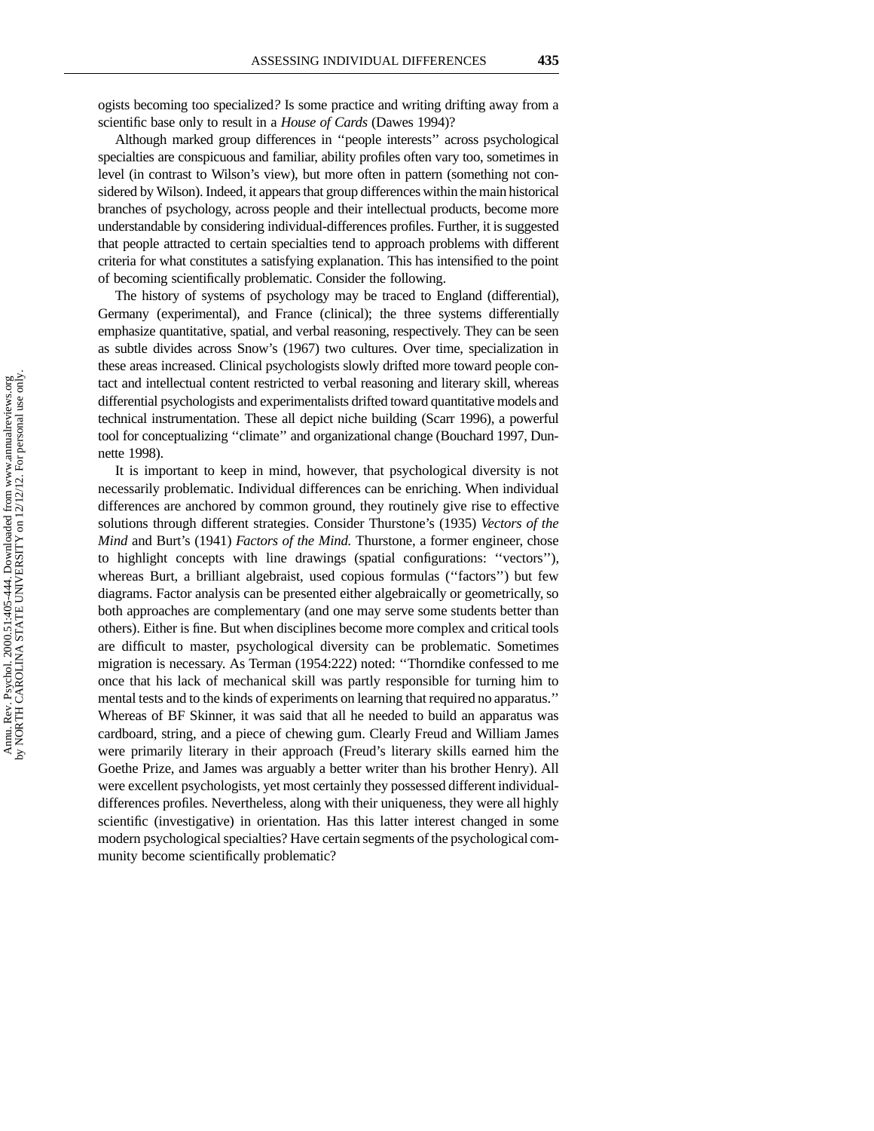ogists becoming too specialized*?* Is some practice and writing drifting away from a scientific base only to result in a *House of Cards* (Dawes 1994)?

Although marked group differences in ''people interests'' across psychological specialties are conspicuous and familiar, ability profiles often vary too, sometimes in level (in contrast to Wilson's view), but more often in pattern (something not considered by Wilson). Indeed, it appears that group differences within the main historical branches of psychology, across people and their intellectual products, become more understandable by considering individual-differences profiles. Further, it is suggested that people attracted to certain specialties tend to approach problems with different criteria for what constitutes a satisfying explanation. This has intensified to the point of becoming scientifically problematic. Consider the following.

The history of systems of psychology may be traced to England (differential), Germany (experimental), and France (clinical); the three systems differentially emphasize quantitative, spatial, and verbal reasoning, respectively. They can be seen as subtle divides across Snow's (1967) two cultures. Over time, specialization in these areas increased. Clinical psychologists slowly drifted more toward people contact and intellectual content restricted to verbal reasoning and literary skill, whereas differential psychologists and experimentalists drifted toward quantitative models and technical instrumentation. These all depict niche building (Scarr 1996), a powerful tool for conceptualizing ''climate'' and organizational change (Bouchard 1997, Dunnette 1998).

It is important to keep in mind, however, that psychological diversity is not necessarily problematic. Individual differences can be enriching. When individual differences are anchored by common ground, they routinely give rise to effective solutions through different strategies. Consider Thurstone's (1935) *Vectors of the Mind* and Burt's (1941) *Factors of the Mind.* Thurstone, a former engineer, chose to highlight concepts with line drawings (spatial configurations: ''vectors''), whereas Burt, a brilliant algebraist, used copious formulas ("factors") but few diagrams. Factor analysis can be presented either algebraically or geometrically, so both approaches are complementary (and one may serve some students better than others). Either is fine. But when disciplines become more complex and critical tools are difficult to master, psychological diversity can be problematic. Sometimes migration is necessary. As Terman (1954:222) noted: ''Thorndike confessed to me once that his lack of mechanical skill was partly responsible for turning him to mental tests and to the kinds of experiments on learning that required no apparatus.'' Whereas of BF Skinner, it was said that all he needed to build an apparatus was cardboard, string, and a piece of chewing gum. Clearly Freud and William James were primarily literary in their approach (Freud's literary skills earned him the Goethe Prize, and James was arguably a better writer than his brother Henry). All were excellent psychologists, yet most certainly they possessed different individualdifferences profiles. Nevertheless, along with their uniqueness, they were all highly scientific (investigative) in orientation. Has this latter interest changed in some modern psychological specialties? Have certain segments of the psychological community become scientifically problematic?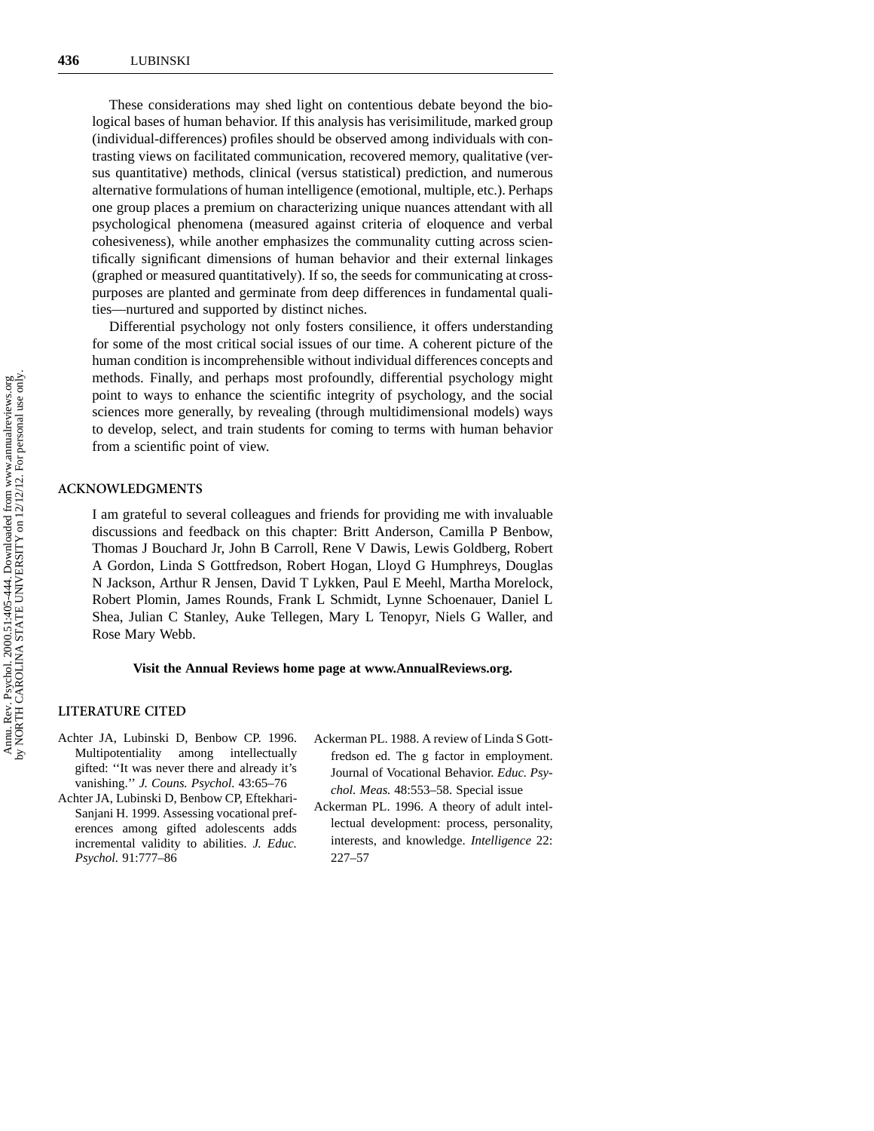These considerations may shed light on contentious debate beyond the biological bases of human behavior. If this analysis has verisimilitude, marked group (individual-differences) profiles should be observed among individuals with contrasting views on facilitated communication, recovered memory, qualitative (versus quantitative) methods, clinical (versus statistical) prediction, and numerous alternative formulations of human intelligence (emotional, multiple, etc.). Perhaps one group places a premium on characterizing unique nuances attendant with all psychological phenomena (measured against criteria of eloquence and verbal cohesiveness), while another emphasizes the communality cutting across scientifically significant dimensions of human behavior and their external linkages (graphed or measured quantitatively). If so, the seeds for communicating at crosspurposes are planted and germinate from deep differences in fundamental qualities—nurtured and supported by distinct niches.

Differential psychology not only fosters consilience, it offers understanding for some of the most critical social issues of our time. A coherent picture of the human condition is incomprehensible without individual differences concepts and methods. Finally, and perhaps most profoundly, differential psychology might point to ways to enhance the scientific integrity of psychology, and the social sciences more generally, by revealing (through multidimensional models) ways to develop, select, and train students for coming to terms with human behavior from a scientific point of view.

#### **ACKNOWLEDGMENTS**

I am grateful to several colleagues and friends for providing me with invaluable discussions and feedback on this chapter: Britt Anderson, Camilla P Benbow, Thomas J Bouchard Jr, John B Carroll, Rene V Dawis, Lewis Goldberg, Robert A Gordon, Linda S Gottfredson, Robert Hogan, Lloyd G Humphreys, Douglas N Jackson, Arthur R Jensen, David T Lykken, Paul E Meehl, Martha Morelock, Robert Plomin, James Rounds, Frank L Schmidt, Lynne Schoenauer, Daniel L Shea, Julian C Stanley, Auke Tellegen, Mary L Tenopyr, Niels G Waller, and Rose Mary Webb.

#### **Visit the Annual Reviews home page at www.AnnualReviews.org.**

#### **LITERATURE CITED**

- Achter JA, Lubinski D, Benbow CP. 1996. Multipotentiality among intellectually gifted: ''It was never there and already it's vanishing.'' *J. Couns. Psychol.* 43:65–76
- Achter JA, Lubinski D, Benbow CP, Eftekhari-Sanjani H. 1999. Assessing vocational preferences among gifted adolescents adds incremental validity to abilities. *J. Educ. Psychol.* 91:777–86
- Ackerman PL. 1988. A review of Linda S Gottfredson ed. The g factor in employment. Journal of Vocational Behavior. *Educ. Psychol. Meas.* 48:553–58. Special issue
- Ackerman PL. 1996. A theory of adult intellectual development: process, personality, interests, and knowledge. *Intelligence* 22: 227–57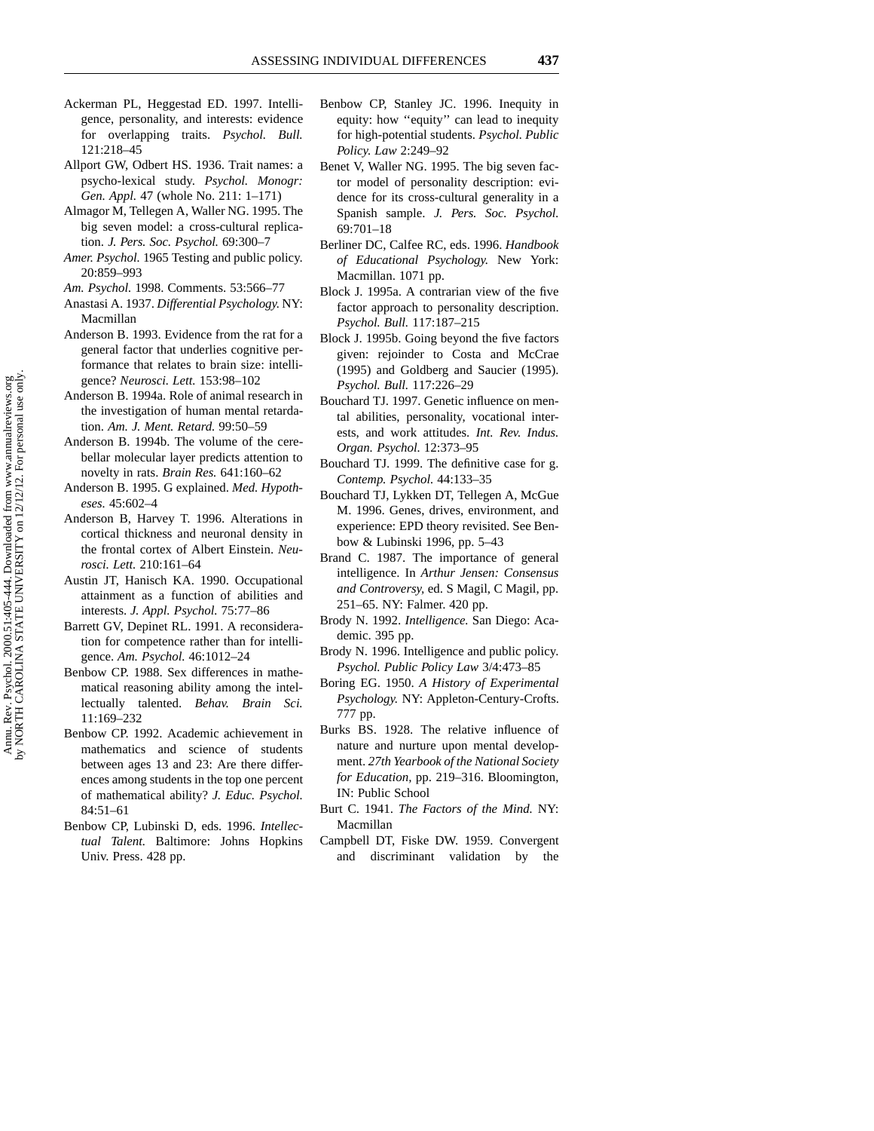- Ackerman PL, Heggestad ED. 1997. Intelligence, personality, and interests: evidence for overlapping traits. *Psychol. Bull.* 121:218–45
- Allport GW, Odbert HS. 1936. Trait names: a psycho-lexical study. *Psychol. Monogr: Gen. Appl.* 47 (whole No. 211: 1–171)
- Almagor M, Tellegen A, Waller NG. 1995. The big seven model: a cross-cultural replication. *J. Pers. Soc. Psychol.* 69:300–7
- *Amer. Psychol.* 1965 Testing and public policy. 20:859–993

*Am. Psychol.* 1998. Comments. 53:566–77

- Anastasi A. 1937. *Differential Psychology.* NY: Macmillan
- Anderson B. 1993. Evidence from the rat for a general factor that underlies cognitive performance that relates to brain size: intelligence? *Neurosci. Lett.* 153:98–102
- Anderson B. 1994a. Role of animal research in the investigation of human mental retardation. *Am. J. Ment. Retard.* 99:50–59
- Anderson B. 1994b. The volume of the cerebellar molecular layer predicts attention to novelty in rats. *Brain Res.* 641:160–62
- Anderson B. 1995. G explained. *Med. Hypotheses.* 45:602–4
- Anderson B, Harvey T. 1996. Alterations in cortical thickness and neuronal density in the frontal cortex of Albert Einstein. *Neurosci. Lett.* 210:161–64
- Austin JT, Hanisch KA. 1990. Occupational attainment as a function of abilities and interests. *J. Appl. Psychol.* 75:77–86
- Barrett GV, Depinet RL. 1991. A reconsideration for competence rather than for intelligence. *Am. Psychol.* 46:1012–24
- Benbow CP. 1988. Sex differences in mathematical reasoning ability among the intellectually talented. *Behav. Brain Sci.* 11:169–232
- Benbow CP. 1992. Academic achievement in mathematics and science of students between ages 13 and 23: Are there differences among students in the top one percent of mathematical ability? *J. Educ. Psychol.* 84:51–61
- Benbow CP, Lubinski D, eds. 1996. *Intellectual Talent.* Baltimore: Johns Hopkins Univ. Press. 428 pp.
- Benbow CP, Stanley JC. 1996. Inequity in equity: how ''equity'' can lead to inequity for high-potential students. *Psychol. Public Policy. Law* 2:249–92
- Benet V, Waller NG. 1995. The big seven factor model of personality description: evidence for its cross-cultural generality in a Spanish sample. *J. Pers. Soc. Psychol.* 69:701–18
- Berliner DC, Calfee RC, eds. 1996. *Handbook of Educational Psychology.* New York: Macmillan. 1071 pp.
- Block J. 1995a. A contrarian view of the five factor approach to personality description. *Psychol. Bull.* 117:187–215
- Block J. 1995b. Going beyond the five factors given: rejoinder to Costa and McCrae (1995) and Goldberg and Saucier (1995). *Psychol. Bull.* 117:226–29
- Bouchard TJ. 1997. Genetic influence on mental abilities, personality, vocational interests, and work attitudes. *Int. Rev. Indus. Organ. Psychol.* 12:373–95
- Bouchard TJ. 1999. The definitive case for g. *Contemp. Psychol.* 44:133–35
- Bouchard TJ, Lykken DT, Tellegen A, McGue M. 1996. Genes, drives, environment, and experience: EPD theory revisited. See Benbow & Lubinski 1996, pp. 5–43
- Brand C. 1987. The importance of general intelligence. In *Arthur Jensen: Consensus and Controversy,* ed. S Magil, C Magil, pp. 251–65. NY: Falmer. 420 pp.
- Brody N. 1992. *Intelligence.* San Diego: Academic. 395 pp.
- Brody N. 1996. Intelligence and public policy. *Psychol. Public Policy Law* 3/4:473–85
- Boring EG. 1950. *A History of Experimental Psychology.* NY: Appleton-Century-Crofts. 777 pp.
- Burks BS. 1928. The relative influence of nature and nurture upon mental development. *27th Yearbook of the National Society for Education,* pp. 219–316. Bloomington, IN: Public School
- Burt C. 1941. *The Factors of the Mind.* NY: Macmillan
- Campbell DT, Fiske DW. 1959. Convergent and discriminant validation by the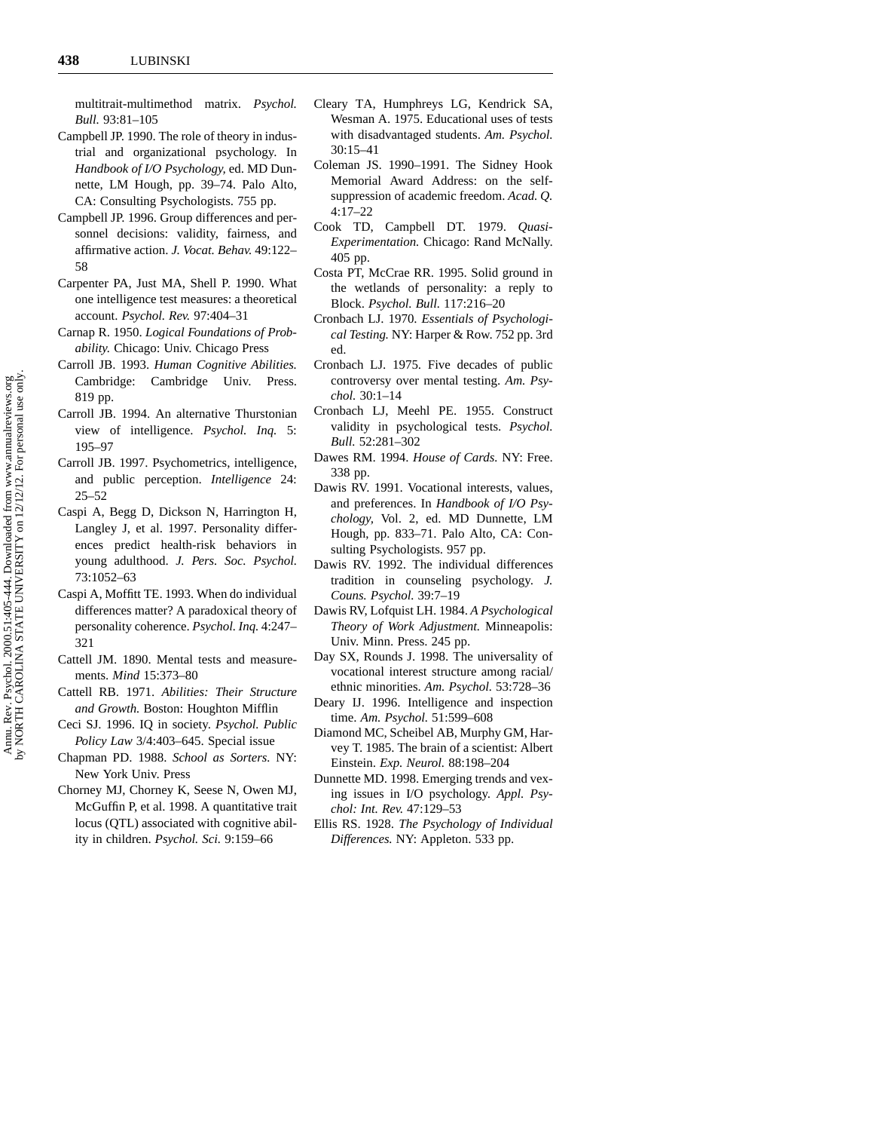multitrait-multimethod matrix. *Psychol. Bull.* 93:81–105

- Campbell JP. 1990. The role of theory in industrial and organizational psychology. In *Handbook of I/O Psychology,* ed. MD Dunnette, LM Hough, pp. 39–74. Palo Alto, CA: Consulting Psychologists. 755 pp.
- Campbell JP. 1996. Group differences and personnel decisions: validity, fairness, and affirmative action. *J. Vocat. Behav.* 49:122– 58
- Carpenter PA, Just MA, Shell P. 1990. What one intelligence test measures: a theoretical account. *Psychol. Rev.* 97:404–31
- Carnap R. 1950. *Logical Foundations of Probability.* Chicago: Univ. Chicago Press
- Carroll JB. 1993. *Human Cognitive Abilities.* Cambridge: Cambridge Univ. Press. 819 pp.
- Carroll JB. 1994. An alternative Thurstonian view of intelligence. *Psychol. Inq.* 5: 195–97
- Carroll JB. 1997. Psychometrics, intelligence, and public perception. *Intelligence* 24: 25–52
- Caspi A, Begg D, Dickson N, Harrington H, Langley J, et al. 1997. Personality differences predict health-risk behaviors in young adulthood. *J. Pers. Soc. Psychol.* 73:1052–63
- Caspi A, Moffitt TE. 1993. When do individual differences matter? A paradoxical theory of personality coherence. *Psychol. Inq.* 4:247– 321
- Cattell JM. 1890. Mental tests and measurements. *Mind* 15:373–80
- Cattell RB. 1971. *Abilities: Their Structure and Growth.* Boston: Houghton Mifflin
- Ceci SJ. 1996. IQ in society. *Psychol. Public Policy Law* 3/4:403–645. Special issue
- Chapman PD. 1988. *School as Sorters.* NY: New York Univ. Press
- Chorney MJ, Chorney K, Seese N, Owen MJ, McGuffin P, et al. 1998. A quantitative trait locus (QTL) associated with cognitive ability in children. *Psychol. Sci.* 9:159–66
- Cleary TA, Humphreys LG, Kendrick SA, Wesman A. 1975. Educational uses of tests with disadvantaged students. *Am. Psychol.* 30:15–41
- Coleman JS. 1990–1991. The Sidney Hook Memorial Award Address: on the selfsuppression of academic freedom. *Acad. Q.* 4:17–22
- Cook TD, Campbell DT. 1979. *Quasi-Experimentation.* Chicago: Rand McNally. 405 pp.
- Costa PT, McCrae RR. 1995. Solid ground in the wetlands of personality: a reply to Block. *Psychol. Bull.* 117:216–20
- Cronbach LJ. 1970. *Essentials of Psychological Testing.* NY: Harper & Row. 752 pp. 3rd ed.
- Cronbach LJ. 1975. Five decades of public controversy over mental testing. *Am. Psychol.* 30:1–14
- Cronbach LJ, Meehl PE. 1955. Construct validity in psychological tests. *Psychol. Bull.* 52:281–302
- Dawes RM. 1994. *House of Cards.* NY: Free. 338 pp.
- Dawis RV. 1991. Vocational interests, values, and preferences. In *Handbook of I/O Psychology,* Vol. 2, ed. MD Dunnette, LM Hough, pp. 833–71. Palo Alto, CA: Consulting Psychologists. 957 pp.
- Dawis RV. 1992. The individual differences tradition in counseling psychology. *J. Couns. Psychol.* 39:7–19
- Dawis RV, Lofquist LH. 1984. *A Psychological Theory of Work Adjustment.* Minneapolis: Univ. Minn. Press. 245 pp.
- Day SX, Rounds J. 1998. The universality of vocational interest structure among racial/ ethnic minorities. *Am. Psychol.* 53:728–36
- Deary IJ. 1996. Intelligence and inspection time. *Am. Psychol.* 51:599–608
- Diamond MC, Scheibel AB, Murphy GM, Harvey T. 1985. The brain of a scientist: Albert Einstein. *Exp. Neurol.* 88:198–204
- Dunnette MD. 1998. Emerging trends and vexing issues in I/O psychology. *Appl. Psychol: Int. Rev.* 47:129–53
- Ellis RS. 1928. *The Psychology of Individual Differences.* NY: Appleton. 533 pp.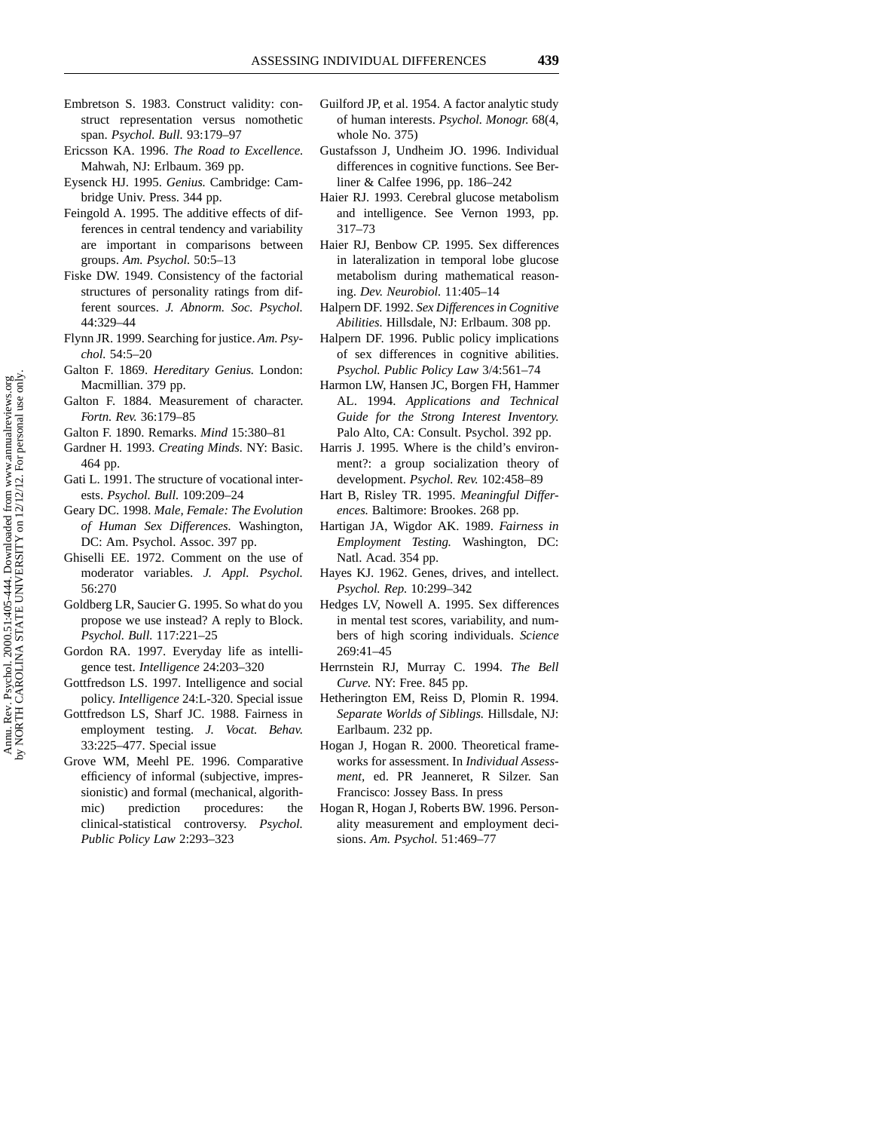- Embretson S. 1983. Construct validity: construct representation versus nomothetic span. *Psychol. Bull.* 93:179–97
- Ericsson KA. 1996. *The Road to Excellence.* Mahwah, NJ: Erlbaum. 369 pp.
- Eysenck HJ. 1995. *Genius.* Cambridge: Cambridge Univ. Press. 344 pp.
- Feingold A. 1995. The additive effects of differences in central tendency and variability are important in comparisons between groups. *Am. Psychol.* 50:5–13
- Fiske DW. 1949. Consistency of the factorial structures of personality ratings from different sources. *J. Abnorm. Soc. Psychol.* 44:329–44
- Flynn JR. 1999. Searching for justice. *Am. Psychol.* 54:5–20
- Galton F. 1869. *Hereditary Genius.* London: Macmillian. 379 pp.
- Galton F. 1884. Measurement of character. *Fortn. Rev.* 36:179–85
- Galton F. 1890. Remarks. *Mind* 15:380–81
- Gardner H. 1993. *Creating Minds.* NY: Basic. 464 pp.
- Gati L. 1991. The structure of vocational interests. *Psychol. Bull.* 109:209–24
- Geary DC. 1998. *Male, Female: The Evolution of Human Sex Differences.* Washington, DC: Am. Psychol. Assoc. 397 pp.
- Ghiselli EE. 1972. Comment on the use of moderator variables. *J. Appl. Psychol.* 56:270
- Goldberg LR, Saucier G. 1995. So what do you propose we use instead? A reply to Block. *Psychol. Bull.* 117:221–25
- Gordon RA. 1997. Everyday life as intelligence test. *Intelligence* 24:203–320
- Gottfredson LS. 1997. Intelligence and social policy. *Intelligence* 24:L-320. Special issue
- Gottfredson LS, Sharf JC. 1988. Fairness in employment testing. *J. Vocat. Behav.* 33:225–477. Special issue
- Grove WM, Meehl PE. 1996. Comparative efficiency of informal (subjective, impressionistic) and formal (mechanical, algorithmic) prediction procedures: the clinical-statistical controversy. *Psychol. Public Policy Law* 2:293–323
- Guilford JP, et al. 1954. A factor analytic study of human interests. *Psychol. Monogr.* 68(4, whole No. 375)
- Gustafsson J, Undheim JO. 1996. Individual differences in cognitive functions. See Berliner & Calfee 1996, pp. 186–242
- Haier RJ. 1993. Cerebral glucose metabolism and intelligence. See Vernon 1993, pp. 317–73
- Haier RJ, Benbow CP. 1995. Sex differences in lateralization in temporal lobe glucose metabolism during mathematical reasoning. *Dev. Neurobiol.* 11:405–14
- Halpern DF. 1992. *Sex Differences in Cognitive Abilities.* Hillsdale, NJ: Erlbaum. 308 pp.
- Halpern DF. 1996. Public policy implications of sex differences in cognitive abilities. *Psychol. Public Policy Law* 3/4:561–74
- Harmon LW, Hansen JC, Borgen FH, Hammer AL. 1994. *Applications and Technical Guide for the Strong Interest Inventory.* Palo Alto, CA: Consult. Psychol. 392 pp.
- Harris J. 1995. Where is the child's environment?: a group socialization theory of development. *Psychol. Rev.* 102:458–89
- Hart B, Risley TR. 1995. *Meaningful Differences.* Baltimore: Brookes. 268 pp.
- Hartigan JA, Wigdor AK. 1989. *Fairness in Employment Testing.* Washington, DC: Natl. Acad. 354 pp.
- Hayes KJ. 1962. Genes, drives, and intellect. *Psychol. Rep.* 10:299–342
- Hedges LV, Nowell A. 1995. Sex differences in mental test scores, variability, and numbers of high scoring individuals. *Science* 269:41–45
- Herrnstein RJ, Murray C. 1994. *The Bell Curve.* NY: Free. 845 pp.
- Hetherington EM, Reiss D, Plomin R. 1994. *Separate Worlds of Siblings.* Hillsdale, NJ: Earlbaum. 232 pp.
- Hogan J, Hogan R. 2000. Theoretical frameworks for assessment. In *Individual Assessment,* ed. PR Jeanneret, R Silzer. San Francisco: Jossey Bass. In press
- Hogan R, Hogan J, Roberts BW. 1996. Personality measurement and employment decisions. *Am. Psychol.* 51:469–77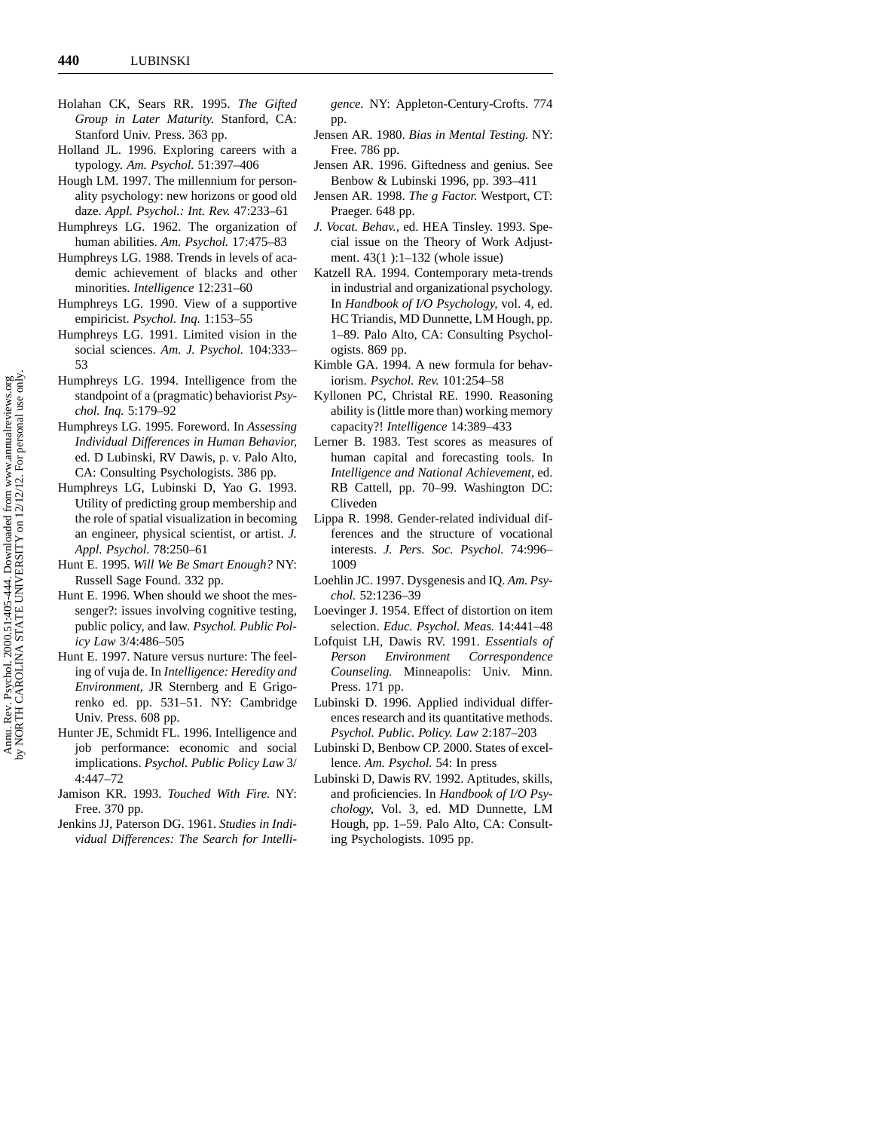- Holahan CK, Sears RR. 1995. *The Gifted Group in Later Maturity.* Stanford, CA: Stanford Univ. Press. 363 pp.
- Holland JL. 1996. Exploring careers with a typology. *Am. Psychol.* 51:397–406
- Hough LM. 1997. The millennium for personality psychology: new horizons or good old daze. *Appl. Psychol.: Int. Rev.* 47:233–61
- Humphreys LG. 1962. The organization of human abilities. *Am. Psychol.* 17:475–83
- Humphreys LG. 1988. Trends in levels of academic achievement of blacks and other minorities. *Intelligence* 12:231–60
- Humphreys LG. 1990. View of a supportive empiricist. *Psychol. Inq.* 1:153–55
- Humphreys LG. 1991. Limited vision in the social sciences. *Am. J. Psychol.* 104:333– 53
- Humphreys LG. 1994. Intelligence from the standpoint of a (pragmatic) behaviorist *Psychol. Inq.* 5:179–92
- Humphreys LG. 1995. Foreword. In *Assessing Individual Differences in Human Behavior,* ed. D Lubinski, RV Dawis, p. v. Palo Alto, CA: Consulting Psychologists. 386 pp.
- Humphreys LG, Lubinski D, Yao G. 1993. Utility of predicting group membership and the role of spatial visualization in becoming an engineer, physical scientist, or artist. *J. Appl. Psychol.* 78:250–61
- Hunt E. 1995. *Will We Be Smart Enough?* NY: Russell Sage Found. 332 pp.
- Hunt E. 1996. When should we shoot the messenger?: issues involving cognitive testing, public policy, and law. *Psychol. Public Policy Law* 3/4:486–505
- Hunt E. 1997. Nature versus nurture: The feeling of vuja de. In *Intelligence: Heredity and Environment,* JR Sternberg and E Grigorenko ed. pp. 531–51. NY: Cambridge Univ. Press. 608 pp.
- Hunter JE, Schmidt FL. 1996. Intelligence and job performance: economic and social implications. *Psychol. Public Policy Law* 3/ 4:447–72
- Jamison KR. 1993. *Touched With Fire.* NY: Free. 370 pp.
- Jenkins JJ, Paterson DG. 1961. *Studies in Individual Differences: The Search for Intelli-*

*gence.* NY: Appleton-Century-Crofts. 774 pp.

- Jensen AR. 1980. *Bias in Mental Testing.* NY: Free. 786 pp.
- Jensen AR. 1996. Giftedness and genius. See Benbow & Lubinski 1996, pp. 393–411
- Jensen AR. 1998. *The g Factor.* Westport, CT: Praeger. 648 pp.
- *J. Vocat. Behav.,* ed. HEA Tinsley. 1993. Special issue on the Theory of Work Adjustment. 43(1 ):1–132 (whole issue)
- Katzell RA. 1994. Contemporary meta-trends in industrial and organizational psychology. In *Handbook of I/O Psychology,* vol. 4, ed. HC Triandis, MD Dunnette, LM Hough, pp. 1–89. Palo Alto, CA: Consulting Psychologists. 869 pp.
- Kimble GA. 1994. A new formula for behaviorism. *Psychol. Rev.* 101:254–58
- Kyllonen PC, Christal RE. 1990. Reasoning ability is (little more than) working memory capacity?! *Intelligence* 14:389–433
- Lerner B. 1983. Test scores as measures of human capital and forecasting tools. In *Intelligence and National Achievement,* ed. RB Cattell, pp. 70–99. Washington DC: Cliveden
- Lippa R. 1998. Gender-related individual differences and the structure of vocational interests. *J. Pers. Soc. Psychol.* 74:996– 1009
- Loehlin JC. 1997. Dysgenesis and IQ. *Am. Psychol.* 52:1236–39
- Loevinger J. 1954. Effect of distortion on item selection. *Educ. Psychol. Meas.* 14:441–48
- Lofquist LH, Dawis RV. 1991. *Essentials of Person Environment Correspondence Counseling.* Minneapolis: Univ. Minn. Press. 171 pp.
- Lubinski D. 1996. Applied individual differences research and its quantitative methods. *Psychol. Public. Policy. Law* 2:187–203
- Lubinski D, Benbow CP. 2000. States of excellence. *Am. Psychol.* 54: In press
- Lubinski D, Dawis RV. 1992. Aptitudes, skills, and proficiencies. In *Handbook of I/O Psychology,* Vol. 3, ed. MD Dunnette, LM Hough, pp. 1–59. Palo Alto, CA: Consulting Psychologists. 1095 pp.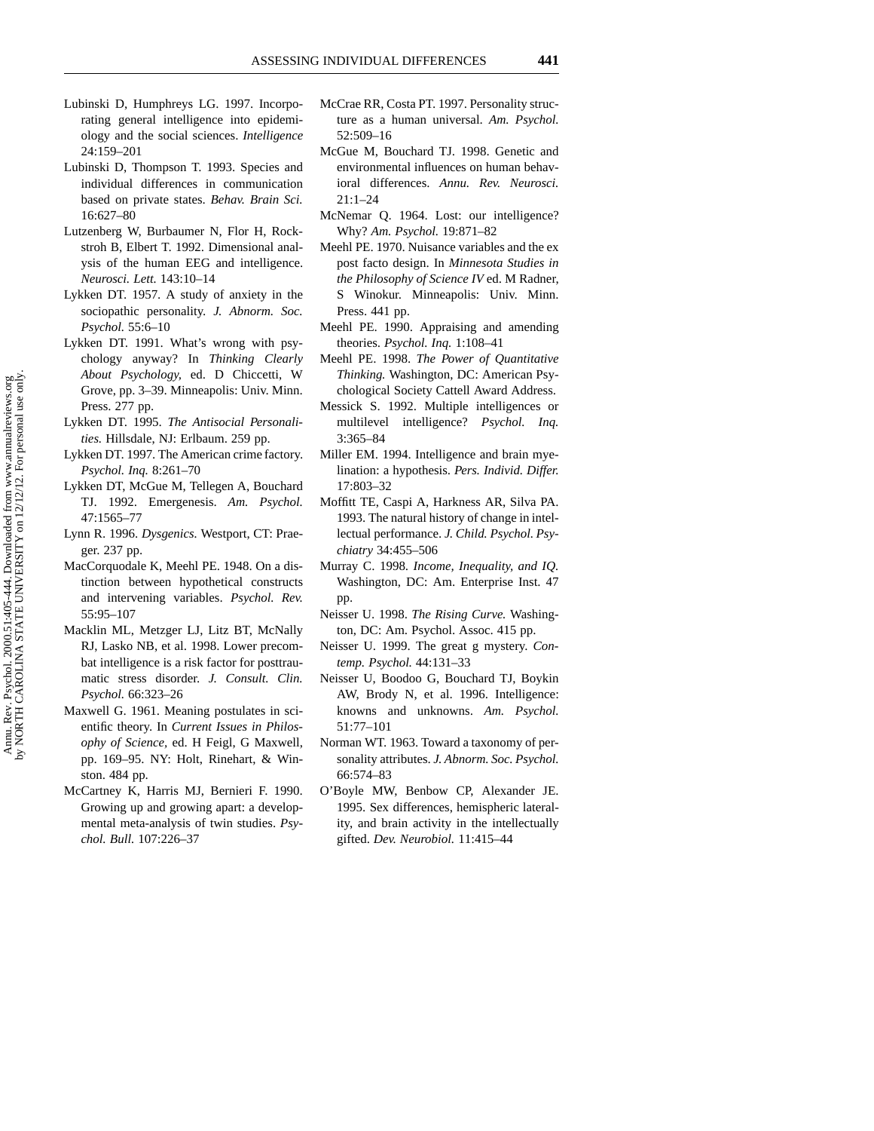- Lubinski D, Humphreys LG. 1997. Incorporating general intelligence into epidemiology and the social sciences. *Intelligence* 24:159–201
- Lubinski D, Thompson T. 1993. Species and individual differences in communication based on private states. *Behav. Brain Sci.* 16:627–80
- Lutzenberg W, Burbaumer N, Flor H, Rockstroh B, Elbert T. 1992. Dimensional analysis of the human EEG and intelligence. *Neurosci. Lett.* 143:10–14
- Lykken DT. 1957. A study of anxiety in the sociopathic personality. *J. Abnorm. Soc. Psychol.* 55:6–10
- Lykken DT. 1991. What's wrong with psychology anyway? In *Thinking Clearly About Psychology,* ed. D Chiccetti, W Grove, pp. 3–39. Minneapolis: Univ. Minn. Press. 277 pp.
- Lykken DT. 1995. *The Antisocial Personalities.* Hillsdale, NJ: Erlbaum. 259 pp.
- Lykken DT. 1997. The American crime factory. *Psychol. Inq.* 8:261–70
- Lykken DT, McGue M, Tellegen A, Bouchard TJ. 1992. Emergenesis. *Am. Psychol.* 47:1565–77
- Lynn R. 1996. *Dysgenics.* Westport, CT: Praeger. 237 pp.
- MacCorquodale K, Meehl PE. 1948. On a distinction between hypothetical constructs and intervening variables. *Psychol. Rev.* 55:95–107
- Macklin ML, Metzger LJ, Litz BT, McNally RJ, Lasko NB, et al. 1998. Lower precombat intelligence is a risk factor for posttraumatic stress disorder. *J. Consult. Clin. Psychol.* 66:323–26
- Maxwell G. 1961. Meaning postulates in scientific theory. In *Current Issues in Philosophy of Science,* ed. H Feigl, G Maxwell, pp. 169–95. NY: Holt, Rinehart, & Winston. 484 pp.
- McCartney K, Harris MJ, Bernieri F. 1990. Growing up and growing apart: a developmental meta-analysis of twin studies. *Psychol. Bull.* 107:226–37
- McCrae RR, Costa PT. 1997. Personality structure as a human universal. *Am. Psychol.* 52:509–16
- McGue M, Bouchard TJ. 1998. Genetic and environmental influences on human behavioral differences. *Annu. Rev. Neurosci.* 21:1–24
- McNemar Q. 1964. Lost: our intelligence? Why? *Am. Psychol.* 19:871–82
- Meehl PE. 1970. Nuisance variables and the ex post facto design. In *Minnesota Studies in the Philosophy of Science IV* ed. M Radner, S Winokur. Minneapolis: Univ. Minn. Press. 441 pp.
- Meehl PE. 1990. Appraising and amending theories. *Psychol. Inq.* 1:108–41
- Meehl PE. 1998. *The Power of Quantitative Thinking.* Washington, DC: American Psychological Society Cattell Award Address.
- Messick S. 1992. Multiple intelligences or multilevel intelligence? *Psychol. Inq.* 3:365–84
- Miller EM. 1994. Intelligence and brain myelination: a hypothesis. *Pers. Individ. Differ.* 17:803–32
- Moffitt TE, Caspi A, Harkness AR, Silva PA. 1993. The natural history of change in intellectual performance. *J. Child. Psychol. Psychiatry* 34:455–506
- Murray C. 1998. *Income, Inequality, and IQ.* Washington, DC: Am. Enterprise Inst. 47 pp.
- Neisser U. 1998. *The Rising Curve.* Washington, DC: Am. Psychol. Assoc. 415 pp.
- Neisser U. 1999. The great g mystery. *Contemp. Psychol.* 44:131–33
- Neisser U, Boodoo G, Bouchard TJ, Boykin AW, Brody N, et al. 1996. Intelligence: knowns and unknowns. *Am. Psychol.* 51:77–101
- Norman WT. 1963. Toward a taxonomy of personality attributes. *J. Abnorm. Soc. Psychol.* 66:574–83
- O'Boyle MW, Benbow CP, Alexander JE. 1995. Sex differences, hemispheric laterality, and brain activity in the intellectually gifted. *Dev. Neurobiol.* 11:415–44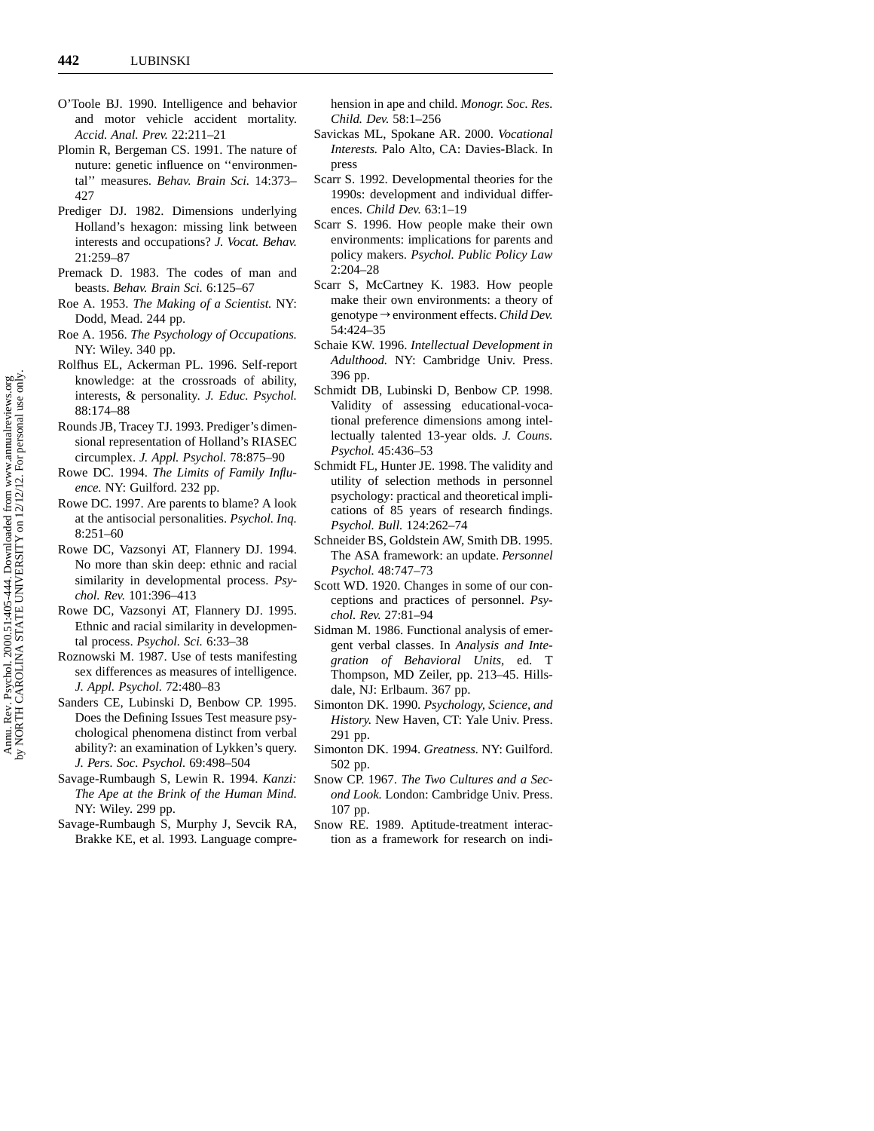- O'Toole BJ. 1990. Intelligence and behavior and motor vehicle accident mortality. *Accid. Anal. Prev.* 22:211–21
- Plomin R, Bergeman CS. 1991. The nature of nuture: genetic influence on ''environmental'' measures. *Behav. Brain Sci.* 14:373– 427
- Prediger DJ. 1982. Dimensions underlying Holland's hexagon: missing link between interests and occupations? *J. Vocat. Behav.* 21:259–87
- Premack D. 1983. The codes of man and beasts. *Behav. Brain Sci.* 6:125–67
- Roe A. 1953. *The Making of a Scientist.* NY: Dodd, Mead. 244 pp.
- Roe A. 1956. *The Psychology of Occupations.* NY: Wiley. 340 pp.
- Rolfhus EL, Ackerman PL. 1996. Self-report knowledge: at the crossroads of ability, interests, & personality. *J. Educ. Psychol.* 88:174–88
- Rounds JB, Tracey TJ. 1993. Prediger's dimensional representation of Holland's RIASEC circumplex. *J. Appl. Psychol.* 78:875–90
- Rowe DC. 1994. *The Limits of Family Influence.* NY: Guilford. 232 pp.
- Rowe DC. 1997. Are parents to blame? A look at the antisocial personalities. *Psychol. Inq.* 8:251–60
- Rowe DC, Vazsonyi AT, Flannery DJ. 1994. No more than skin deep: ethnic and racial similarity in developmental process. *Psychol. Rev.* 101:396–413
- Rowe DC, Vazsonyi AT, Flannery DJ. 1995. Ethnic and racial similarity in developmental process. *Psychol. Sci.* 6:33–38
- Roznowski M. 1987. Use of tests manifesting sex differences as measures of intelligence. *J. Appl. Psychol.* 72:480–83
- Sanders CE, Lubinski D, Benbow CP. 1995. Does the Defining Issues Test measure psychological phenomena distinct from verbal ability?: an examination of Lykken's query. *J. Pers. Soc. Psychol.* 69:498–504
- Savage-Rumbaugh S, Lewin R. 1994. *Kanzi: The Ape at the Brink of the Human Mind.* NY: Wiley. 299 pp.
- Savage-Rumbaugh S, Murphy J, Sevcik RA, Brakke KE, et al. 1993. Language compre-

hension in ape and child. *Monogr. Soc. Res. Child. Dev.* 58:1–256

- Savickas ML, Spokane AR. 2000. *Vocational Interests.* Palo Alto, CA: Davies-Black. In press
- Scarr S. 1992. Developmental theories for the 1990s: development and individual differences. *Child Dev.* 63:1–19
- Scarr S. 1996. How people make their own environments: implications for parents and policy makers. *Psychol. Public Policy Law* 2:204–28
- Scarr S, McCartney K. 1983. How people make their own environments: a theory of genotype → environment effects. *Child Dev.* 54:424–35
- Schaie KW. 1996. *Intellectual Development in Adulthood.* NY: Cambridge Univ. Press. 396 pp.
- Schmidt DB, Lubinski D, Benbow CP. 1998. Validity of assessing educational-vocational preference dimensions among intellectually talented 13-year olds. *J. Couns. Psychol.* 45:436–53
- Schmidt FL, Hunter JE. 1998. The validity and utility of selection methods in personnel psychology: practical and theoretical implications of 85 years of research findings. *Psychol. Bull.* 124:262–74
- Schneider BS, Goldstein AW, Smith DB. 1995. The ASA framework: an update. *Personnel Psychol.* 48:747–73
- Scott WD. 1920. Changes in some of our conceptions and practices of personnel. *Psychol. Rev.* 27:81–94
- Sidman M. 1986. Functional analysis of emergent verbal classes. In *Analysis and Integration of Behavioral Units,* ed. T Thompson, MD Zeiler, pp. 213–45. Hillsdale, NJ: Erlbaum. 367 pp.
- Simonton DK. 1990. *Psychology, Science, and History.* New Haven, CT: Yale Univ. Press. 291 pp.
- Simonton DK. 1994. *Greatness.* NY: Guilford. 502 pp.
- Snow CP. 1967. *The Two Cultures and a Second Look.* London: Cambridge Univ. Press. 107 pp.
- Snow RE. 1989. Aptitude-treatment interaction as a framework for research on indi-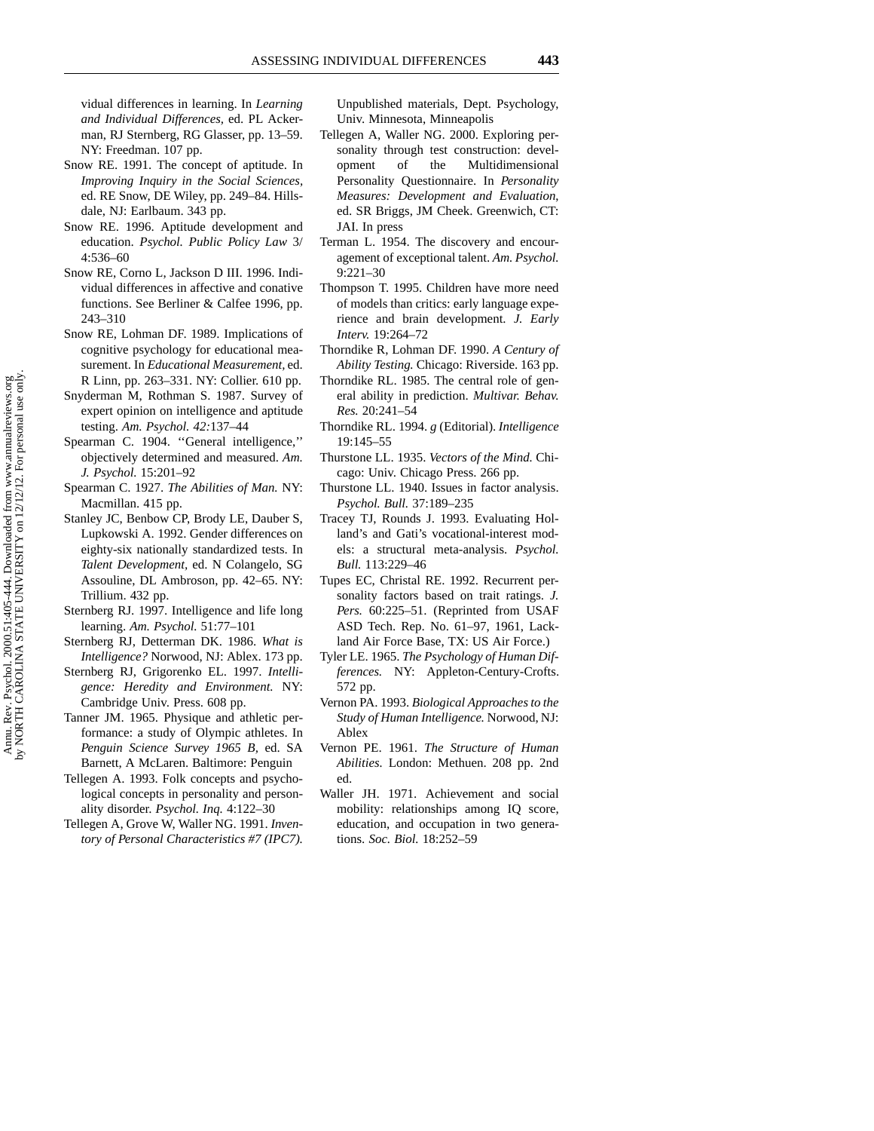vidual differences in learning. In *Learning and Individual Differences,* ed. PL Ackerman, RJ Sternberg, RG Glasser, pp. 13–59. NY: Freedman. 107 pp.

- Snow RE. 1991. The concept of aptitude. In *Improving Inquiry in the Social Sciences,* ed. RE Snow, DE Wiley, pp. 249–84. Hillsdale, NJ: Earlbaum. 343 pp.
- Snow RE. 1996. Aptitude development and education. *Psychol. Public Policy Law* 3/ 4:536–60
- Snow RE, Corno L, Jackson D III. 1996. Individual differences in affective and conative functions. See Berliner & Calfee 1996, pp. 243–310
- Snow RE, Lohman DF. 1989. Implications of cognitive psychology for educational measurement. In *Educational Measurement,* ed. R Linn, pp. 263–331. NY: Collier. 610 pp.
- Snyderman M, Rothman S. 1987. Survey of expert opinion on intelligence and aptitude testing. *Am. Psychol. 42:*137–44
- Spearman C. 1904. ''General intelligence,'' objectively determined and measured. *Am. J. Psychol.* 15:201–92
- Spearman C. 1927. *The Abilities of Man.* NY: Macmillan. 415 pp.
- Stanley JC, Benbow CP, Brody LE, Dauber S, Lupkowski A. 1992. Gender differences on eighty-six nationally standardized tests. In *Talent Development,* ed. N Colangelo, SG Assouline, DL Ambroson, pp. 42–65. NY: Trillium. 432 pp.
- Sternberg RJ. 1997. Intelligence and life long learning. *Am. Psychol.* 51:77–101
- Sternberg RJ, Detterman DK. 1986. *What is Intelligence?* Norwood, NJ: Ablex. 173 pp.
- Sternberg RJ, Grigorenko EL. 1997. *Intelligence: Heredity and Environment.* NY: Cambridge Univ. Press. 608 pp.
- Tanner JM. 1965. Physique and athletic performance: a study of Olympic athletes. In *Penguin Science Survey 1965 B,* ed. SA Barnett, A McLaren. Baltimore: Penguin
- Tellegen A. 1993. Folk concepts and psychological concepts in personality and personality disorder. *Psychol. Inq.* 4:122–30
- Tellegen A, Grove W, Waller NG. 1991. *Inventory of Personal Characteristics #7 (IPC7).*

Unpublished materials, Dept. Psychology, Univ. Minnesota, Minneapolis

- Tellegen A, Waller NG. 2000. Exploring personality through test construction: development of the Multidimensional Personality Questionnaire. In *Personality Measures: Development and Evaluation*, ed. SR Briggs, JM Cheek. Greenwich, CT: JAI. In press
- Terman L. 1954. The discovery and encouragement of exceptional talent. *Am. Psychol.* 9:221–30
- Thompson T. 1995. Children have more need of models than critics: early language experience and brain development. *J. Early Interv.* 19:264–72
- Thorndike R, Lohman DF. 1990. *A Century of Ability Testing.* Chicago: Riverside. 163 pp.
- Thorndike RL. 1985. The central role of general ability in prediction. *Multivar. Behav. Res.* 20:241–54
- Thorndike RL. 1994. *g* (Editorial). *Intelligence* 19:145–55
- Thurstone LL. 1935. *Vectors of the Mind.* Chicago: Univ. Chicago Press. 266 pp.
- Thurstone LL. 1940. Issues in factor analysis. *Psychol. Bull.* 37:189–235
- Tracey TJ, Rounds J. 1993. Evaluating Holland's and Gati's vocational-interest models: a structural meta-analysis. *Psychol. Bull.* 113:229–46
- Tupes EC, Christal RE. 1992. Recurrent personality factors based on trait ratings. *J. Pers.* 60:225–51. (Reprinted from USAF ASD Tech. Rep. No. 61–97, 1961, Lackland Air Force Base, TX: US Air Force.)
- Tyler LE. 1965. *The Psychology of Human Differences.* NY: Appleton-Century-Crofts. 572 pp.
- Vernon PA. 1993. *Biological Approaches to the Study of Human Intelligence.* Norwood, NJ: Ablex
- Vernon PE. 1961. *The Structure of Human Abilities.* London: Methuen. 208 pp. 2nd ed.
- Waller JH. 1971. Achievement and social mobility: relationships among IQ score, education, and occupation in two generations. *Soc. Biol.* 18:252–59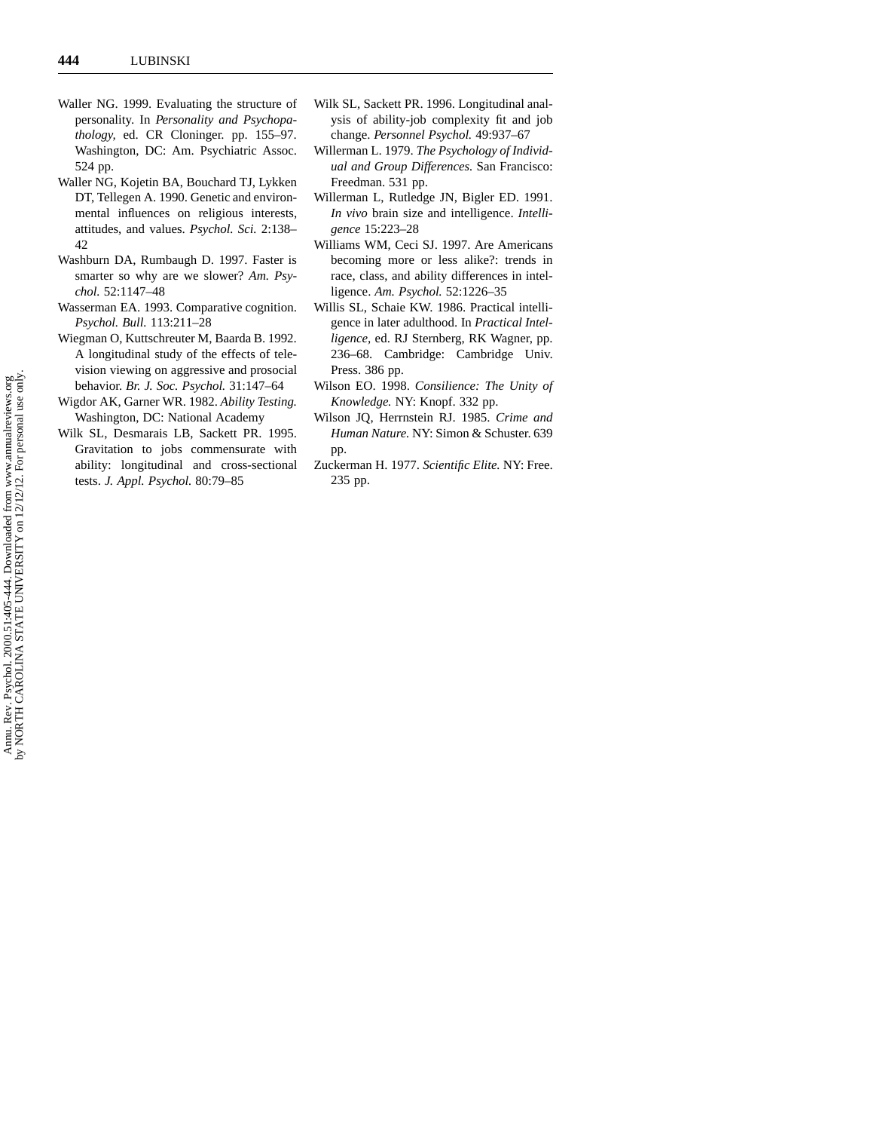- Waller NG. 1999. Evaluating the structure of personality. In *Personality and Psychopathology,* ed. CR Cloninger. pp. 155–97. Washington, DC: Am. Psychiatric Assoc. 524 pp.
- Waller NG, Kojetin BA, Bouchard TJ, Lykken DT, Tellegen A. 1990. Genetic and environmental influences on religious interests, attitudes, and values. *Psychol. Sci.* 2:138– 42
- Washburn DA, Rumbaugh D. 1997. Faster is smarter so why are we slower? *Am. Psychol.* 52:1147–48
- Wasserman EA. 1993. Comparative cognition. *Psychol. Bull.* 113:211–28
- Wiegman O, Kuttschreuter M, Baarda B. 1992. A longitudinal study of the effects of television viewing on aggressive and prosocial behavior. *Br. J. Soc. Psychol.* 31:147–64
- Wigdor AK, Garner WR. 1982. *Ability Testing.* Washington, DC: National Academy
- Wilk SL, Desmarais LB, Sackett PR. 1995. Gravitation to jobs commensurate with ability: longitudinal and cross-sectional tests. *J. Appl. Psychol.* 80:79–85
- Wilk SL, Sackett PR. 1996. Longitudinal analysis of ability-job complexity fit and job change. *Personnel Psychol.* 49:937–67
- Willerman L. 1979. *The Psychology of Individual and Group Differences.* San Francisco: Freedman. 531 pp.
- Willerman L, Rutledge JN, Bigler ED. 1991. *In vivo* brain size and intelligence. *Intelligence* 15:223–28
- Williams WM, Ceci SJ. 1997. Are Americans becoming more or less alike?: trends in race, class, and ability differences in intelligence. *Am. Psychol.* 52:1226–35
- Willis SL, Schaie KW. 1986. Practical intelligence in later adulthood. In *Practical Intelligence,* ed. RJ Sternberg, RK Wagner, pp. 236–68. Cambridge: Cambridge Univ. Press. 386 pp.
- Wilson EO. 1998. *Consilience: The Unity of Knowledge.* NY: Knopf. 332 pp.
- Wilson JQ, Herrnstein RJ. 1985. *Crime and Human Nature.* NY: Simon & Schuster. 639 pp.
- Zuckerman H. 1977. *Scientific Elite.* NY: Free. 235 pp.